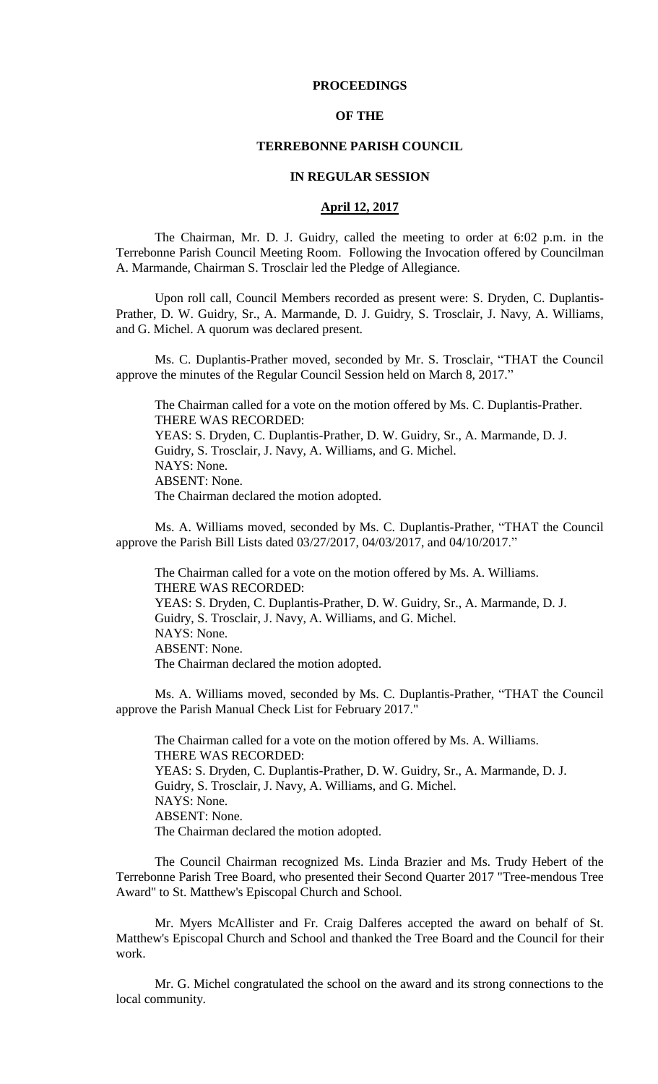# **PROCEEDINGS**

# **OF THE**

# **TERREBONNE PARISH COUNCIL**

# **IN REGULAR SESSION**

# **April 12, 2017**

The Chairman, Mr. D. J. Guidry, called the meeting to order at 6:02 p.m. in the Terrebonne Parish Council Meeting Room. Following the Invocation offered by Councilman A. Marmande, Chairman S. Trosclair led the Pledge of Allegiance.

Upon roll call, Council Members recorded as present were: S. Dryden, C. Duplantis-Prather, D. W. Guidry, Sr., A. Marmande, D. J. Guidry, S. Trosclair, J. Navy, A. Williams, and G. Michel. A quorum was declared present.

Ms. C. Duplantis-Prather moved, seconded by Mr. S. Trosclair, "THAT the Council approve the minutes of the Regular Council Session held on March 8, 2017."

The Chairman called for a vote on the motion offered by Ms. C. Duplantis-Prather. THERE WAS RECORDED: YEAS: S. Dryden, C. Duplantis-Prather, D. W. Guidry, Sr., A. Marmande, D. J. Guidry, S. Trosclair, J. Navy, A. Williams, and G. Michel. NAYS: None. ABSENT: None. The Chairman declared the motion adopted.

Ms. A. Williams moved, seconded by Ms. C. Duplantis-Prather, "THAT the Council approve the Parish Bill Lists dated 03/27/2017, 04/03/2017, and 04/10/2017."

The Chairman called for a vote on the motion offered by Ms. A. Williams. THERE WAS RECORDED: YEAS: S. Dryden, C. Duplantis-Prather, D. W. Guidry, Sr., A. Marmande, D. J. Guidry, S. Trosclair, J. Navy, A. Williams, and G. Michel. NAYS: None. ABSENT: None. The Chairman declared the motion adopted.

Ms. A. Williams moved, seconded by Ms. C. Duplantis-Prather, "THAT the Council approve the Parish Manual Check List for February 2017."

The Chairman called for a vote on the motion offered by Ms. A. Williams. THERE WAS RECORDED: YEAS: S. Dryden, C. Duplantis-Prather, D. W. Guidry, Sr., A. Marmande, D. J. Guidry, S. Trosclair, J. Navy, A. Williams, and G. Michel. NAYS: None. ABSENT: None. The Chairman declared the motion adopted.

The Council Chairman recognized Ms. Linda Brazier and Ms. Trudy Hebert of the Terrebonne Parish Tree Board, who presented their Second Quarter 2017 "Tree-mendous Tree Award" to St. Matthew's Episcopal Church and School.

Mr. Myers McAllister and Fr. Craig Dalferes accepted the award on behalf of St. Matthew's Episcopal Church and School and thanked the Tree Board and the Council for their work.

Mr. G. Michel congratulated the school on the award and its strong connections to the local community.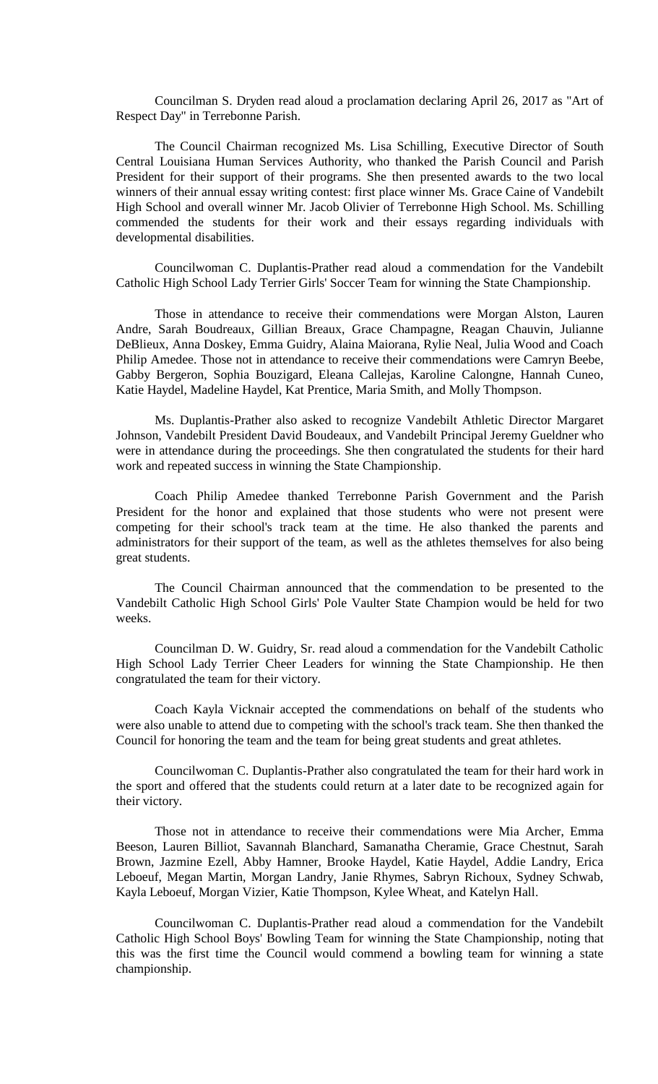Councilman S. Dryden read aloud a proclamation declaring April 26, 2017 as "Art of Respect Day" in Terrebonne Parish.

The Council Chairman recognized Ms. Lisa Schilling, Executive Director of South Central Louisiana Human Services Authority, who thanked the Parish Council and Parish President for their support of their programs. She then presented awards to the two local winners of their annual essay writing contest: first place winner Ms. Grace Caine of Vandebilt High School and overall winner Mr. Jacob Olivier of Terrebonne High School. Ms. Schilling commended the students for their work and their essays regarding individuals with developmental disabilities.

Councilwoman C. Duplantis-Prather read aloud a commendation for the Vandebilt Catholic High School Lady Terrier Girls' Soccer Team for winning the State Championship.

Those in attendance to receive their commendations were Morgan Alston, Lauren Andre, Sarah Boudreaux, Gillian Breaux, Grace Champagne, Reagan Chauvin, Julianne DeBlieux, Anna Doskey, Emma Guidry, Alaina Maiorana, Rylie Neal, Julia Wood and Coach Philip Amedee. Those not in attendance to receive their commendations were Camryn Beebe, Gabby Bergeron, Sophia Bouzigard, Eleana Callejas, Karoline Calongne, Hannah Cuneo, Katie Haydel, Madeline Haydel, Kat Prentice, Maria Smith, and Molly Thompson.

Ms. Duplantis-Prather also asked to recognize Vandebilt Athletic Director Margaret Johnson, Vandebilt President David Boudeaux, and Vandebilt Principal Jeremy Gueldner who were in attendance during the proceedings. She then congratulated the students for their hard work and repeated success in winning the State Championship.

Coach Philip Amedee thanked Terrebonne Parish Government and the Parish President for the honor and explained that those students who were not present were competing for their school's track team at the time. He also thanked the parents and administrators for their support of the team, as well as the athletes themselves for also being great students.

The Council Chairman announced that the commendation to be presented to the Vandebilt Catholic High School Girls' Pole Vaulter State Champion would be held for two weeks.

Councilman D. W. Guidry, Sr. read aloud a commendation for the Vandebilt Catholic High School Lady Terrier Cheer Leaders for winning the State Championship. He then congratulated the team for their victory.

Coach Kayla Vicknair accepted the commendations on behalf of the students who were also unable to attend due to competing with the school's track team. She then thanked the Council for honoring the team and the team for being great students and great athletes.

Councilwoman C. Duplantis-Prather also congratulated the team for their hard work in the sport and offered that the students could return at a later date to be recognized again for their victory.

Those not in attendance to receive their commendations were Mia Archer, Emma Beeson, Lauren Billiot, Savannah Blanchard, Samanatha Cheramie, Grace Chestnut, Sarah Brown, Jazmine Ezell, Abby Hamner, Brooke Haydel, Katie Haydel, Addie Landry, Erica Leboeuf, Megan Martin, Morgan Landry, Janie Rhymes, Sabryn Richoux, Sydney Schwab, Kayla Leboeuf, Morgan Vizier, Katie Thompson, Kylee Wheat, and Katelyn Hall.

Councilwoman C. Duplantis-Prather read aloud a commendation for the Vandebilt Catholic High School Boys' Bowling Team for winning the State Championship, noting that this was the first time the Council would commend a bowling team for winning a state championship.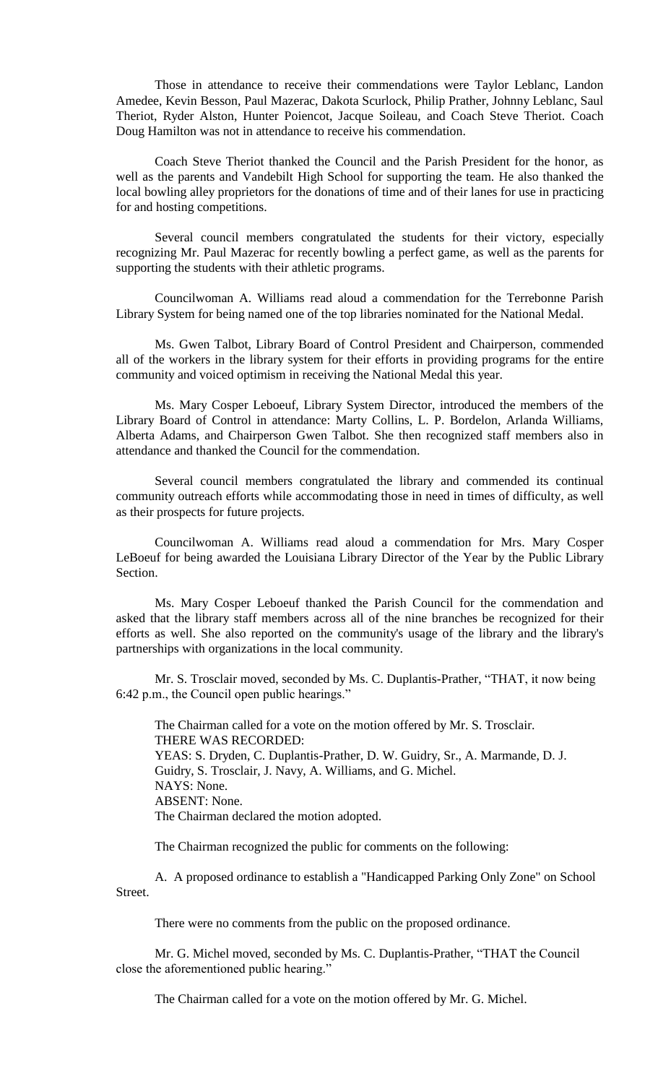Those in attendance to receive their commendations were Taylor Leblanc, Landon Amedee, Kevin Besson, Paul Mazerac, Dakota Scurlock, Philip Prather, Johnny Leblanc, Saul Theriot, Ryder Alston, Hunter Poiencot, Jacque Soileau, and Coach Steve Theriot. Coach Doug Hamilton was not in attendance to receive his commendation.

Coach Steve Theriot thanked the Council and the Parish President for the honor, as well as the parents and Vandebilt High School for supporting the team. He also thanked the local bowling alley proprietors for the donations of time and of their lanes for use in practicing for and hosting competitions.

Several council members congratulated the students for their victory, especially recognizing Mr. Paul Mazerac for recently bowling a perfect game, as well as the parents for supporting the students with their athletic programs.

Councilwoman A. Williams read aloud a commendation for the Terrebonne Parish Library System for being named one of the top libraries nominated for the National Medal.

Ms. Gwen Talbot, Library Board of Control President and Chairperson, commended all of the workers in the library system for their efforts in providing programs for the entire community and voiced optimism in receiving the National Medal this year.

Ms. Mary Cosper Leboeuf, Library System Director, introduced the members of the Library Board of Control in attendance: Marty Collins, L. P. Bordelon, Arlanda Williams, Alberta Adams, and Chairperson Gwen Talbot. She then recognized staff members also in attendance and thanked the Council for the commendation.

Several council members congratulated the library and commended its continual community outreach efforts while accommodating those in need in times of difficulty, as well as their prospects for future projects.

Councilwoman A. Williams read aloud a commendation for Mrs. Mary Cosper LeBoeuf for being awarded the Louisiana Library Director of the Year by the Public Library Section.

Ms. Mary Cosper Leboeuf thanked the Parish Council for the commendation and asked that the library staff members across all of the nine branches be recognized for their efforts as well. She also reported on the community's usage of the library and the library's partnerships with organizations in the local community.

Mr. S. Trosclair moved, seconded by Ms. C. Duplantis-Prather, "THAT, it now being 6:42 p.m., the Council open public hearings."

The Chairman called for a vote on the motion offered by Mr. S. Trosclair. THERE WAS RECORDED: YEAS: S. Dryden, C. Duplantis-Prather, D. W. Guidry, Sr., A. Marmande, D. J. Guidry, S. Trosclair, J. Navy, A. Williams, and G. Michel. NAYS: None. ABSENT: None. The Chairman declared the motion adopted.

The Chairman recognized the public for comments on the following:

A. A proposed ordinance to establish a "Handicapped Parking Only Zone" on School Street.

There were no comments from the public on the proposed ordinance.

Mr. G. Michel moved, seconded by Ms. C. Duplantis-Prather, "THAT the Council close the aforementioned public hearing."

The Chairman called for a vote on the motion offered by Mr. G. Michel.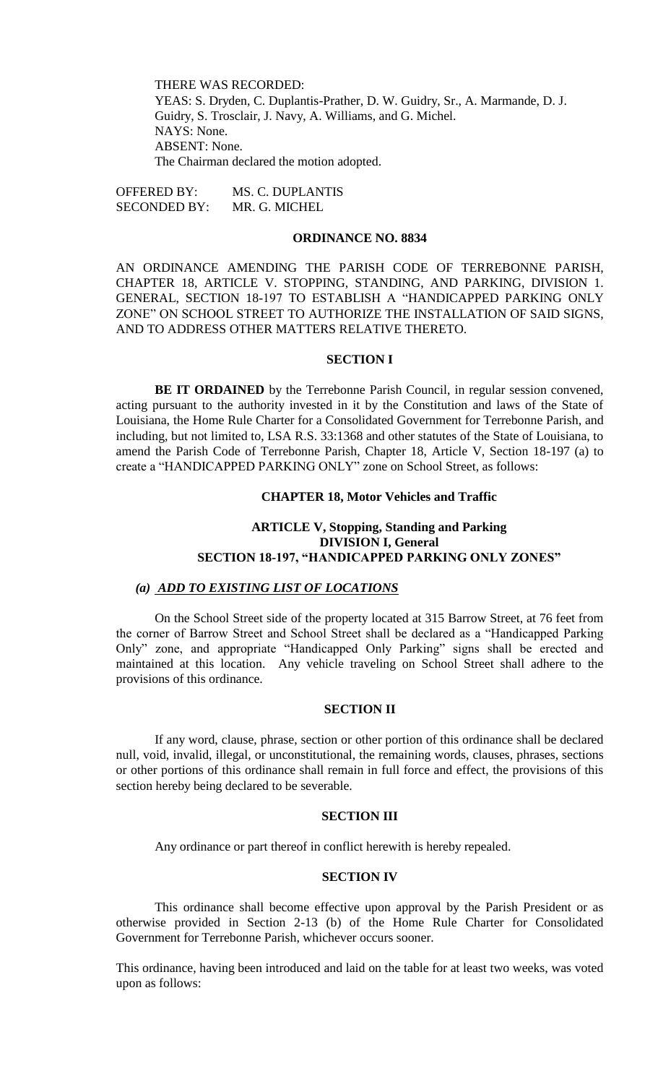THERE WAS RECORDED: YEAS: S. Dryden, C. Duplantis-Prather, D. W. Guidry, Sr., A. Marmande, D. J. Guidry, S. Trosclair, J. Navy, A. Williams, and G. Michel. NAYS: None. ABSENT: None. The Chairman declared the motion adopted.

OFFERED BY: MS. C. DUPLANTIS SECONDED BY: MR. G. MICHEL

## **ORDINANCE NO. 8834**

AN ORDINANCE AMENDING THE PARISH CODE OF TERREBONNE PARISH, CHAPTER 18, ARTICLE V. STOPPING, STANDING, AND PARKING, DIVISION 1. GENERAL, SECTION 18-197 TO ESTABLISH A "HANDICAPPED PARKING ONLY ZONE" ON SCHOOL STREET TO AUTHORIZE THE INSTALLATION OF SAID SIGNS, AND TO ADDRESS OTHER MATTERS RELATIVE THERETO.

# **SECTION I**

**BE IT ORDAINED** by the Terrebonne Parish Council, in regular session convened, acting pursuant to the authority invested in it by the Constitution and laws of the State of Louisiana, the Home Rule Charter for a Consolidated Government for Terrebonne Parish, and including, but not limited to, LSA R.S. 33:1368 and other statutes of the State of Louisiana, to amend the Parish Code of Terrebonne Parish, Chapter 18, Article V, Section 18-197 (a) to create a "HANDICAPPED PARKING ONLY" zone on School Street, as follows:

## **CHAPTER 18, Motor Vehicles and Traffic**

# **ARTICLE V, Stopping, Standing and Parking DIVISION I, General SECTION 18-197, "HANDICAPPED PARKING ONLY ZONES"**

# *(a) ADD TO EXISTING LIST OF LOCATIONS*

On the School Street side of the property located at 315 Barrow Street, at 76 feet from the corner of Barrow Street and School Street shall be declared as a "Handicapped Parking Only" zone, and appropriate "Handicapped Only Parking" signs shall be erected and maintained at this location. Any vehicle traveling on School Street shall adhere to the provisions of this ordinance.

# **SECTION II**

If any word, clause, phrase, section or other portion of this ordinance shall be declared null, void, invalid, illegal, or unconstitutional, the remaining words, clauses, phrases, sections or other portions of this ordinance shall remain in full force and effect, the provisions of this section hereby being declared to be severable.

## **SECTION III**

Any ordinance or part thereof in conflict herewith is hereby repealed.

# **SECTION IV**

This ordinance shall become effective upon approval by the Parish President or as otherwise provided in Section 2-13 (b) of the Home Rule Charter for Consolidated Government for Terrebonne Parish, whichever occurs sooner.

This ordinance, having been introduced and laid on the table for at least two weeks, was voted upon as follows: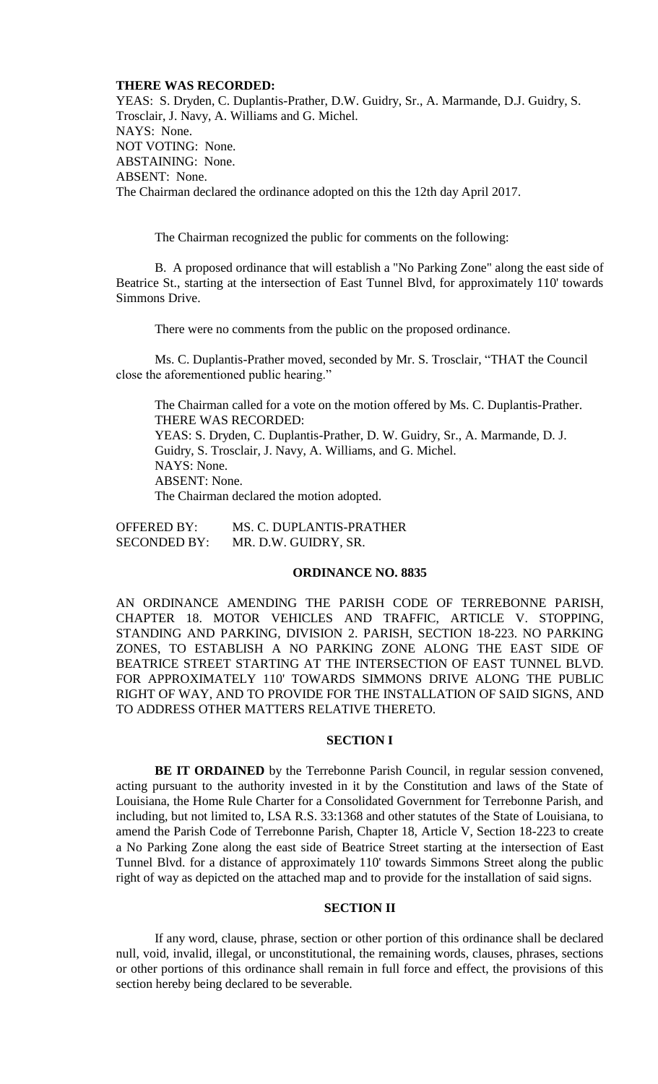## **THERE WAS RECORDED:**

YEAS: S. Dryden, C. Duplantis-Prather, D.W. Guidry, Sr., A. Marmande, D.J. Guidry, S. Trosclair, J. Navy, A. Williams and G. Michel. NAYS: None. NOT VOTING: None. ABSTAINING: None. ABSENT: None. The Chairman declared the ordinance adopted on this the 12th day April 2017.

The Chairman recognized the public for comments on the following:

B. A proposed ordinance that will establish a "No Parking Zone" along the east side of Beatrice St., starting at the intersection of East Tunnel Blvd, for approximately 110' towards Simmons Drive.

There were no comments from the public on the proposed ordinance.

Ms. C. Duplantis-Prather moved, seconded by Mr. S. Trosclair, "THAT the Council close the aforementioned public hearing."

The Chairman called for a vote on the motion offered by Ms. C. Duplantis-Prather. THERE WAS RECORDED: YEAS: S. Dryden, C. Duplantis-Prather, D. W. Guidry, Sr., A. Marmande, D. J. Guidry, S. Trosclair, J. Navy, A. Williams, and G. Michel. NAYS: None. ABSENT: None. The Chairman declared the motion adopted.

OFFERED BY: MS. C. DUPLANTIS-PRATHER SECONDED BY: MR. D.W. GUIDRY, SR.

## **ORDINANCE NO. 8835**

AN ORDINANCE AMENDING THE PARISH CODE OF TERREBONNE PARISH, CHAPTER 18. MOTOR VEHICLES AND TRAFFIC, ARTICLE V. STOPPING, STANDING AND PARKING, DIVISION 2. PARISH, SECTION 18-223. NO PARKING ZONES, TO ESTABLISH A NO PARKING ZONE ALONG THE EAST SIDE OF BEATRICE STREET STARTING AT THE INTERSECTION OF EAST TUNNEL BLVD. FOR APPROXIMATELY 110' TOWARDS SIMMONS DRIVE ALONG THE PUBLIC RIGHT OF WAY, AND TO PROVIDE FOR THE INSTALLATION OF SAID SIGNS, AND TO ADDRESS OTHER MATTERS RELATIVE THERETO.

## **SECTION I**

**BE IT ORDAINED** by the Terrebonne Parish Council, in regular session convened, acting pursuant to the authority invested in it by the Constitution and laws of the State of Louisiana, the Home Rule Charter for a Consolidated Government for Terrebonne Parish, and including, but not limited to, LSA R.S. 33:1368 and other statutes of the State of Louisiana, to amend the Parish Code of Terrebonne Parish, Chapter 18, Article V, Section 18-223 to create a No Parking Zone along the east side of Beatrice Street starting at the intersection of East Tunnel Blvd. for a distance of approximately 110' towards Simmons Street along the public right of way as depicted on the attached map and to provide for the installation of said signs.

# **SECTION II**

If any word, clause, phrase, section or other portion of this ordinance shall be declared null, void, invalid, illegal, or unconstitutional, the remaining words, clauses, phrases, sections or other portions of this ordinance shall remain in full force and effect, the provisions of this section hereby being declared to be severable.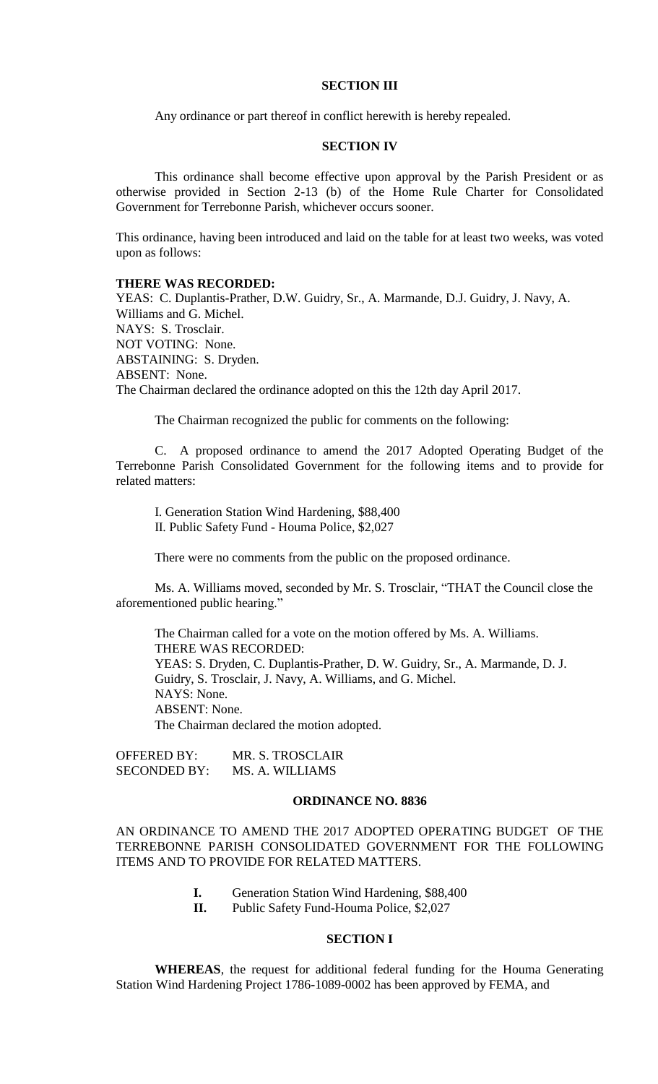# **SECTION III**

Any ordinance or part thereof in conflict herewith is hereby repealed.

# **SECTION IV**

This ordinance shall become effective upon approval by the Parish President or as otherwise provided in Section 2-13 (b) of the Home Rule Charter for Consolidated Government for Terrebonne Parish, whichever occurs sooner.

This ordinance, having been introduced and laid on the table for at least two weeks, was voted upon as follows:

## **THERE WAS RECORDED:**

YEAS: C. Duplantis-Prather, D.W. Guidry, Sr., A. Marmande, D.J. Guidry, J. Navy, A. Williams and G. Michel. NAYS: S. Trosclair. NOT VOTING: None. ABSTAINING: S. Dryden. ABSENT: None. The Chairman declared the ordinance adopted on this the 12th day April 2017.

The Chairman recognized the public for comments on the following:

C. A proposed ordinance to amend the 2017 Adopted Operating Budget of the Terrebonne Parish Consolidated Government for the following items and to provide for related matters:

I. Generation Station Wind Hardening, \$88,400 II. Public Safety Fund - Houma Police, \$2,027

There were no comments from the public on the proposed ordinance.

Ms. A. Williams moved, seconded by Mr. S. Trosclair, "THAT the Council close the aforementioned public hearing."

The Chairman called for a vote on the motion offered by Ms. A. Williams. THERE WAS RECORDED: YEAS: S. Dryden, C. Duplantis-Prather, D. W. Guidry, Sr., A. Marmande, D. J. Guidry, S. Trosclair, J. Navy, A. Williams, and G. Michel. NAYS: None. ABSENT: None. The Chairman declared the motion adopted.

OFFERED BY: MR. S. TROSCLAIR SECONDED BY: MS. A. WILLIAMS

## **ORDINANCE NO. 8836**

AN ORDINANCE TO AMEND THE 2017 ADOPTED OPERATING BUDGET OF THE TERREBONNE PARISH CONSOLIDATED GOVERNMENT FOR THE FOLLOWING ITEMS AND TO PROVIDE FOR RELATED MATTERS.

- **I.** Generation Station Wind Hardening, \$88,400
- **II.** Public Safety Fund-Houma Police, \$2,027

# **SECTION I**

**WHEREAS**, the request for additional federal funding for the Houma Generating Station Wind Hardening Project 1786-1089-0002 has been approved by FEMA, and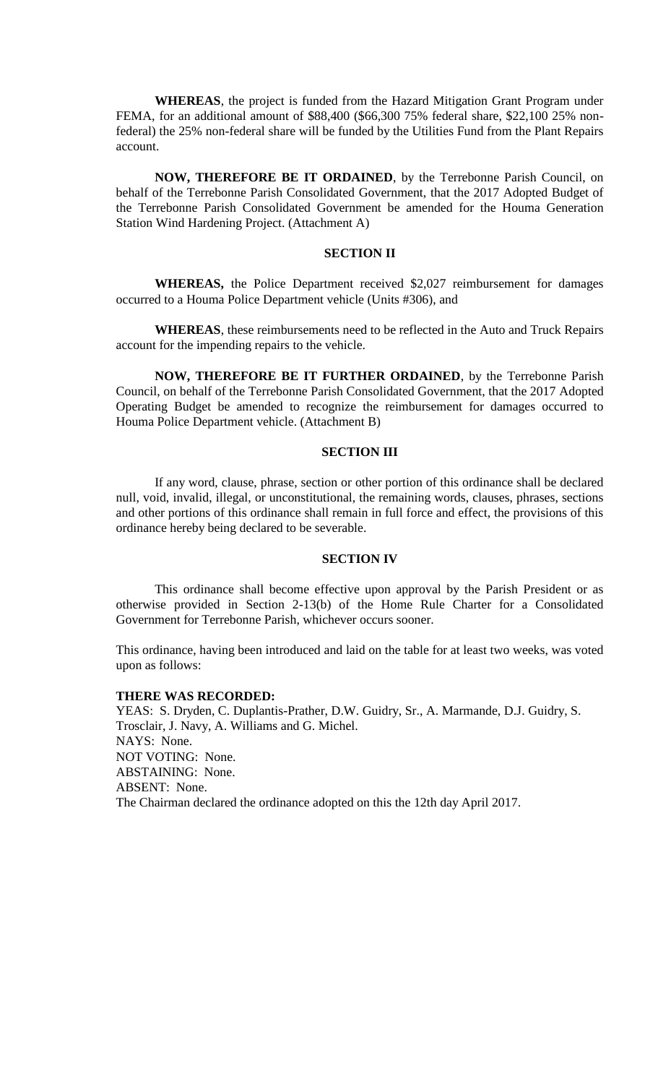**WHEREAS**, the project is funded from the Hazard Mitigation Grant Program under FEMA, for an additional amount of \$88,400 (\$66,300 75% federal share, \$22,100 25% nonfederal) the 25% non-federal share will be funded by the Utilities Fund from the Plant Repairs account.

**NOW, THEREFORE BE IT ORDAINED**, by the Terrebonne Parish Council, on behalf of the Terrebonne Parish Consolidated Government, that the 2017 Adopted Budget of the Terrebonne Parish Consolidated Government be amended for the Houma Generation Station Wind Hardening Project. (Attachment A)

### **SECTION II**

**WHEREAS,** the Police Department received \$2,027 reimbursement for damages occurred to a Houma Police Department vehicle (Units #306), and

**WHEREAS**, these reimbursements need to be reflected in the Auto and Truck Repairs account for the impending repairs to the vehicle.

**NOW, THEREFORE BE IT FURTHER ORDAINED**, by the Terrebonne Parish Council, on behalf of the Terrebonne Parish Consolidated Government, that the 2017 Adopted Operating Budget be amended to recognize the reimbursement for damages occurred to Houma Police Department vehicle. (Attachment B)

# **SECTION III**

If any word, clause, phrase, section or other portion of this ordinance shall be declared null, void, invalid, illegal, or unconstitutional, the remaining words, clauses, phrases, sections and other portions of this ordinance shall remain in full force and effect, the provisions of this ordinance hereby being declared to be severable.

## **SECTION IV**

This ordinance shall become effective upon approval by the Parish President or as otherwise provided in Section 2-13(b) of the Home Rule Charter for a Consolidated Government for Terrebonne Parish, whichever occurs sooner.

This ordinance, having been introduced and laid on the table for at least two weeks, was voted upon as follows:

## **THERE WAS RECORDED:**

YEAS: S. Dryden, C. Duplantis-Prather, D.W. Guidry, Sr., A. Marmande, D.J. Guidry, S. Trosclair, J. Navy, A. Williams and G. Michel. NAYS: None. NOT VOTING: None. ABSTAINING: None. ABSENT: None. The Chairman declared the ordinance adopted on this the 12th day April 2017.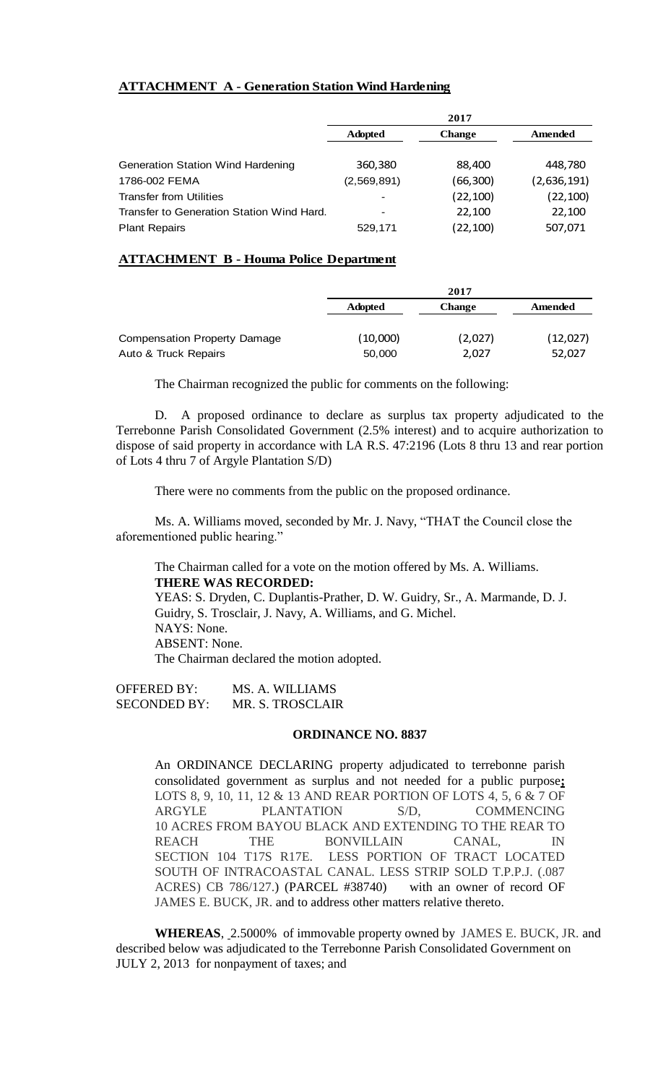# **ATTACHMENT A - Generation Station Wind Hardening**

|                                           | 2017           |               |             |
|-------------------------------------------|----------------|---------------|-------------|
|                                           | <b>Adopted</b> | <b>Change</b> | Amended     |
| <b>Generation Station Wind Hardening</b>  | 360,380        | 88,400        | 448,780     |
| 1786-002 FEMA                             | (2,569,891)    | (66,300)      | (2,636,191) |
| <b>Transfer from Utilities</b>            |                | (22, 100)     | (22, 100)   |
| Transfer to Generation Station Wind Hard. |                | 22,100        | 22,100      |
| <b>Plant Repairs</b>                      | 529,171        | (22, 100)     | 507,071     |

# **ATTACHMENT B - Houma Police Department**

|                                                      | 2017               |                  |                    |
|------------------------------------------------------|--------------------|------------------|--------------------|
|                                                      | <b>Adopted</b>     | <b>Change</b>    | Amended            |
| Compensation Property Damage<br>Auto & Truck Repairs | (10,000)<br>50,000 | (2,027)<br>2,027 | (12,027)<br>52,027 |

The Chairman recognized the public for comments on the following:

D. A proposed ordinance to declare as surplus tax property adjudicated to the Terrebonne Parish Consolidated Government (2.5% interest) and to acquire authorization to dispose of said property in accordance with LA R.S. 47:2196 (Lots 8 thru 13 and rear portion of Lots 4 thru 7 of Argyle Plantation S/D)

There were no comments from the public on the proposed ordinance.

Ms. A. Williams moved, seconded by Mr. J. Navy, "THAT the Council close the aforementioned public hearing."

The Chairman called for a vote on the motion offered by Ms. A. Williams. **THERE WAS RECORDED:**

YEAS: S. Dryden, C. Duplantis-Prather, D. W. Guidry, Sr., A. Marmande, D. J. Guidry, S. Trosclair, J. Navy, A. Williams, and G. Michel. NAYS: None. ABSENT: None. The Chairman declared the motion adopted.

OFFERED BY: MS. A. WILLIAMS SECONDED BY: MR. S. TROSCLAIR

# **ORDINANCE NO. 8837**

An ORDINANCE DECLARING property adjudicated to terrebonne parish consolidated government as surplus and not needed for a public purpose**;**  LOTS 8, 9, 10, 11, 12 & 13 AND REAR PORTION OF LOTS 4, 5, 6 & 7 OF ARGYLE PLANTATION S/D, COMMENCING 10 ACRES FROM BAYOU BLACK AND EXTENDING TO THE REAR TO REACH THE BONVILLAIN CANAL, IN SECTION 104 T17S R17E. LESS PORTION OF TRACT LOCATED SOUTH OF INTRACOASTAL CANAL. LESS STRIP SOLD T.P.P.J. (.087 ACRES) CB 786/127.) (PARCEL #38740) with an owner of record OF JAMES E. BUCK, JR. and to address other matters relative thereto.

**WHEREAS**, 2.5000% of immovable property owned by JAMES E. BUCK, JR. and described below was adjudicated to the Terrebonne Parish Consolidated Government on JULY 2, 2013 for nonpayment of taxes; and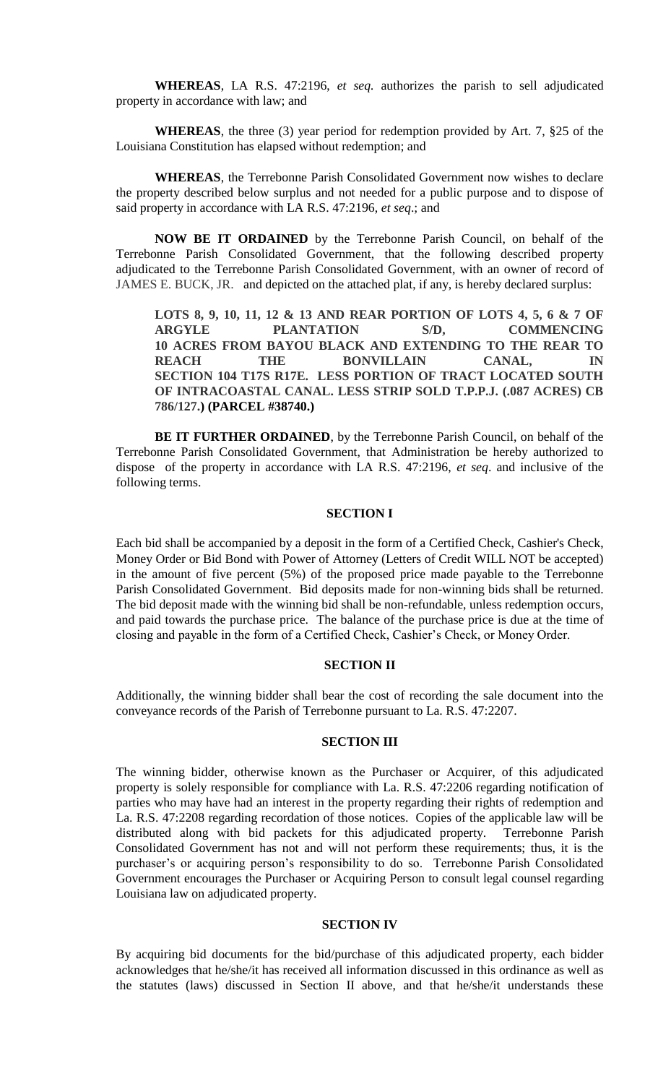**WHEREAS**, LA R.S. 47:2196, *et seq.* authorizes the parish to sell adjudicated property in accordance with law; and

**WHEREAS**, the three (3) year period for redemption provided by Art. 7, §25 of the Louisiana Constitution has elapsed without redemption; and

**WHEREAS**, the Terrebonne Parish Consolidated Government now wishes to declare the property described below surplus and not needed for a public purpose and to dispose of said property in accordance with LA R.S. 47:2196, *et seq*.; and

**NOW BE IT ORDAINED** by the Terrebonne Parish Council, on behalf of the Terrebonne Parish Consolidated Government, that the following described property adjudicated to the Terrebonne Parish Consolidated Government, with an owner of record of JAMES E. BUCK, JR. and depicted on the attached plat, if any, is hereby declared surplus:

**LOTS 8, 9, 10, 11, 12 & 13 AND REAR PORTION OF LOTS 4, 5, 6 & 7 OF ARGYLE PLANTATION S/D, COMMENCING 10 ACRES FROM BAYOU BLACK AND EXTENDING TO THE REAR TO REACH THE BONVILLAIN CANAL, IN SECTION 104 T17S R17E. LESS PORTION OF TRACT LOCATED SOUTH OF INTRACOASTAL CANAL. LESS STRIP SOLD T.P.P.J. (.087 ACRES) CB 786/127.) (PARCEL #38740.)**

**BE IT FURTHER ORDAINED**, by the Terrebonne Parish Council, on behalf of the Terrebonne Parish Consolidated Government, that Administration be hereby authorized to dispose of the property in accordance with LA R.S. 47:2196, *et seq*. and inclusive of the following terms.

# **SECTION I**

Each bid shall be accompanied by a deposit in the form of a Certified Check, Cashier's Check, Money Order or Bid Bond with Power of Attorney (Letters of Credit WILL NOT be accepted) in the amount of five percent (5%) of the proposed price made payable to the Terrebonne Parish Consolidated Government. Bid deposits made for non-winning bids shall be returned. The bid deposit made with the winning bid shall be non-refundable, unless redemption occurs, and paid towards the purchase price. The balance of the purchase price is due at the time of closing and payable in the form of a Certified Check, Cashier's Check, or Money Order.

# **SECTION II**

Additionally, the winning bidder shall bear the cost of recording the sale document into the conveyance records of the Parish of Terrebonne pursuant to La. R.S. 47:2207.

# **SECTION III**

The winning bidder, otherwise known as the Purchaser or Acquirer, of this adjudicated property is solely responsible for compliance with La. R.S. 47:2206 regarding notification of parties who may have had an interest in the property regarding their rights of redemption and La. R.S. 47:2208 regarding recordation of those notices. Copies of the applicable law will be distributed along with bid packets for this adjudicated property. Terrebonne Parish Consolidated Government has not and will not perform these requirements; thus, it is the purchaser's or acquiring person's responsibility to do so. Terrebonne Parish Consolidated Government encourages the Purchaser or Acquiring Person to consult legal counsel regarding Louisiana law on adjudicated property.

## **SECTION IV**

By acquiring bid documents for the bid/purchase of this adjudicated property, each bidder acknowledges that he/she/it has received all information discussed in this ordinance as well as the statutes (laws) discussed in Section II above, and that he/she/it understands these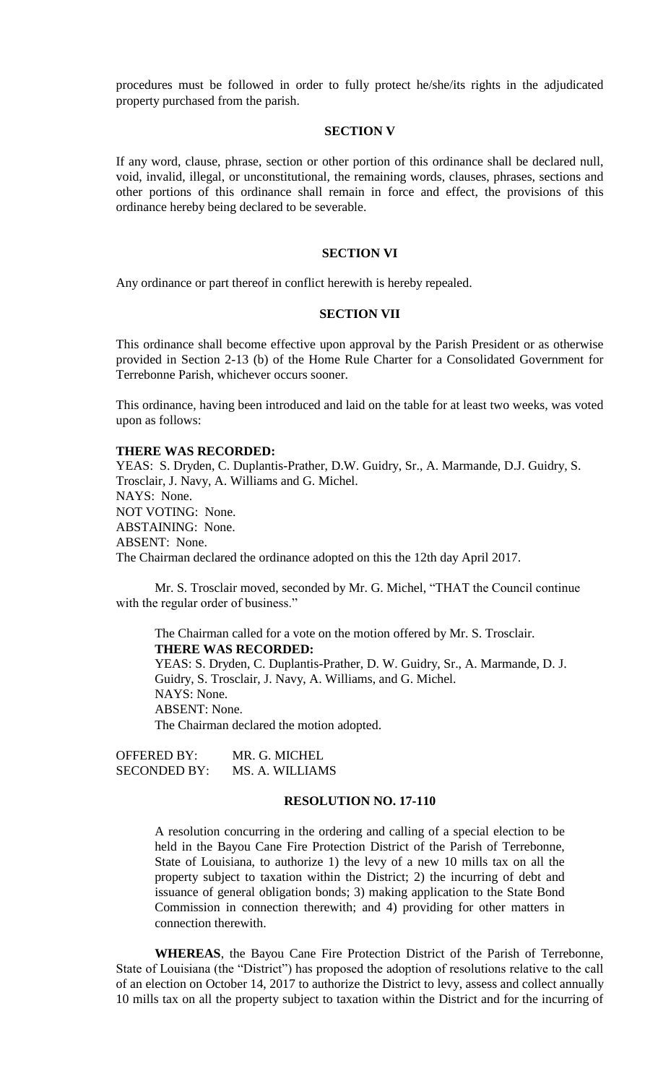procedures must be followed in order to fully protect he/she/its rights in the adjudicated property purchased from the parish.

## **SECTION V**

If any word, clause, phrase, section or other portion of this ordinance shall be declared null, void, invalid, illegal, or unconstitutional, the remaining words, clauses, phrases, sections and other portions of this ordinance shall remain in force and effect, the provisions of this ordinance hereby being declared to be severable.

## **SECTION VI**

Any ordinance or part thereof in conflict herewith is hereby repealed.

#### **SECTION VII**

This ordinance shall become effective upon approval by the Parish President or as otherwise provided in Section 2-13 (b) of the Home Rule Charter for a Consolidated Government for Terrebonne Parish, whichever occurs sooner.

This ordinance, having been introduced and laid on the table for at least two weeks, was voted upon as follows:

#### **THERE WAS RECORDED:**

YEAS: S. Dryden, C. Duplantis-Prather, D.W. Guidry, Sr., A. Marmande, D.J. Guidry, S. Trosclair, J. Navy, A. Williams and G. Michel. NAYS: None. NOT VOTING: None. ABSTAINING: None. ABSENT: None. The Chairman declared the ordinance adopted on this the 12th day April 2017.

Mr. S. Trosclair moved, seconded by Mr. G. Michel, "THAT the Council continue with the regular order of business."

The Chairman called for a vote on the motion offered by Mr. S. Trosclair. **THERE WAS RECORDED:** YEAS: S. Dryden, C. Duplantis-Prather, D. W. Guidry, Sr., A. Marmande, D. J. Guidry, S. Trosclair, J. Navy, A. Williams, and G. Michel. NAYS: None. ABSENT: None. The Chairman declared the motion adopted.

OFFERED BY: MR. G. MICHEL SECONDED BY: MS. A. WILLIAMS

## **RESOLUTION NO. 17-110**

A resolution concurring in the ordering and calling of a special election to be held in the Bayou Cane Fire Protection District of the Parish of Terrebonne, State of Louisiana, to authorize 1) the levy of a new 10 mills tax on all the property subject to taxation within the District; 2) the incurring of debt and issuance of general obligation bonds; 3) making application to the State Bond Commission in connection therewith; and 4) providing for other matters in connection therewith.

**WHEREAS**, the Bayou Cane Fire Protection District of the Parish of Terrebonne, State of Louisiana (the "District") has proposed the adoption of resolutions relative to the call of an election on October 14, 2017 to authorize the District to levy, assess and collect annually 10 mills tax on all the property subject to taxation within the District and for the incurring of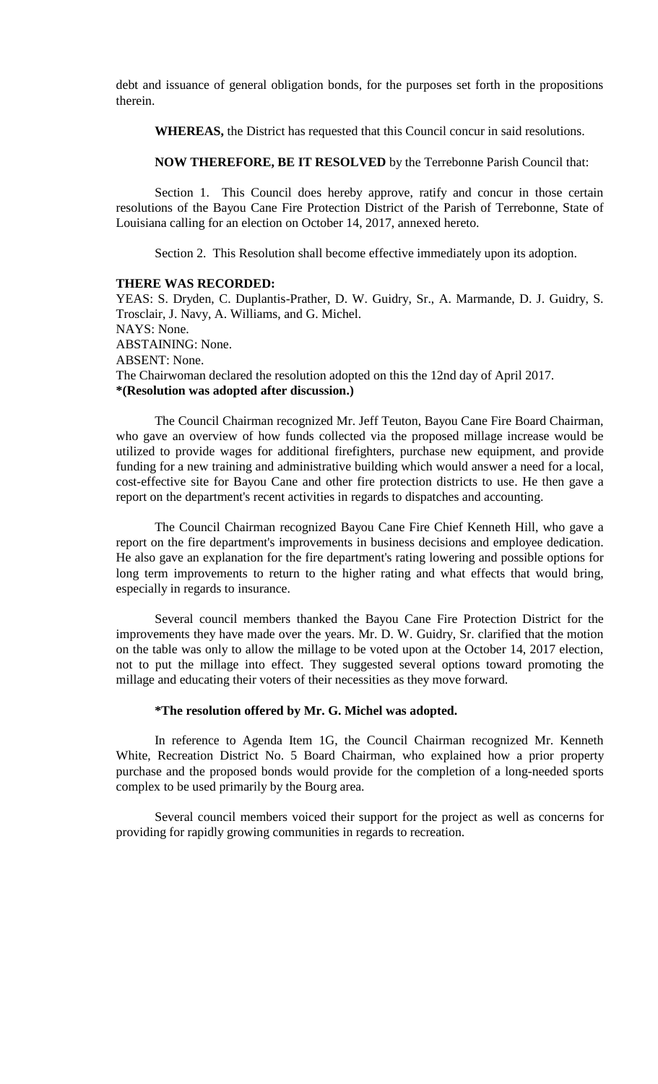debt and issuance of general obligation bonds, for the purposes set forth in the propositions therein.

**WHEREAS,** the District has requested that this Council concur in said resolutions.

**NOW THEREFORE, BE IT RESOLVED** by the Terrebonne Parish Council that:

Section 1. This Council does hereby approve, ratify and concur in those certain resolutions of the Bayou Cane Fire Protection District of the Parish of Terrebonne, State of Louisiana calling for an election on October 14, 2017, annexed hereto.

Section 2. This Resolution shall become effective immediately upon its adoption.

## **THERE WAS RECORDED:**

YEAS: S. Dryden, C. Duplantis-Prather, D. W. Guidry, Sr., A. Marmande, D. J. Guidry, S. Trosclair, J. Navy, A. Williams, and G. Michel. NAYS: None. ABSTAINING: None. ABSENT: None. The Chairwoman declared the resolution adopted on this the 12nd day of April 2017. **\*(Resolution was adopted after discussion.)**

The Council Chairman recognized Mr. Jeff Teuton, Bayou Cane Fire Board Chairman, who gave an overview of how funds collected via the proposed millage increase would be utilized to provide wages for additional firefighters, purchase new equipment, and provide funding for a new training and administrative building which would answer a need for a local, cost-effective site for Bayou Cane and other fire protection districts to use. He then gave a report on the department's recent activities in regards to dispatches and accounting.

The Council Chairman recognized Bayou Cane Fire Chief Kenneth Hill, who gave a report on the fire department's improvements in business decisions and employee dedication. He also gave an explanation for the fire department's rating lowering and possible options for long term improvements to return to the higher rating and what effects that would bring, especially in regards to insurance.

Several council members thanked the Bayou Cane Fire Protection District for the improvements they have made over the years. Mr. D. W. Guidry, Sr. clarified that the motion on the table was only to allow the millage to be voted upon at the October 14, 2017 election, not to put the millage into effect. They suggested several options toward promoting the millage and educating their voters of their necessities as they move forward.

## **\*The resolution offered by Mr. G. Michel was adopted.**

In reference to Agenda Item 1G, the Council Chairman recognized Mr. Kenneth White, Recreation District No. 5 Board Chairman, who explained how a prior property purchase and the proposed bonds would provide for the completion of a long-needed sports complex to be used primarily by the Bourg area.

Several council members voiced their support for the project as well as concerns for providing for rapidly growing communities in regards to recreation.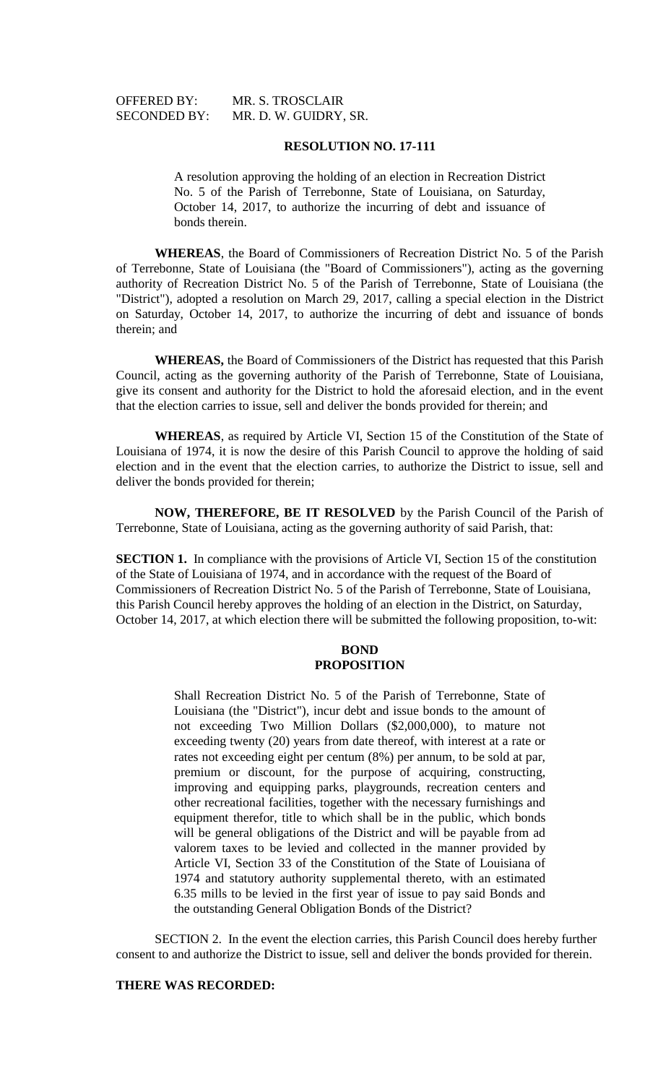OFFERED BY: MR. S. TROSCLAIR SECONDED BY: MR. D. W. GUIDRY, SR.

# **RESOLUTION NO. 17-111**

A resolution approving the holding of an election in Recreation District No. 5 of the Parish of Terrebonne, State of Louisiana, on Saturday, October 14, 2017, to authorize the incurring of debt and issuance of bonds therein.

**WHEREAS**, the Board of Commissioners of Recreation District No. 5 of the Parish of Terrebonne, State of Louisiana (the "Board of Commissioners"), acting as the governing authority of Recreation District No. 5 of the Parish of Terrebonne, State of Louisiana (the "District"), adopted a resolution on March 29, 2017, calling a special election in the District on Saturday, October 14, 2017, to authorize the incurring of debt and issuance of bonds therein; and

**WHEREAS,** the Board of Commissioners of the District has requested that this Parish Council, acting as the governing authority of the Parish of Terrebonne, State of Louisiana, give its consent and authority for the District to hold the aforesaid election, and in the event that the election carries to issue, sell and deliver the bonds provided for therein; and

**WHEREAS**, as required by Article VI, Section 15 of the Constitution of the State of Louisiana of 1974, it is now the desire of this Parish Council to approve the holding of said election and in the event that the election carries, to authorize the District to issue, sell and deliver the bonds provided for therein;

**NOW, THEREFORE, BE IT RESOLVED** by the Parish Council of the Parish of Terrebonne, State of Louisiana, acting as the governing authority of said Parish, that:

**SECTION 1.** In compliance with the provisions of Article VI, Section 15 of the constitution of the State of Louisiana of 1974, and in accordance with the request of the Board of Commissioners of Recreation District No. 5 of the Parish of Terrebonne, State of Louisiana, this Parish Council hereby approves the holding of an election in the District, on Saturday, October 14, 2017, at which election there will be submitted the following proposition, to-wit:

## **BOND PROPOSITION**

Shall Recreation District No. 5 of the Parish of Terrebonne, State of Louisiana (the "District"), incur debt and issue bonds to the amount of not exceeding Two Million Dollars (\$2,000,000), to mature not exceeding twenty (20) years from date thereof, with interest at a rate or rates not exceeding eight per centum (8%) per annum, to be sold at par, premium or discount, for the purpose of acquiring, constructing, improving and equipping parks, playgrounds, recreation centers and other recreational facilities, together with the necessary furnishings and equipment therefor, title to which shall be in the public, which bonds will be general obligations of the District and will be payable from ad valorem taxes to be levied and collected in the manner provided by Article VI, Section 33 of the Constitution of the State of Louisiana of 1974 and statutory authority supplemental thereto, with an estimated 6.35 mills to be levied in the first year of issue to pay said Bonds and the outstanding General Obligation Bonds of the District?

SECTION 2. In the event the election carries, this Parish Council does hereby further consent to and authorize the District to issue, sell and deliver the bonds provided for therein.

# **THERE WAS RECORDED:**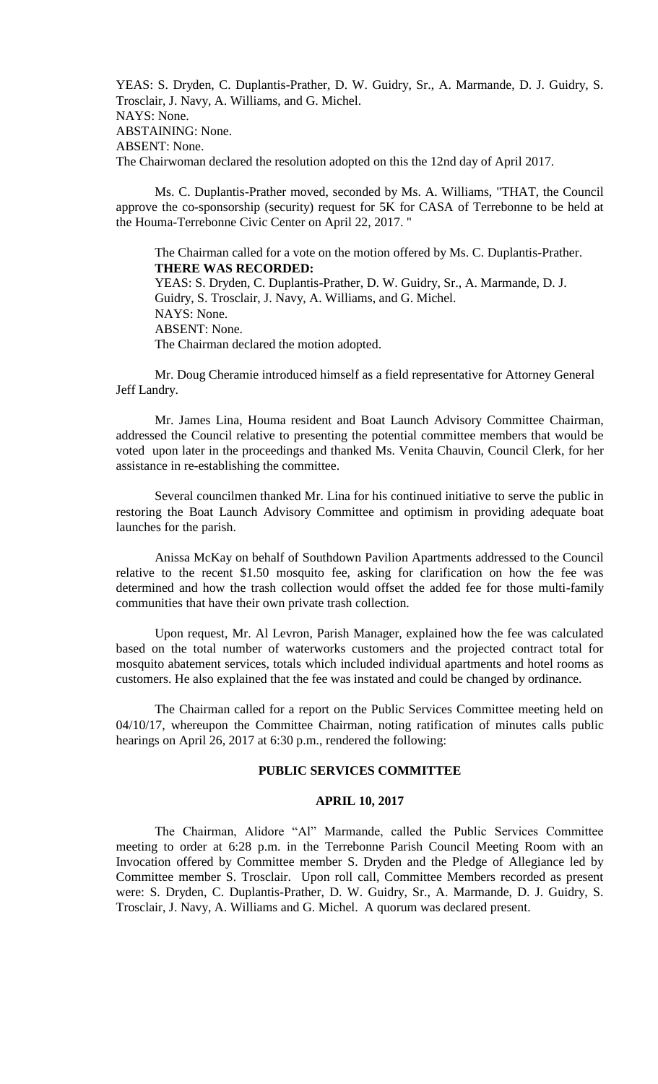YEAS: S. Dryden, C. Duplantis-Prather, D. W. Guidry, Sr., A. Marmande, D. J. Guidry, S. Trosclair, J. Navy, A. Williams, and G. Michel. NAYS: None. ABSTAINING: None. ABSENT: None. The Chairwoman declared the resolution adopted on this the 12nd day of April 2017.

Ms. C. Duplantis-Prather moved, seconded by Ms. A. Williams, "THAT, the Council approve the co-sponsorship (security) request for 5K for CASA of Terrebonne to be held at the Houma-Terrebonne Civic Center on April 22, 2017. "

The Chairman called for a vote on the motion offered by Ms. C. Duplantis-Prather. **THERE WAS RECORDED:** YEAS: S. Dryden, C. Duplantis-Prather, D. W. Guidry, Sr., A. Marmande, D. J. Guidry, S. Trosclair, J. Navy, A. Williams, and G. Michel. NAYS: None. ABSENT: None. The Chairman declared the motion adopted.

Mr. Doug Cheramie introduced himself as a field representative for Attorney General Jeff Landry.

Mr. James Lina, Houma resident and Boat Launch Advisory Committee Chairman, addressed the Council relative to presenting the potential committee members that would be voted upon later in the proceedings and thanked Ms. Venita Chauvin, Council Clerk, for her assistance in re-establishing the committee.

Several councilmen thanked Mr. Lina for his continued initiative to serve the public in restoring the Boat Launch Advisory Committee and optimism in providing adequate boat launches for the parish.

Anissa McKay on behalf of Southdown Pavilion Apartments addressed to the Council relative to the recent \$1.50 mosquito fee, asking for clarification on how the fee was determined and how the trash collection would offset the added fee for those multi-family communities that have their own private trash collection.

Upon request, Mr. Al Levron, Parish Manager, explained how the fee was calculated based on the total number of waterworks customers and the projected contract total for mosquito abatement services, totals which included individual apartments and hotel rooms as customers. He also explained that the fee was instated and could be changed by ordinance.

The Chairman called for a report on the Public Services Committee meeting held on 04/10/17, whereupon the Committee Chairman, noting ratification of minutes calls public hearings on April 26, 2017 at 6:30 p.m., rendered the following:

# **PUBLIC SERVICES COMMITTEE**

## **APRIL 10, 2017**

The Chairman, Alidore "Al" Marmande, called the Public Services Committee meeting to order at 6:28 p.m. in the Terrebonne Parish Council Meeting Room with an Invocation offered by Committee member S. Dryden and the Pledge of Allegiance led by Committee member S. Trosclair. Upon roll call, Committee Members recorded as present were: S. Dryden, C. Duplantis-Prather, D. W. Guidry, Sr., A. Marmande, D. J. Guidry, S. Trosclair, J. Navy, A. Williams and G. Michel. A quorum was declared present.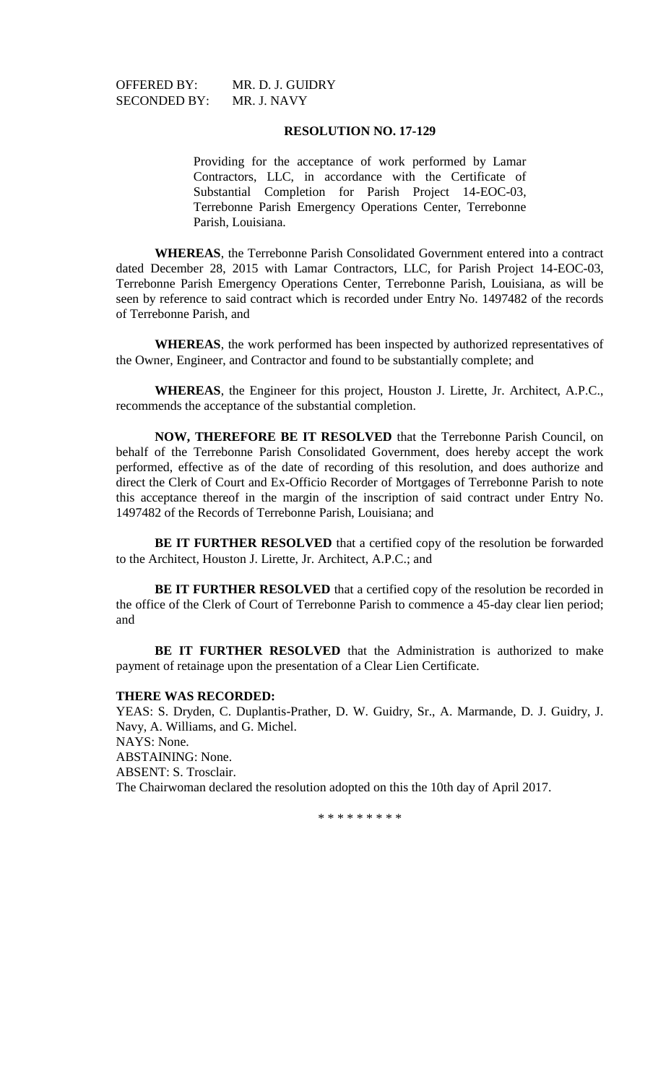SECONDED BY: MR. J. NAVY

OFFERED BY: MR. D. J. GUIDRY

## **RESOLUTION NO. 17-129**

Providing for the acceptance of work performed by Lamar Contractors, LLC, in accordance with the Certificate of Substantial Completion for Parish Project 14-EOC-03, Terrebonne Parish Emergency Operations Center, Terrebonne Parish, Louisiana.

**WHEREAS**, the Terrebonne Parish Consolidated Government entered into a contract dated December 28, 2015 with Lamar Contractors, LLC, for Parish Project 14-EOC-03, Terrebonne Parish Emergency Operations Center, Terrebonne Parish, Louisiana, as will be seen by reference to said contract which is recorded under Entry No. 1497482 of the records of Terrebonne Parish, and

**WHEREAS**, the work performed has been inspected by authorized representatives of the Owner, Engineer, and Contractor and found to be substantially complete; and

**WHEREAS**, the Engineer for this project, Houston J. Lirette, Jr. Architect, A.P.C., recommends the acceptance of the substantial completion.

**NOW, THEREFORE BE IT RESOLVED** that the Terrebonne Parish Council, on behalf of the Terrebonne Parish Consolidated Government, does hereby accept the work performed, effective as of the date of recording of this resolution, and does authorize and direct the Clerk of Court and Ex-Officio Recorder of Mortgages of Terrebonne Parish to note this acceptance thereof in the margin of the inscription of said contract under Entry No. 1497482 of the Records of Terrebonne Parish, Louisiana; and

**BE IT FURTHER RESOLVED** that a certified copy of the resolution be forwarded to the Architect, Houston J. Lirette, Jr. Architect, A.P.C.; and

**BE IT FURTHER RESOLVED** that a certified copy of the resolution be recorded in the office of the Clerk of Court of Terrebonne Parish to commence a 45-day clear lien period; and

**BE IT FURTHER RESOLVED** that the Administration is authorized to make payment of retainage upon the presentation of a Clear Lien Certificate.

#### **THERE WAS RECORDED:**

YEAS: S. Dryden, C. Duplantis-Prather, D. W. Guidry, Sr., A. Marmande, D. J. Guidry, J. Navy, A. Williams, and G. Michel. NAYS: None. ABSTAINING: None. ABSENT: S. Trosclair. The Chairwoman declared the resolution adopted on this the 10th day of April 2017.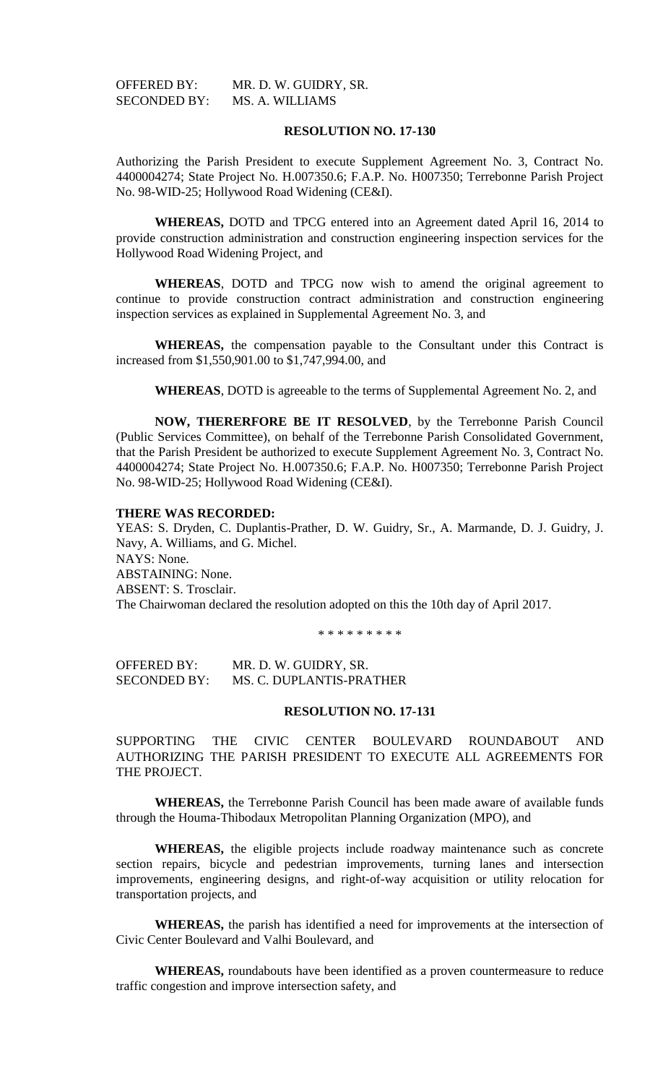| <b>OFFERED BY:</b>  | MR. D. W. GUIDRY, SR. |
|---------------------|-----------------------|
| <b>SECONDED BY:</b> | MS. A. WILLIAMS       |

Authorizing the Parish President to execute Supplement Agreement No. 3, Contract No. 4400004274; State Project No. H.007350.6; F.A.P. No. H007350; Terrebonne Parish Project No. 98-WID-25; Hollywood Road Widening (CE&I).

**WHEREAS,** DOTD and TPCG entered into an Agreement dated April 16, 2014 to provide construction administration and construction engineering inspection services for the Hollywood Road Widening Project, and

**WHEREAS**, DOTD and TPCG now wish to amend the original agreement to continue to provide construction contract administration and construction engineering inspection services as explained in Supplemental Agreement No. 3, and

**WHEREAS,** the compensation payable to the Consultant under this Contract is increased from \$1,550,901.00 to \$1,747,994.00, and

**WHEREAS**, DOTD is agreeable to the terms of Supplemental Agreement No. 2, and

**NOW, THERERFORE BE IT RESOLVED**, by the Terrebonne Parish Council (Public Services Committee), on behalf of the Terrebonne Parish Consolidated Government, that the Parish President be authorized to execute Supplement Agreement No. 3, Contract No. 4400004274; State Project No. H.007350.6; F.A.P. No. H007350; Terrebonne Parish Project No. 98-WID-25; Hollywood Road Widening (CE&I).

### **THERE WAS RECORDED:**

YEAS: S. Dryden, C. Duplantis-Prather, D. W. Guidry, Sr., A. Marmande, D. J. Guidry, J. Navy, A. Williams, and G. Michel. NAYS: None. ABSTAINING: None. ABSENT: S. Trosclair. The Chairwoman declared the resolution adopted on this the 10th day of April 2017.

\* \* \* \* \* \* \* \* \*

OFFERED BY: MR. D. W. GUIDRY, SR. SECONDED BY: MS. C. DUPLANTIS-PRATHER

### **RESOLUTION NO. 17-131**

SUPPORTING THE CIVIC CENTER BOULEVARD ROUNDABOUT AND AUTHORIZING THE PARISH PRESIDENT TO EXECUTE ALL AGREEMENTS FOR THE PROJECT.

**WHEREAS,** the Terrebonne Parish Council has been made aware of available funds through the Houma-Thibodaux Metropolitan Planning Organization (MPO), and

**WHEREAS,** the eligible projects include roadway maintenance such as concrete section repairs, bicycle and pedestrian improvements, turning lanes and intersection improvements, engineering designs, and right-of-way acquisition or utility relocation for transportation projects, and

**WHEREAS,** the parish has identified a need for improvements at the intersection of Civic Center Boulevard and Valhi Boulevard, and

**WHEREAS,** roundabouts have been identified as a proven countermeasure to reduce traffic congestion and improve intersection safety, and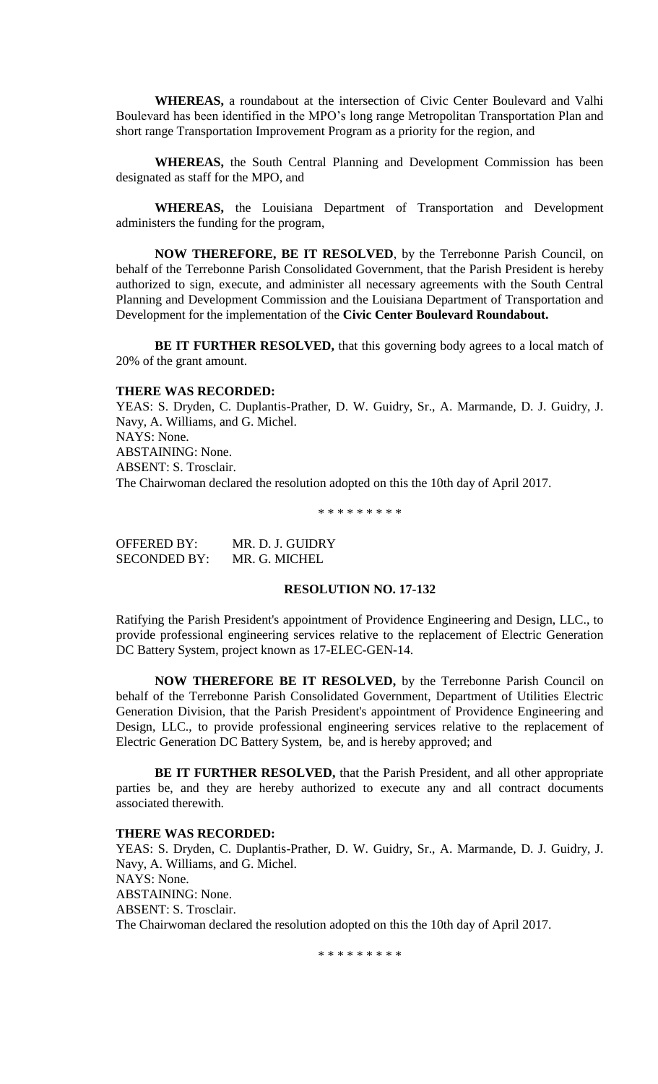**WHEREAS,** a roundabout at the intersection of Civic Center Boulevard and Valhi Boulevard has been identified in the MPO's long range Metropolitan Transportation Plan and short range Transportation Improvement Program as a priority for the region, and

**WHEREAS,** the South Central Planning and Development Commission has been designated as staff for the MPO, and

**WHEREAS,** the Louisiana Department of Transportation and Development administers the funding for the program,

**NOW THEREFORE, BE IT RESOLVED**, by the Terrebonne Parish Council, on behalf of the Terrebonne Parish Consolidated Government, that the Parish President is hereby authorized to sign, execute, and administer all necessary agreements with the South Central Planning and Development Commission and the Louisiana Department of Transportation and Development for the implementation of the **Civic Center Boulevard Roundabout.**

**BE IT FURTHER RESOLVED, that this governing body agrees to a local match of** 20% of the grant amount.

## **THERE WAS RECORDED:**

YEAS: S. Dryden, C. Duplantis-Prather, D. W. Guidry, Sr., A. Marmande, D. J. Guidry, J. Navy, A. Williams, and G. Michel. NAYS: None. ABSTAINING: None. ABSENT: S. Trosclair. The Chairwoman declared the resolution adopted on this the 10th day of April 2017.

\* \* \* \* \* \* \* \* \*

OFFERED BY: MR. D. J. GUIDRY SECONDED BY: MR. G. MICHEL

# **RESOLUTION NO. 17-132**

Ratifying the Parish President's appointment of Providence Engineering and Design, LLC., to provide professional engineering services relative to the replacement of Electric Generation DC Battery System, project known as 17-ELEC-GEN-14.

**NOW THEREFORE BE IT RESOLVED,** by the Terrebonne Parish Council on behalf of the Terrebonne Parish Consolidated Government, Department of Utilities Electric Generation Division, that the Parish President's appointment of Providence Engineering and Design, LLC., to provide professional engineering services relative to the replacement of Electric Generation DC Battery System, be, and is hereby approved; and

**BE IT FURTHER RESOLVED,** that the Parish President, and all other appropriate parties be, and they are hereby authorized to execute any and all contract documents associated therewith.

#### **THERE WAS RECORDED:**

YEAS: S. Dryden, C. Duplantis-Prather, D. W. Guidry, Sr., A. Marmande, D. J. Guidry, J. Navy, A. Williams, and G. Michel. NAYS: None. ABSTAINING: None. ABSENT: S. Trosclair. The Chairwoman declared the resolution adopted on this the 10th day of April 2017.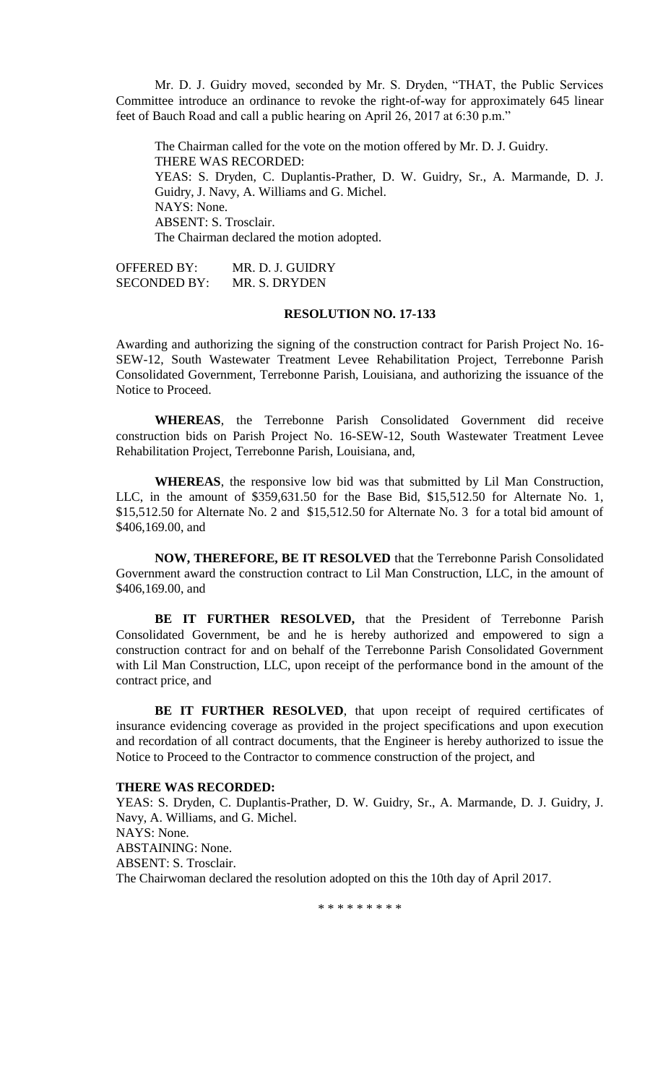Mr. D. J. Guidry moved, seconded by Mr. S. Dryden, "THAT, the Public Services Committee introduce an ordinance to revoke the right-of-way for approximately 645 linear feet of Bauch Road and call a public hearing on April 26, 2017 at 6:30 p.m."

The Chairman called for the vote on the motion offered by Mr. D. J. Guidry. THERE WAS RECORDED: YEAS: S. Dryden, C. Duplantis-Prather, D. W. Guidry, Sr., A. Marmande, D. J. Guidry, J. Navy, A. Williams and G. Michel. NAYS: None. ABSENT: S. Trosclair. The Chairman declared the motion adopted.

OFFERED BY: MR. D. J. GUIDRY SECONDED BY: MR. S. DRYDEN

### **RESOLUTION NO. 17-133**

Awarding and authorizing the signing of the construction contract for Parish Project No. 16- SEW-12, South Wastewater Treatment Levee Rehabilitation Project, Terrebonne Parish Consolidated Government, Terrebonne Parish, Louisiana, and authorizing the issuance of the Notice to Proceed.

**WHEREAS**, the Terrebonne Parish Consolidated Government did receive construction bids on Parish Project No. 16-SEW-12, South Wastewater Treatment Levee Rehabilitation Project, Terrebonne Parish, Louisiana, and,

**WHEREAS**, the responsive low bid was that submitted by Lil Man Construction, LLC, in the amount of \$359,631.50 for the Base Bid, \$15,512.50 for Alternate No. 1, \$15,512.50 for Alternate No. 2 and \$15,512.50 for Alternate No. 3 for a total bid amount of \$406,169.00, and

**NOW, THEREFORE, BE IT RESOLVED** that the Terrebonne Parish Consolidated Government award the construction contract to Lil Man Construction, LLC, in the amount of \$406,169.00, and

**BE IT FURTHER RESOLVED,** that the President of Terrebonne Parish Consolidated Government, be and he is hereby authorized and empowered to sign a construction contract for and on behalf of the Terrebonne Parish Consolidated Government with Lil Man Construction, LLC, upon receipt of the performance bond in the amount of the contract price, and

BE IT FURTHER RESOLVED, that upon receipt of required certificates of insurance evidencing coverage as provided in the project specifications and upon execution and recordation of all contract documents, that the Engineer is hereby authorized to issue the Notice to Proceed to the Contractor to commence construction of the project, and

### **THERE WAS RECORDED:**

YEAS: S. Dryden, C. Duplantis-Prather, D. W. Guidry, Sr., A. Marmande, D. J. Guidry, J. Navy, A. Williams, and G. Michel. NAYS: None. ABSTAINING: None. ABSENT: S. Trosclair. The Chairwoman declared the resolution adopted on this the 10th day of April 2017.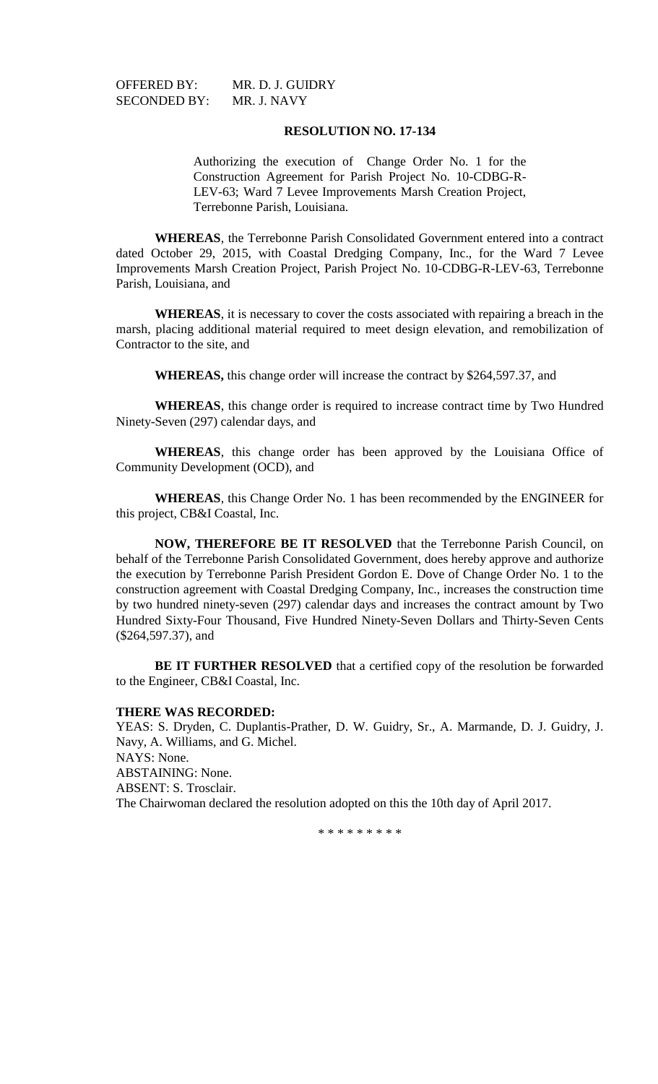SECONDED BY: MR. J. NAVY

OFFERED BY: MR. D. J. GUIDRY

## **RESOLUTION NO. 17-134**

Authorizing the execution of Change Order No. 1 for the Construction Agreement for Parish Project No. 10-CDBG-R-LEV-63; Ward 7 Levee Improvements Marsh Creation Project, Terrebonne Parish, Louisiana.

**WHEREAS**, the Terrebonne Parish Consolidated Government entered into a contract dated October 29, 2015, with Coastal Dredging Company, Inc., for the Ward 7 Levee Improvements Marsh Creation Project, Parish Project No. 10-CDBG-R-LEV-63, Terrebonne Parish, Louisiana, and

**WHEREAS**, it is necessary to cover the costs associated with repairing a breach in the marsh, placing additional material required to meet design elevation, and remobilization of Contractor to the site, and

**WHEREAS,** this change order will increase the contract by \$264,597.37, and

**WHEREAS**, this change order is required to increase contract time by Two Hundred Ninety-Seven (297) calendar days, and

**WHEREAS**, this change order has been approved by the Louisiana Office of Community Development (OCD), and

**WHEREAS**, this Change Order No. 1 has been recommended by the ENGINEER for this project, CB&I Coastal, Inc.

**NOW, THEREFORE BE IT RESOLVED** that the Terrebonne Parish Council, on behalf of the Terrebonne Parish Consolidated Government, does hereby approve and authorize the execution by Terrebonne Parish President Gordon E. Dove of Change Order No. 1 to the construction agreement with Coastal Dredging Company, Inc., increases the construction time by two hundred ninety-seven (297) calendar days and increases the contract amount by Two Hundred Sixty-Four Thousand, Five Hundred Ninety-Seven Dollars and Thirty-Seven Cents (\$264,597.37), and

**BE IT FURTHER RESOLVED** that a certified copy of the resolution be forwarded to the Engineer, CB&I Coastal, Inc.

### **THERE WAS RECORDED:**

YEAS: S. Dryden, C. Duplantis-Prather, D. W. Guidry, Sr., A. Marmande, D. J. Guidry, J. Navy, A. Williams, and G. Michel. NAYS: None. ABSTAINING: None. ABSENT: S. Trosclair. The Chairwoman declared the resolution adopted on this the 10th day of April 2017.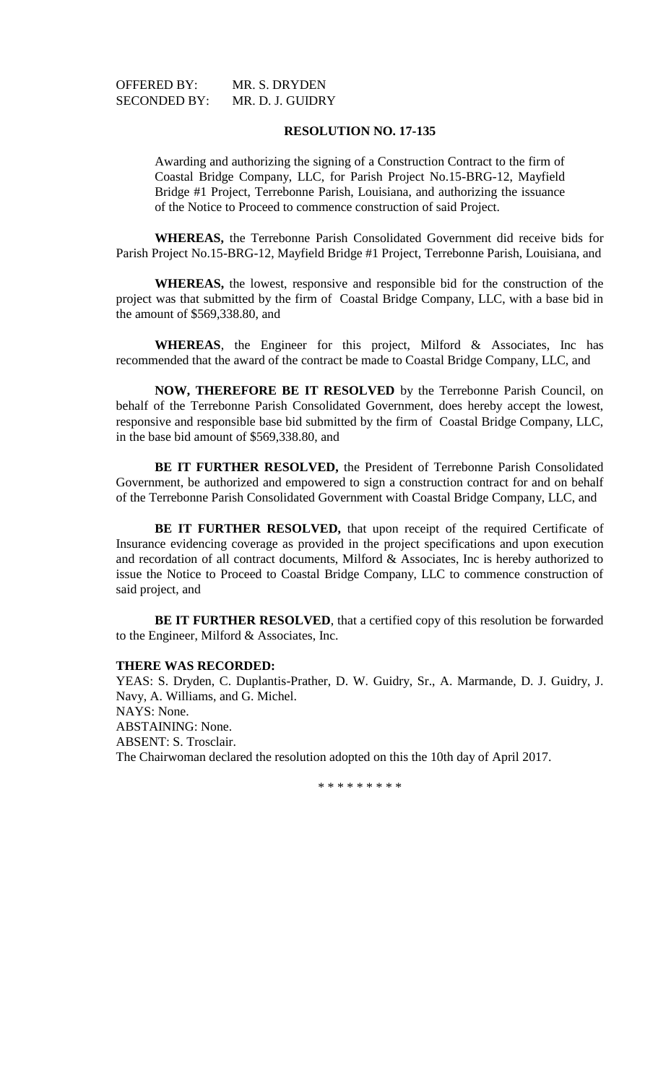| <b>OFFERED BY:</b>  | MR. S. DRYDEN    |
|---------------------|------------------|
| <b>SECONDED BY:</b> | MR. D. J. GUIDRY |

Awarding and authorizing the signing of a Construction Contract to the firm of Coastal Bridge Company, LLC, for Parish Project No.15-BRG-12, Mayfield Bridge #1 Project, Terrebonne Parish, Louisiana, and authorizing the issuance of the Notice to Proceed to commence construction of said Project.

**WHEREAS,** the Terrebonne Parish Consolidated Government did receive bids for Parish Project No.15-BRG-12, Mayfield Bridge #1 Project, Terrebonne Parish, Louisiana, and

**WHEREAS,** the lowest, responsive and responsible bid for the construction of the project was that submitted by the firm of Coastal Bridge Company, LLC, with a base bid in the amount of \$569,338.80, and

**WHEREAS**, the Engineer for this project, Milford & Associates, Inc has recommended that the award of the contract be made to Coastal Bridge Company, LLC, and

**NOW, THEREFORE BE IT RESOLVED** by the Terrebonne Parish Council, on behalf of the Terrebonne Parish Consolidated Government, does hereby accept the lowest, responsive and responsible base bid submitted by the firm of Coastal Bridge Company, LLC, in the base bid amount of \$569,338.80, and

**BE IT FURTHER RESOLVED,** the President of Terrebonne Parish Consolidated Government, be authorized and empowered to sign a construction contract for and on behalf of the Terrebonne Parish Consolidated Government with Coastal Bridge Company, LLC, and

BE IT FURTHER RESOLVED, that upon receipt of the required Certificate of Insurance evidencing coverage as provided in the project specifications and upon execution and recordation of all contract documents, Milford & Associates, Inc is hereby authorized to issue the Notice to Proceed to Coastal Bridge Company, LLC to commence construction of said project, and

**BE IT FURTHER RESOLVED**, that a certified copy of this resolution be forwarded to the Engineer, Milford & Associates, Inc.

## **THERE WAS RECORDED:**

YEAS: S. Dryden, C. Duplantis-Prather, D. W. Guidry, Sr., A. Marmande, D. J. Guidry, J. Navy, A. Williams, and G. Michel. NAYS: None. ABSTAINING: None. ABSENT: S. Trosclair. The Chairwoman declared the resolution adopted on this the 10th day of April 2017.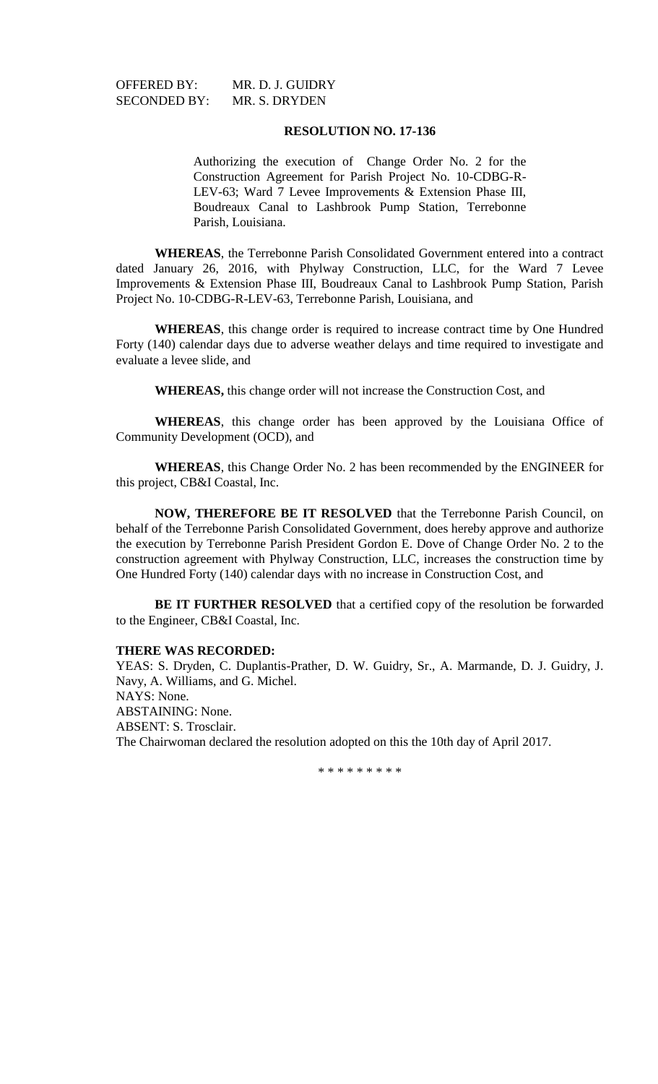SECONDED BY: MR. S. DRYDEN

OFFERED BY: MR. D. J. GUIDRY

# **RESOLUTION NO. 17-136**

Authorizing the execution of Change Order No. 2 for the Construction Agreement for Parish Project No. 10-CDBG-R-LEV-63; Ward 7 Levee Improvements & Extension Phase III, Boudreaux Canal to Lashbrook Pump Station, Terrebonne Parish, Louisiana.

**WHEREAS**, the Terrebonne Parish Consolidated Government entered into a contract dated January 26, 2016, with Phylway Construction, LLC, for the Ward 7 Levee Improvements & Extension Phase III, Boudreaux Canal to Lashbrook Pump Station, Parish Project No. 10-CDBG-R-LEV-63, Terrebonne Parish, Louisiana, and

**WHEREAS**, this change order is required to increase contract time by One Hundred Forty (140) calendar days due to adverse weather delays and time required to investigate and evaluate a levee slide, and

**WHEREAS,** this change order will not increase the Construction Cost, and

**WHEREAS**, this change order has been approved by the Louisiana Office of Community Development (OCD), and

**WHEREAS**, this Change Order No. 2 has been recommended by the ENGINEER for this project, CB&I Coastal, Inc.

**NOW, THEREFORE BE IT RESOLVED** that the Terrebonne Parish Council, on behalf of the Terrebonne Parish Consolidated Government, does hereby approve and authorize the execution by Terrebonne Parish President Gordon E. Dove of Change Order No. 2 to the construction agreement with Phylway Construction, LLC, increases the construction time by One Hundred Forty (140) calendar days with no increase in Construction Cost, and

**BE IT FURTHER RESOLVED** that a certified copy of the resolution be forwarded to the Engineer, CB&I Coastal, Inc.

## **THERE WAS RECORDED:**

YEAS: S. Dryden, C. Duplantis-Prather, D. W. Guidry, Sr., A. Marmande, D. J. Guidry, J. Navy, A. Williams, and G. Michel. NAYS: None. ABSTAINING: None. ABSENT: S. Trosclair. The Chairwoman declared the resolution adopted on this the 10th day of April 2017.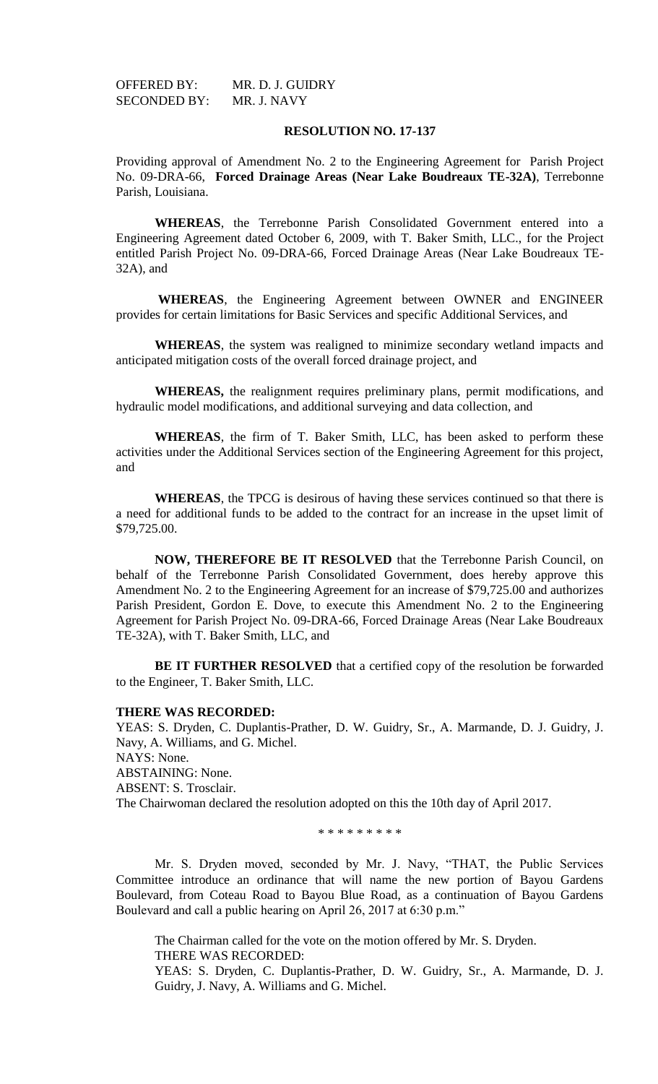OFFERED BY: MR. D. J. GUIDRY SECONDED BY: MR. J. NAVY

# **RESOLUTION NO. 17-137**

Providing approval of Amendment No. 2 to the Engineering Agreement for Parish Project No. 09-DRA-66, **Forced Drainage Areas (Near Lake Boudreaux TE-32A)**, Terrebonne Parish, Louisiana.

**WHEREAS**, the Terrebonne Parish Consolidated Government entered into a Engineering Agreement dated October 6, 2009, with T. Baker Smith, LLC., for the Project entitled Parish Project No. 09-DRA-66, Forced Drainage Areas (Near Lake Boudreaux TE-32A), and

**WHEREAS**, the Engineering Agreement between OWNER and ENGINEER provides for certain limitations for Basic Services and specific Additional Services, and

**WHEREAS**, the system was realigned to minimize secondary wetland impacts and anticipated mitigation costs of the overall forced drainage project, and

**WHEREAS,** the realignment requires preliminary plans, permit modifications, and hydraulic model modifications, and additional surveying and data collection, and

**WHEREAS**, the firm of T. Baker Smith, LLC, has been asked to perform these activities under the Additional Services section of the Engineering Agreement for this project, and

**WHEREAS**, the TPCG is desirous of having these services continued so that there is a need for additional funds to be added to the contract for an increase in the upset limit of \$79,725.00.

**NOW, THEREFORE BE IT RESOLVED** that the Terrebonne Parish Council, on behalf of the Terrebonne Parish Consolidated Government, does hereby approve this Amendment No. 2 to the Engineering Agreement for an increase of \$79,725.00 and authorizes Parish President, Gordon E. Dove, to execute this Amendment No. 2 to the Engineering Agreement for Parish Project No. 09-DRA-66, Forced Drainage Areas (Near Lake Boudreaux TE-32A), with T. Baker Smith, LLC, and

**BE IT FURTHER RESOLVED** that a certified copy of the resolution be forwarded to the Engineer, T. Baker Smith, LLC.

#### **THERE WAS RECORDED:**

YEAS: S. Dryden, C. Duplantis-Prather, D. W. Guidry, Sr., A. Marmande, D. J. Guidry, J. Navy, A. Williams, and G. Michel. NAYS: None.

ABSTAINING: None.

ABSENT: S. Trosclair.

The Chairwoman declared the resolution adopted on this the 10th day of April 2017.

\* \* \* \* \* \* \* \* \*

Mr. S. Dryden moved, seconded by Mr. J. Navy, "THAT, the Public Services Committee introduce an ordinance that will name the new portion of Bayou Gardens Boulevard, from Coteau Road to Bayou Blue Road, as a continuation of Bayou Gardens Boulevard and call a public hearing on April 26, 2017 at 6:30 p.m."

The Chairman called for the vote on the motion offered by Mr. S. Dryden. THERE WAS RECORDED:

YEAS: S. Dryden, C. Duplantis-Prather, D. W. Guidry, Sr., A. Marmande, D. J. Guidry, J. Navy, A. Williams and G. Michel.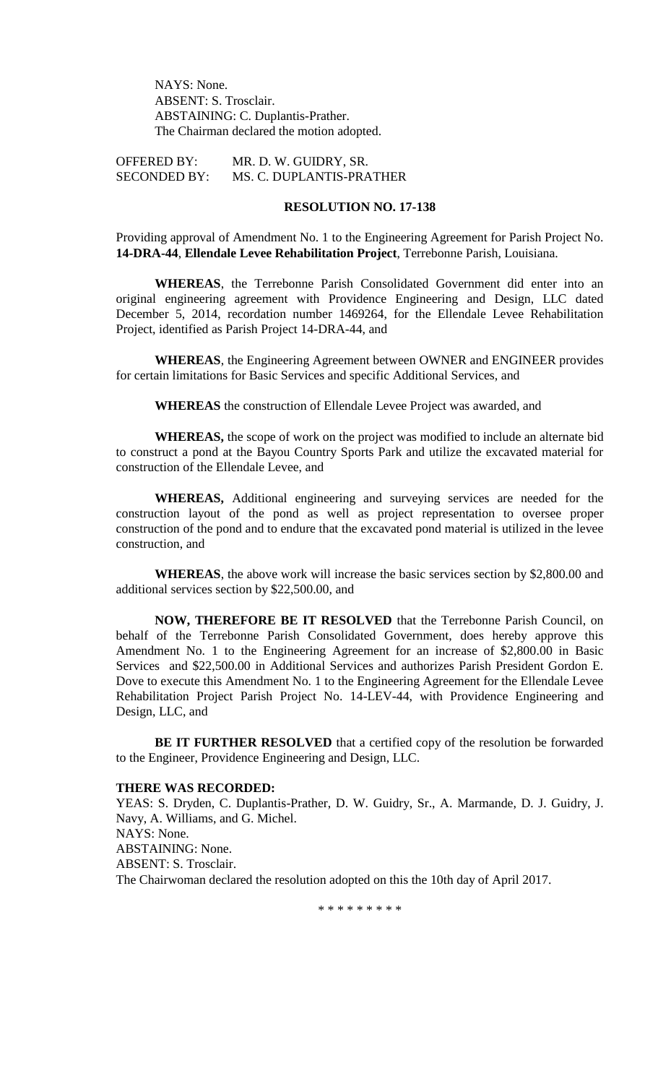NAYS: None. ABSENT: S. Trosclair. ABSTAINING: C. Duplantis-Prather. The Chairman declared the motion adopted.

OFFERED BY: MR. D. W. GUIDRY, SR. SECONDED BY: MS. C. DUPLANTIS-PRATHER

# **RESOLUTION NO. 17-138**

Providing approval of Amendment No. 1 to the Engineering Agreement for Parish Project No. **14-DRA-44**, **Ellendale Levee Rehabilitation Project**, Terrebonne Parish, Louisiana.

**WHEREAS**, the Terrebonne Parish Consolidated Government did enter into an original engineering agreement with Providence Engineering and Design, LLC dated December 5, 2014, recordation number 1469264, for the Ellendale Levee Rehabilitation Project, identified as Parish Project 14-DRA-44, and

**WHEREAS**, the Engineering Agreement between OWNER and ENGINEER provides for certain limitations for Basic Services and specific Additional Services, and

**WHEREAS** the construction of Ellendale Levee Project was awarded, and

**WHEREAS,** the scope of work on the project was modified to include an alternate bid to construct a pond at the Bayou Country Sports Park and utilize the excavated material for construction of the Ellendale Levee, and

**WHEREAS,** Additional engineering and surveying services are needed for the construction layout of the pond as well as project representation to oversee proper construction of the pond and to endure that the excavated pond material is utilized in the levee construction, and

**WHEREAS**, the above work will increase the basic services section by \$2,800.00 and additional services section by \$22,500.00, and

**NOW, THEREFORE BE IT RESOLVED** that the Terrebonne Parish Council, on behalf of the Terrebonne Parish Consolidated Government, does hereby approve this Amendment No. 1 to the Engineering Agreement for an increase of \$2,800.00 in Basic Services and \$22,500.00 in Additional Services and authorizes Parish President Gordon E. Dove to execute this Amendment No. 1 to the Engineering Agreement for the Ellendale Levee Rehabilitation Project Parish Project No. 14-LEV-44, with Providence Engineering and Design, LLC, and

**BE IT FURTHER RESOLVED** that a certified copy of the resolution be forwarded to the Engineer, Providence Engineering and Design, LLC.

## **THERE WAS RECORDED:**

YEAS: S. Dryden, C. Duplantis-Prather, D. W. Guidry, Sr., A. Marmande, D. J. Guidry, J. Navy, A. Williams, and G. Michel. NAYS: None. ABSTAINING: None. ABSENT: S. Trosclair. The Chairwoman declared the resolution adopted on this the 10th day of April 2017.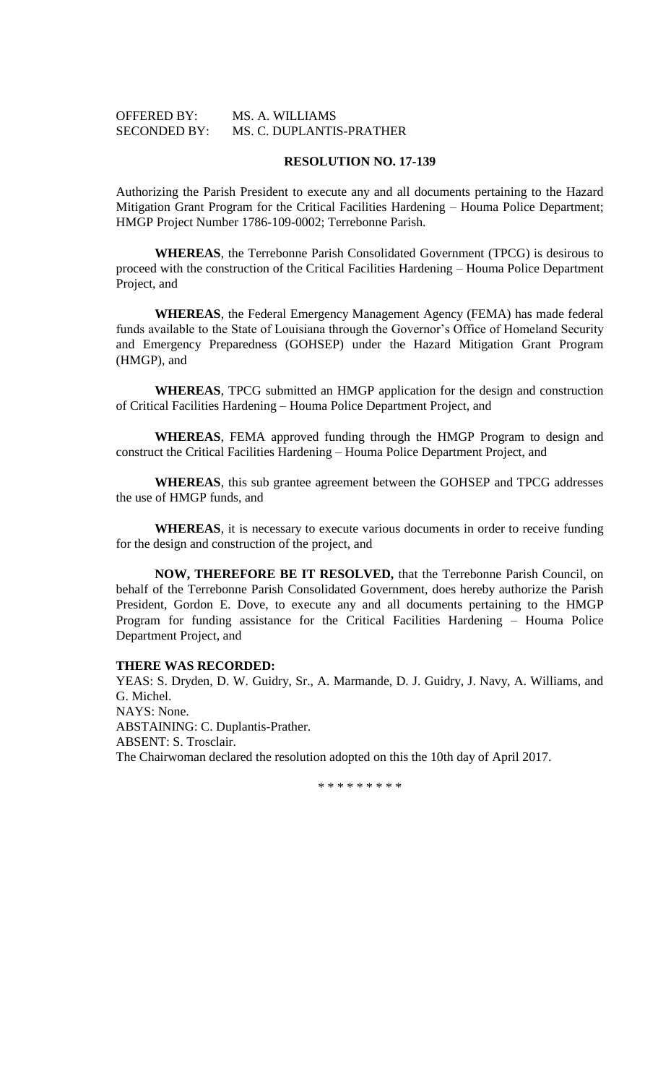| <b>OFFERED BY:</b>  | MS. A. WILLIAMS          |
|---------------------|--------------------------|
| <b>SECONDED BY:</b> | MS. C. DUPLANTIS-PRATHER |

Authorizing the Parish President to execute any and all documents pertaining to the Hazard Mitigation Grant Program for the Critical Facilities Hardening – Houma Police Department; HMGP Project Number 1786-109-0002; Terrebonne Parish.

**WHEREAS**, the Terrebonne Parish Consolidated Government (TPCG) is desirous to proceed with the construction of the Critical Facilities Hardening – Houma Police Department Project, and

**WHEREAS**, the Federal Emergency Management Agency (FEMA) has made federal funds available to the State of Louisiana through the Governor's Office of Homeland Security and Emergency Preparedness (GOHSEP) under the Hazard Mitigation Grant Program (HMGP), and

**WHEREAS**, TPCG submitted an HMGP application for the design and construction of Critical Facilities Hardening – Houma Police Department Project, and

**WHEREAS**, FEMA approved funding through the HMGP Program to design and construct the Critical Facilities Hardening – Houma Police Department Project, and

**WHEREAS**, this sub grantee agreement between the GOHSEP and TPCG addresses the use of HMGP funds, and

**WHEREAS**, it is necessary to execute various documents in order to receive funding for the design and construction of the project, and

**NOW, THEREFORE BE IT RESOLVED,** that the Terrebonne Parish Council, on behalf of the Terrebonne Parish Consolidated Government, does hereby authorize the Parish President, Gordon E. Dove, to execute any and all documents pertaining to the HMGP Program for funding assistance for the Critical Facilities Hardening – Houma Police Department Project, and

## **THERE WAS RECORDED:**

YEAS: S. Dryden, D. W. Guidry, Sr., A. Marmande, D. J. Guidry, J. Navy, A. Williams, and G. Michel. NAYS: None. ABSTAINING: C. Duplantis-Prather. ABSENT: S. Trosclair. The Chairwoman declared the resolution adopted on this the 10th day of April 2017.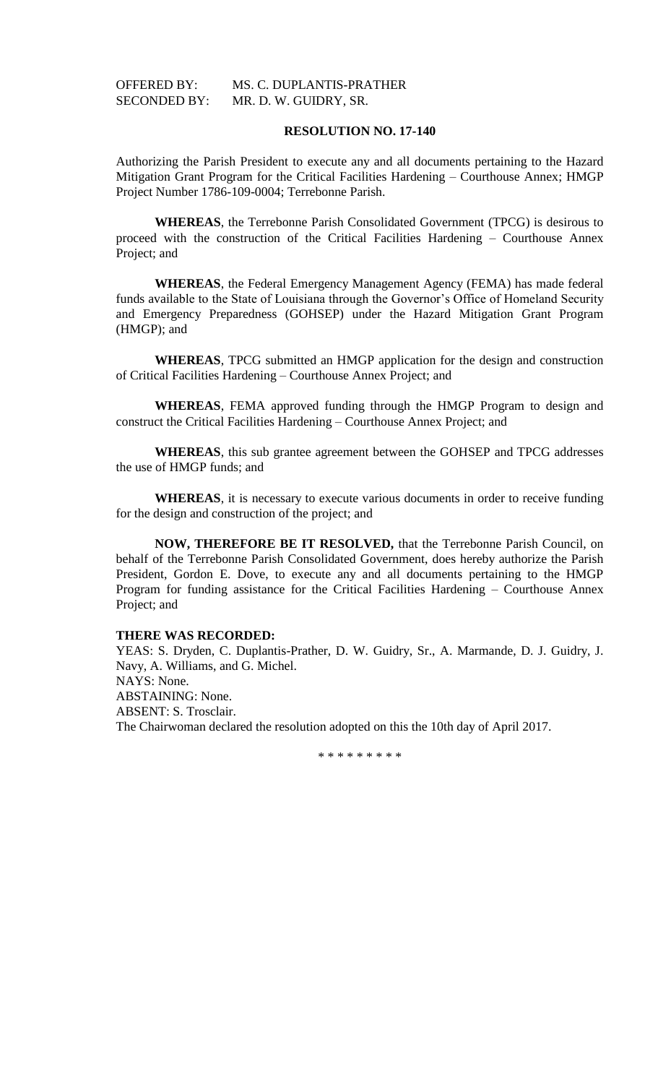# OFFERED BY: MS. C. DUPLANTIS-PRATHER SECONDED BY: MR. D. W. GUIDRY, SR.

# **RESOLUTION NO. 17-140**

Authorizing the Parish President to execute any and all documents pertaining to the Hazard Mitigation Grant Program for the Critical Facilities Hardening – Courthouse Annex; HMGP Project Number 1786-109-0004; Terrebonne Parish.

**WHEREAS**, the Terrebonne Parish Consolidated Government (TPCG) is desirous to proceed with the construction of the Critical Facilities Hardening – Courthouse Annex Project; and

**WHEREAS**, the Federal Emergency Management Agency (FEMA) has made federal funds available to the State of Louisiana through the Governor's Office of Homeland Security and Emergency Preparedness (GOHSEP) under the Hazard Mitigation Grant Program (HMGP); and

**WHEREAS**, TPCG submitted an HMGP application for the design and construction of Critical Facilities Hardening – Courthouse Annex Project; and

**WHEREAS**, FEMA approved funding through the HMGP Program to design and construct the Critical Facilities Hardening – Courthouse Annex Project; and

**WHEREAS**, this sub grantee agreement between the GOHSEP and TPCG addresses the use of HMGP funds; and

**WHEREAS**, it is necessary to execute various documents in order to receive funding for the design and construction of the project; and

**NOW, THEREFORE BE IT RESOLVED,** that the Terrebonne Parish Council, on behalf of the Terrebonne Parish Consolidated Government, does hereby authorize the Parish President, Gordon E. Dove, to execute any and all documents pertaining to the HMGP Program for funding assistance for the Critical Facilities Hardening – Courthouse Annex Project; and

# **THERE WAS RECORDED:**

YEAS: S. Dryden, C. Duplantis-Prather, D. W. Guidry, Sr., A. Marmande, D. J. Guidry, J. Navy, A. Williams, and G. Michel. NAYS: None. ABSTAINING: None. ABSENT: S. Trosclair. The Chairwoman declared the resolution adopted on this the 10th day of April 2017.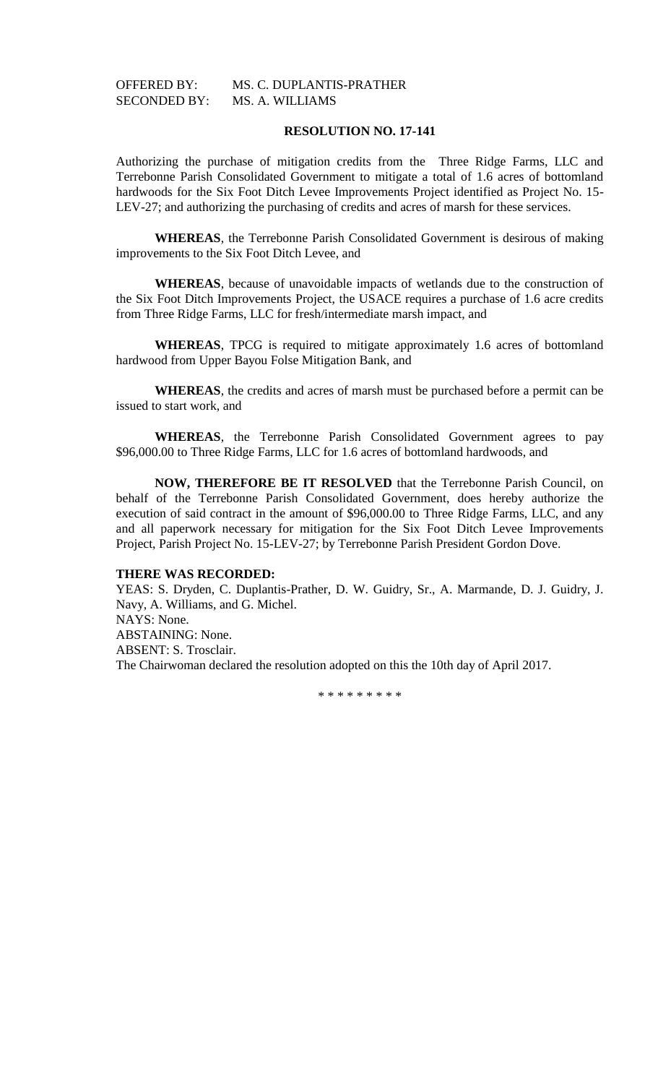# OFFERED BY: MS. C. DUPLANTIS-PRATHER SECONDED BY: MS. A. WILLIAMS

# **RESOLUTION NO. 17-141**

Authorizing the purchase of mitigation credits from the Three Ridge Farms, LLC and Terrebonne Parish Consolidated Government to mitigate a total of 1.6 acres of bottomland hardwoods for the Six Foot Ditch Levee Improvements Project identified as Project No. 15- LEV-27; and authorizing the purchasing of credits and acres of marsh for these services.

**WHEREAS**, the Terrebonne Parish Consolidated Government is desirous of making improvements to the Six Foot Ditch Levee, and

**WHEREAS**, because of unavoidable impacts of wetlands due to the construction of the Six Foot Ditch Improvements Project, the USACE requires a purchase of 1.6 acre credits from Three Ridge Farms, LLC for fresh/intermediate marsh impact, and

**WHEREAS**, TPCG is required to mitigate approximately 1.6 acres of bottomland hardwood from Upper Bayou Folse Mitigation Bank, and

**WHEREAS**, the credits and acres of marsh must be purchased before a permit can be issued to start work, and

**WHEREAS**, the Terrebonne Parish Consolidated Government agrees to pay \$96,000.00 to Three Ridge Farms, LLC for 1.6 acres of bottomland hardwoods, and

**NOW, THEREFORE BE IT RESOLVED** that the Terrebonne Parish Council, on behalf of the Terrebonne Parish Consolidated Government, does hereby authorize the execution of said contract in the amount of \$96,000.00 to Three Ridge Farms, LLC, and any and all paperwork necessary for mitigation for the Six Foot Ditch Levee Improvements Project, Parish Project No. 15-LEV-27; by Terrebonne Parish President Gordon Dove.

#### **THERE WAS RECORDED:**

YEAS: S. Dryden, C. Duplantis-Prather, D. W. Guidry, Sr., A. Marmande, D. J. Guidry, J. Navy, A. Williams, and G. Michel. NAYS: None. ABSTAINING: None. ABSENT: S. Trosclair. The Chairwoman declared the resolution adopted on this the 10th day of April 2017.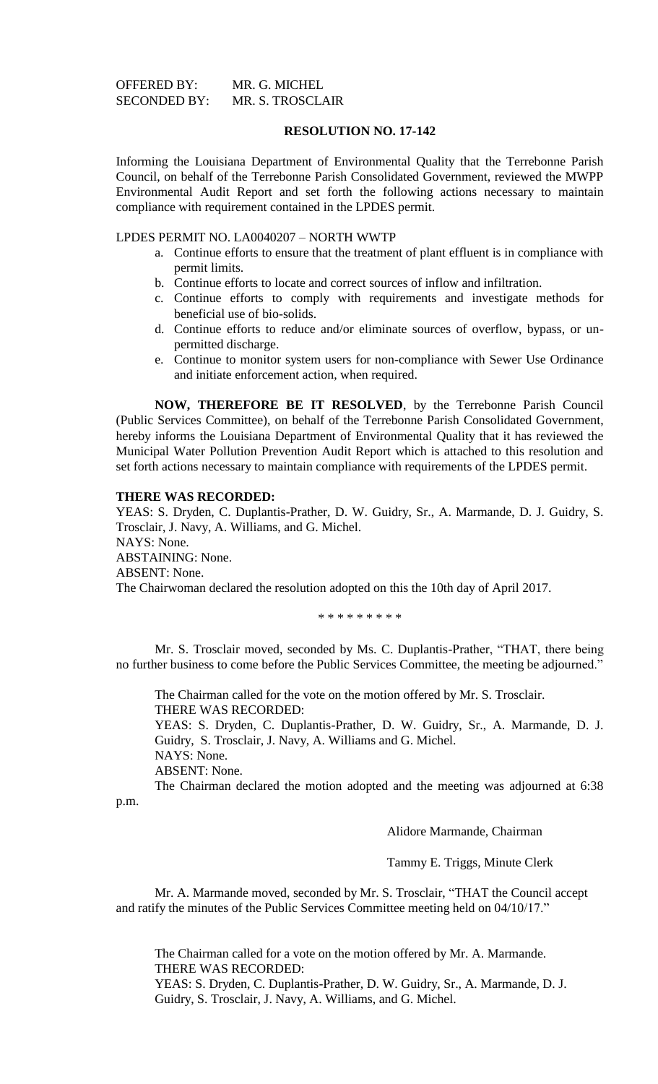OFFERED BY: MR. G. MICHEL SECONDED BY: MR. S. TROSCLAIR

# **RESOLUTION NO. 17-142**

Informing the Louisiana Department of Environmental Quality that the Terrebonne Parish Council, on behalf of the Terrebonne Parish Consolidated Government, reviewed the MWPP Environmental Audit Report and set forth the following actions necessary to maintain compliance with requirement contained in the LPDES permit.

## LPDES PERMIT NO. LA0040207 – NORTH WWTP

- a. Continue efforts to ensure that the treatment of plant effluent is in compliance with permit limits.
- b. Continue efforts to locate and correct sources of inflow and infiltration.
- c. Continue efforts to comply with requirements and investigate methods for beneficial use of bio-solids.
- d. Continue efforts to reduce and/or eliminate sources of overflow, bypass, or unpermitted discharge.
- e. Continue to monitor system users for non-compliance with Sewer Use Ordinance and initiate enforcement action, when required.

**NOW, THEREFORE BE IT RESOLVED**, by the Terrebonne Parish Council (Public Services Committee), on behalf of the Terrebonne Parish Consolidated Government, hereby informs the Louisiana Department of Environmental Quality that it has reviewed the Municipal Water Pollution Prevention Audit Report which is attached to this resolution and set forth actions necessary to maintain compliance with requirements of the LPDES permit.

#### **THERE WAS RECORDED:**

YEAS: S. Dryden, C. Duplantis-Prather, D. W. Guidry, Sr., A. Marmande, D. J. Guidry, S. Trosclair, J. Navy, A. Williams, and G. Michel. NAYS: None. ABSTAINING: None. ABSENT: None. The Chairwoman declared the resolution adopted on this the 10th day of April 2017.

\* \* \* \* \* \* \* \* \*

Mr. S. Trosclair moved, seconded by Ms. C. Duplantis-Prather, "THAT, there being no further business to come before the Public Services Committee, the meeting be adjourned."

The Chairman called for the vote on the motion offered by Mr. S. Trosclair. THERE WAS RECORDED: YEAS: S. Dryden, C. Duplantis-Prather, D. W. Guidry, Sr., A. Marmande, D. J.

Guidry, S. Trosclair, J. Navy, A. Williams and G. Michel.

NAYS: None.

ABSENT: None.

The Chairman declared the motion adopted and the meeting was adjourned at 6:38 p.m.

Alidore Marmande, Chairman

Tammy E. Triggs, Minute Clerk

Mr. A. Marmande moved, seconded by Mr. S. Trosclair, "THAT the Council accept and ratify the minutes of the Public Services Committee meeting held on 04/10/17."

The Chairman called for a vote on the motion offered by Mr. A. Marmande. THERE WAS RECORDED: YEAS: S. Dryden, C. Duplantis-Prather, D. W. Guidry, Sr., A. Marmande, D. J.

Guidry, S. Trosclair, J. Navy, A. Williams, and G. Michel.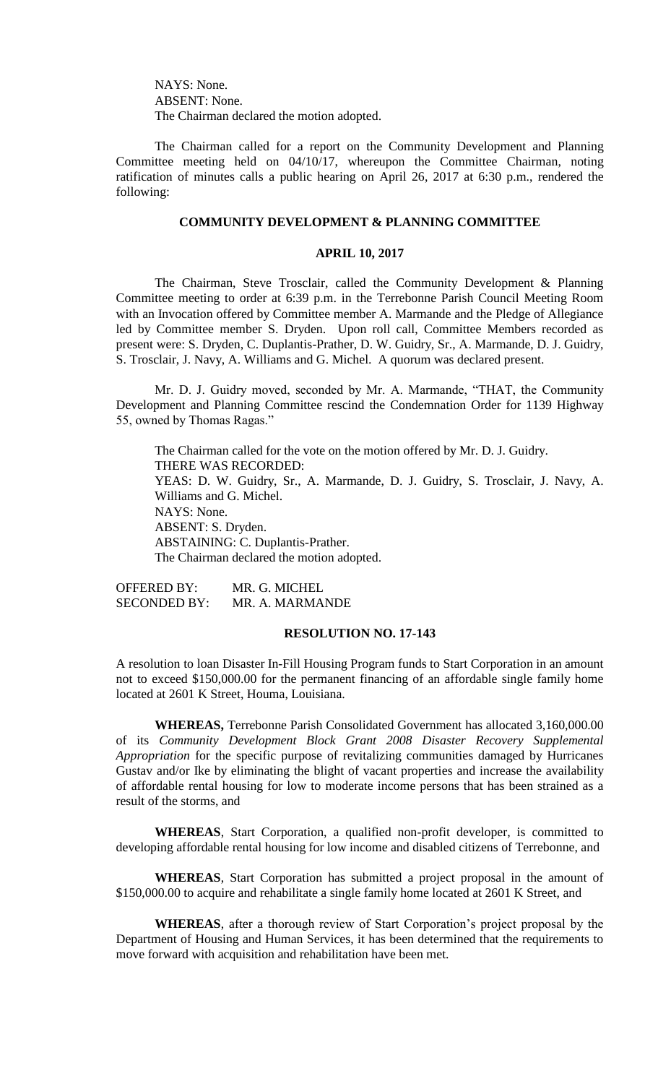NAYS: None. ABSENT: None. The Chairman declared the motion adopted.

The Chairman called for a report on the Community Development and Planning Committee meeting held on 04/10/17, whereupon the Committee Chairman, noting ratification of minutes calls a public hearing on April 26, 2017 at 6:30 p.m., rendered the following:

# **COMMUNITY DEVELOPMENT & PLANNING COMMITTEE**

# **APRIL 10, 2017**

The Chairman, Steve Trosclair, called the Community Development & Planning Committee meeting to order at 6:39 p.m. in the Terrebonne Parish Council Meeting Room with an Invocation offered by Committee member A. Marmande and the Pledge of Allegiance led by Committee member S. Dryden. Upon roll call, Committee Members recorded as present were: S. Dryden, C. Duplantis-Prather, D. W. Guidry, Sr., A. Marmande, D. J. Guidry, S. Trosclair, J. Navy, A. Williams and G. Michel. A quorum was declared present.

Mr. D. J. Guidry moved, seconded by Mr. A. Marmande, "THAT, the Community Development and Planning Committee rescind the Condemnation Order for 1139 Highway 55, owned by Thomas Ragas."

The Chairman called for the vote on the motion offered by Mr. D. J. Guidry. THERE WAS RECORDED: YEAS: D. W. Guidry, Sr., A. Marmande, D. J. Guidry, S. Trosclair, J. Navy, A. Williams and G. Michel. NAYS: None. ABSENT: S. Dryden. ABSTAINING: C. Duplantis-Prather. The Chairman declared the motion adopted.

OFFERED BY: MR. G. MICHEL SECONDED BY: MR. A. MARMANDE

## **RESOLUTION NO. 17-143**

A resolution to loan Disaster In-Fill Housing Program funds to Start Corporation in an amount not to exceed \$150,000.00 for the permanent financing of an affordable single family home located at 2601 K Street, Houma, Louisiana.

**WHEREAS,** Terrebonne Parish Consolidated Government has allocated 3,160,000.00 of its *Community Development Block Grant 2008 Disaster Recovery Supplemental Appropriation* for the specific purpose of revitalizing communities damaged by Hurricanes Gustav and/or Ike by eliminating the blight of vacant properties and increase the availability of affordable rental housing for low to moderate income persons that has been strained as a result of the storms, and

**WHEREAS**, Start Corporation, a qualified non-profit developer, is committed to developing affordable rental housing for low income and disabled citizens of Terrebonne, and

**WHEREAS**, Start Corporation has submitted a project proposal in the amount of \$150,000.00 to acquire and rehabilitate a single family home located at 2601 K Street, and

**WHEREAS**, after a thorough review of Start Corporation's project proposal by the Department of Housing and Human Services, it has been determined that the requirements to move forward with acquisition and rehabilitation have been met.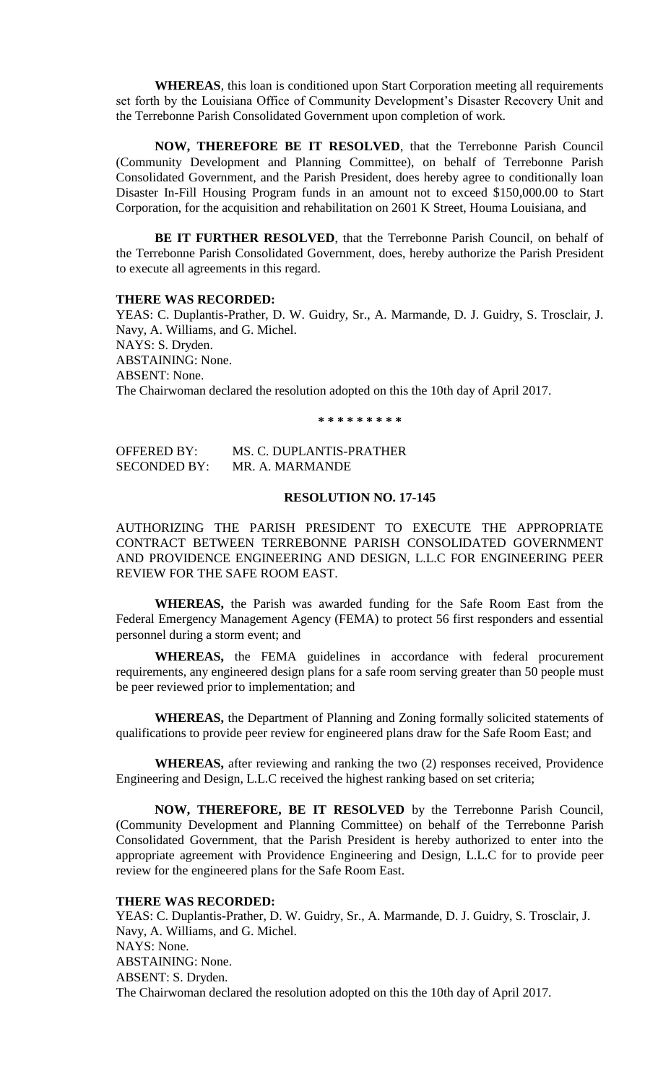**WHEREAS**, this loan is conditioned upon Start Corporation meeting all requirements set forth by the Louisiana Office of Community Development's Disaster Recovery Unit and the Terrebonne Parish Consolidated Government upon completion of work.

**NOW, THEREFORE BE IT RESOLVED**, that the Terrebonne Parish Council (Community Development and Planning Committee), on behalf of Terrebonne Parish Consolidated Government, and the Parish President, does hereby agree to conditionally loan Disaster In-Fill Housing Program funds in an amount not to exceed \$150,000.00 to Start Corporation, for the acquisition and rehabilitation on 2601 K Street, Houma Louisiana, and

**BE IT FURTHER RESOLVED**, that the Terrebonne Parish Council, on behalf of the Terrebonne Parish Consolidated Government, does, hereby authorize the Parish President to execute all agreements in this regard.

### **THERE WAS RECORDED:**

YEAS: C. Duplantis-Prather, D. W. Guidry, Sr., A. Marmande, D. J. Guidry, S. Trosclair, J. Navy, A. Williams, and G. Michel. NAYS: S. Dryden. ABSTAINING: None. ABSENT: None. The Chairwoman declared the resolution adopted on this the 10th day of April 2017.

**\* \* \* \* \* \* \* \* \***

OFFERED BY: MS. C. DUPLANTIS-PRATHER SECONDED BY: MR. A. MARMANDE

# **RESOLUTION NO. 17-145**

AUTHORIZING THE PARISH PRESIDENT TO EXECUTE THE APPROPRIATE CONTRACT BETWEEN TERREBONNE PARISH CONSOLIDATED GOVERNMENT AND PROVIDENCE ENGINEERING AND DESIGN, L.L.C FOR ENGINEERING PEER REVIEW FOR THE SAFE ROOM EAST.

**WHEREAS,** the Parish was awarded funding for the Safe Room East from the Federal Emergency Management Agency (FEMA) to protect 56 first responders and essential personnel during a storm event; and

**WHEREAS,** the FEMA guidelines in accordance with federal procurement requirements, any engineered design plans for a safe room serving greater than 50 people must be peer reviewed prior to implementation; and

**WHEREAS,** the Department of Planning and Zoning formally solicited statements of qualifications to provide peer review for engineered plans draw for the Safe Room East; and

**WHEREAS,** after reviewing and ranking the two (2) responses received, Providence Engineering and Design, L.L.C received the highest ranking based on set criteria;

**NOW, THEREFORE, BE IT RESOLVED** by the Terrebonne Parish Council, (Community Development and Planning Committee) on behalf of the Terrebonne Parish Consolidated Government, that the Parish President is hereby authorized to enter into the appropriate agreement with Providence Engineering and Design, L.L.C for to provide peer review for the engineered plans for the Safe Room East.

# **THERE WAS RECORDED:**

YEAS: C. Duplantis-Prather, D. W. Guidry, Sr., A. Marmande, D. J. Guidry, S. Trosclair, J. Navy, A. Williams, and G. Michel. NAYS: None. ABSTAINING: None. ABSENT: S. Dryden. The Chairwoman declared the resolution adopted on this the 10th day of April 2017.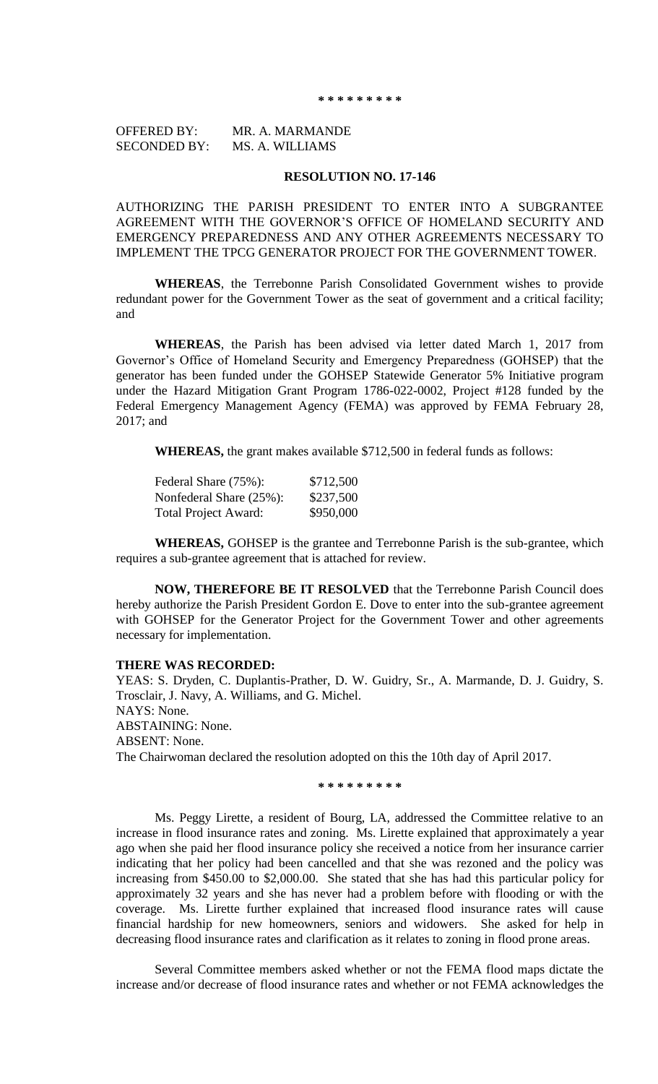**\* \* \* \* \* \* \* \* \***

OFFERED BY: MR. A. MARMANDE SECONDED BY: MS. A. WILLIAMS

# **RESOLUTION NO. 17-146**

AUTHORIZING THE PARISH PRESIDENT TO ENTER INTO A SUBGRANTEE AGREEMENT WITH THE GOVERNOR'S OFFICE OF HOMELAND SECURITY AND EMERGENCY PREPAREDNESS AND ANY OTHER AGREEMENTS NECESSARY TO IMPLEMENT THE TPCG GENERATOR PROJECT FOR THE GOVERNMENT TOWER.

**WHEREAS**, the Terrebonne Parish Consolidated Government wishes to provide redundant power for the Government Tower as the seat of government and a critical facility; and

**WHEREAS**, the Parish has been advised via letter dated March 1, 2017 from Governor's Office of Homeland Security and Emergency Preparedness (GOHSEP) that the generator has been funded under the GOHSEP Statewide Generator 5% Initiative program under the Hazard Mitigation Grant Program 1786-022-0002, Project #128 funded by the Federal Emergency Management Agency (FEMA) was approved by FEMA February 28, 2017; and

**WHEREAS,** the grant makes available \$712,500 in federal funds as follows:

| Federal Share (75%):        | \$712,500 |
|-----------------------------|-----------|
| Nonfederal Share (25%):     | \$237,500 |
| <b>Total Project Award:</b> | \$950,000 |

**WHEREAS,** GOHSEP is the grantee and Terrebonne Parish is the sub-grantee, which requires a sub-grantee agreement that is attached for review.

**NOW, THEREFORE BE IT RESOLVED** that the Terrebonne Parish Council does hereby authorize the Parish President Gordon E. Dove to enter into the sub-grantee agreement with GOHSEP for the Generator Project for the Government Tower and other agreements necessary for implementation.

### **THERE WAS RECORDED:**

YEAS: S. Dryden, C. Duplantis-Prather, D. W. Guidry, Sr., A. Marmande, D. J. Guidry, S. Trosclair, J. Navy, A. Williams, and G. Michel. NAYS: None. ABSTAINING: None. ABSENT: None. The Chairwoman declared the resolution adopted on this the 10th day of April 2017.

**\* \* \* \* \* \* \* \* \***

Ms. Peggy Lirette, a resident of Bourg, LA, addressed the Committee relative to an increase in flood insurance rates and zoning. Ms. Lirette explained that approximately a year ago when she paid her flood insurance policy she received a notice from her insurance carrier indicating that her policy had been cancelled and that she was rezoned and the policy was increasing from \$450.00 to \$2,000.00. She stated that she has had this particular policy for approximately 32 years and she has never had a problem before with flooding or with the coverage. Ms. Lirette further explained that increased flood insurance rates will cause financial hardship for new homeowners, seniors and widowers. She asked for help in decreasing flood insurance rates and clarification as it relates to zoning in flood prone areas.

Several Committee members asked whether or not the FEMA flood maps dictate the increase and/or decrease of flood insurance rates and whether or not FEMA acknowledges the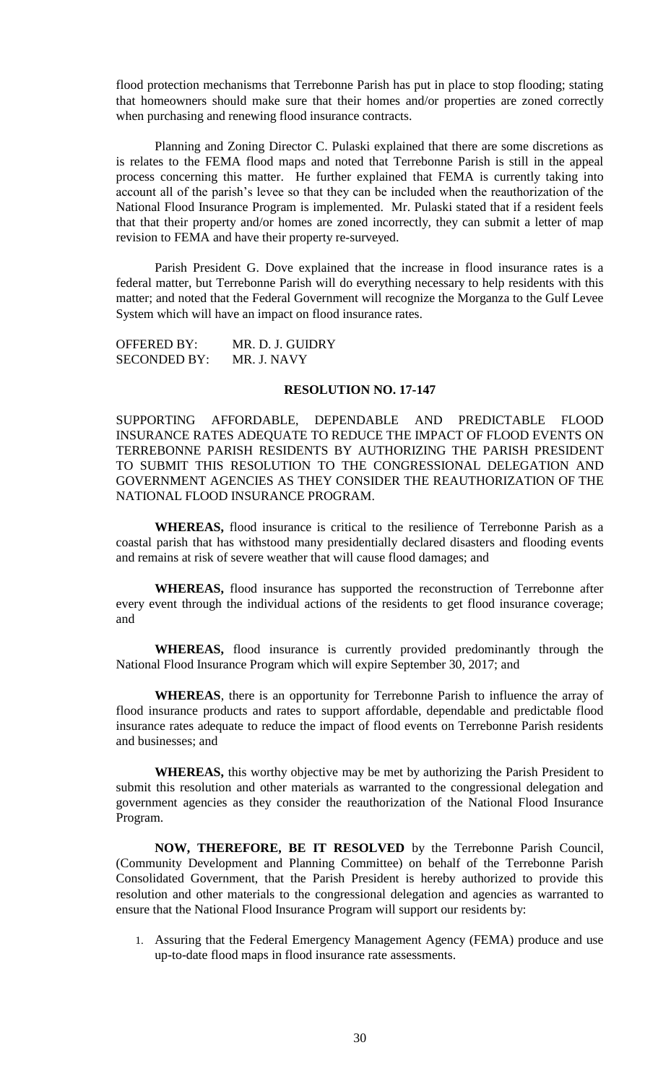flood protection mechanisms that Terrebonne Parish has put in place to stop flooding; stating that homeowners should make sure that their homes and/or properties are zoned correctly when purchasing and renewing flood insurance contracts.

Planning and Zoning Director C. Pulaski explained that there are some discretions as is relates to the FEMA flood maps and noted that Terrebonne Parish is still in the appeal process concerning this matter. He further explained that FEMA is currently taking into account all of the parish's levee so that they can be included when the reauthorization of the National Flood Insurance Program is implemented. Mr. Pulaski stated that if a resident feels that that their property and/or homes are zoned incorrectly, they can submit a letter of map revision to FEMA and have their property re-surveyed.

Parish President G. Dove explained that the increase in flood insurance rates is a federal matter, but Terrebonne Parish will do everything necessary to help residents with this matter; and noted that the Federal Government will recognize the Morganza to the Gulf Levee System which will have an impact on flood insurance rates.

OFFERED BY: MR. D. J. GUIDRY SECONDED BY: MR. J. NAVY

### **RESOLUTION NO. 17-147**

SUPPORTING AFFORDABLE, DEPENDABLE AND PREDICTABLE FLOOD INSURANCE RATES ADEQUATE TO REDUCE THE IMPACT OF FLOOD EVENTS ON TERREBONNE PARISH RESIDENTS BY AUTHORIZING THE PARISH PRESIDENT TO SUBMIT THIS RESOLUTION TO THE CONGRESSIONAL DELEGATION AND GOVERNMENT AGENCIES AS THEY CONSIDER THE REAUTHORIZATION OF THE NATIONAL FLOOD INSURANCE PROGRAM.

**WHEREAS,** flood insurance is critical to the resilience of Terrebonne Parish as a coastal parish that has withstood many presidentially declared disasters and flooding events and remains at risk of severe weather that will cause flood damages; and

**WHEREAS,** flood insurance has supported the reconstruction of Terrebonne after every event through the individual actions of the residents to get flood insurance coverage; and

**WHEREAS,** flood insurance is currently provided predominantly through the National Flood Insurance Program which will expire September 30, 2017; and

**WHEREAS**, there is an opportunity for Terrebonne Parish to influence the array of flood insurance products and rates to support affordable, dependable and predictable flood insurance rates adequate to reduce the impact of flood events on Terrebonne Parish residents and businesses; and

**WHEREAS,** this worthy objective may be met by authorizing the Parish President to submit this resolution and other materials as warranted to the congressional delegation and government agencies as they consider the reauthorization of the National Flood Insurance Program.

**NOW, THEREFORE, BE IT RESOLVED** by the Terrebonne Parish Council, (Community Development and Planning Committee) on behalf of the Terrebonne Parish Consolidated Government, that the Parish President is hereby authorized to provide this resolution and other materials to the congressional delegation and agencies as warranted to ensure that the National Flood Insurance Program will support our residents by:

1. Assuring that the Federal Emergency Management Agency (FEMA) produce and use up-to-date flood maps in flood insurance rate assessments.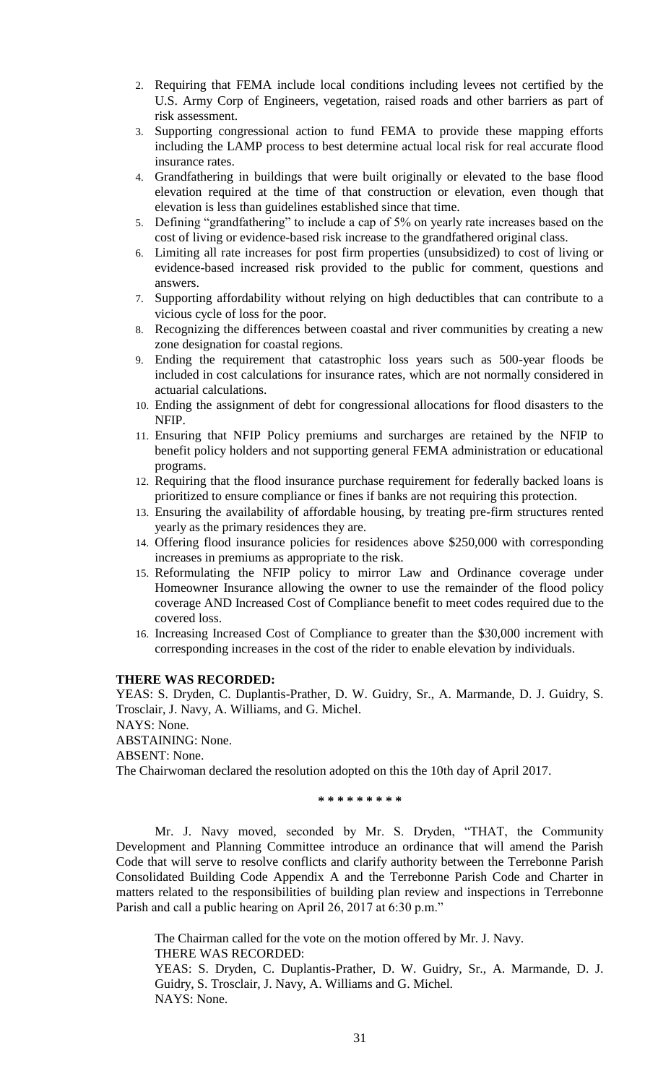- 2. Requiring that FEMA include local conditions including levees not certified by the U.S. Army Corp of Engineers, vegetation, raised roads and other barriers as part of risk assessment.
- 3. Supporting congressional action to fund FEMA to provide these mapping efforts including the LAMP process to best determine actual local risk for real accurate flood insurance rates.
- 4. Grandfathering in buildings that were built originally or elevated to the base flood elevation required at the time of that construction or elevation, even though that elevation is less than guidelines established since that time.
- 5. Defining "grandfathering" to include a cap of 5% on yearly rate increases based on the cost of living or evidence-based risk increase to the grandfathered original class.
- 6. Limiting all rate increases for post firm properties (unsubsidized) to cost of living or evidence-based increased risk provided to the public for comment, questions and answers.
- 7. Supporting affordability without relying on high deductibles that can contribute to a vicious cycle of loss for the poor.
- 8. Recognizing the differences between coastal and river communities by creating a new zone designation for coastal regions.
- 9. Ending the requirement that catastrophic loss years such as 500-year floods be included in cost calculations for insurance rates, which are not normally considered in actuarial calculations.
- 10. Ending the assignment of debt for congressional allocations for flood disasters to the NFIP.
- 11. Ensuring that NFIP Policy premiums and surcharges are retained by the NFIP to benefit policy holders and not supporting general FEMA administration or educational programs.
- 12. Requiring that the flood insurance purchase requirement for federally backed loans is prioritized to ensure compliance or fines if banks are not requiring this protection.
- 13. Ensuring the availability of affordable housing, by treating pre-firm structures rented yearly as the primary residences they are.
- 14. Offering flood insurance policies for residences above \$250,000 with corresponding increases in premiums as appropriate to the risk.
- 15. Reformulating the NFIP policy to mirror Law and Ordinance coverage under Homeowner Insurance allowing the owner to use the remainder of the flood policy coverage AND Increased Cost of Compliance benefit to meet codes required due to the covered loss.
- 16. Increasing Increased Cost of Compliance to greater than the \$30,000 increment with corresponding increases in the cost of the rider to enable elevation by individuals.

# **THERE WAS RECORDED:**

YEAS: S. Dryden, C. Duplantis-Prather, D. W. Guidry, Sr., A. Marmande, D. J. Guidry, S. Trosclair, J. Navy, A. Williams, and G. Michel.

NAYS: None.

ABSTAINING: None.

ABSENT: None.

The Chairwoman declared the resolution adopted on this the 10th day of April 2017.

**\* \* \* \* \* \* \* \* \***

Mr. J. Navy moved, seconded by Mr. S. Dryden, "THAT, the Community Development and Planning Committee introduce an ordinance that will amend the Parish Code that will serve to resolve conflicts and clarify authority between the Terrebonne Parish Consolidated Building Code Appendix A and the Terrebonne Parish Code and Charter in matters related to the responsibilities of building plan review and inspections in Terrebonne Parish and call a public hearing on April 26, 2017 at 6:30 p.m."

The Chairman called for the vote on the motion offered by Mr. J. Navy. THERE WAS RECORDED:

YEAS: S. Dryden, C. Duplantis-Prather, D. W. Guidry, Sr., A. Marmande, D. J. Guidry, S. Trosclair, J. Navy, A. Williams and G. Michel. NAYS: None.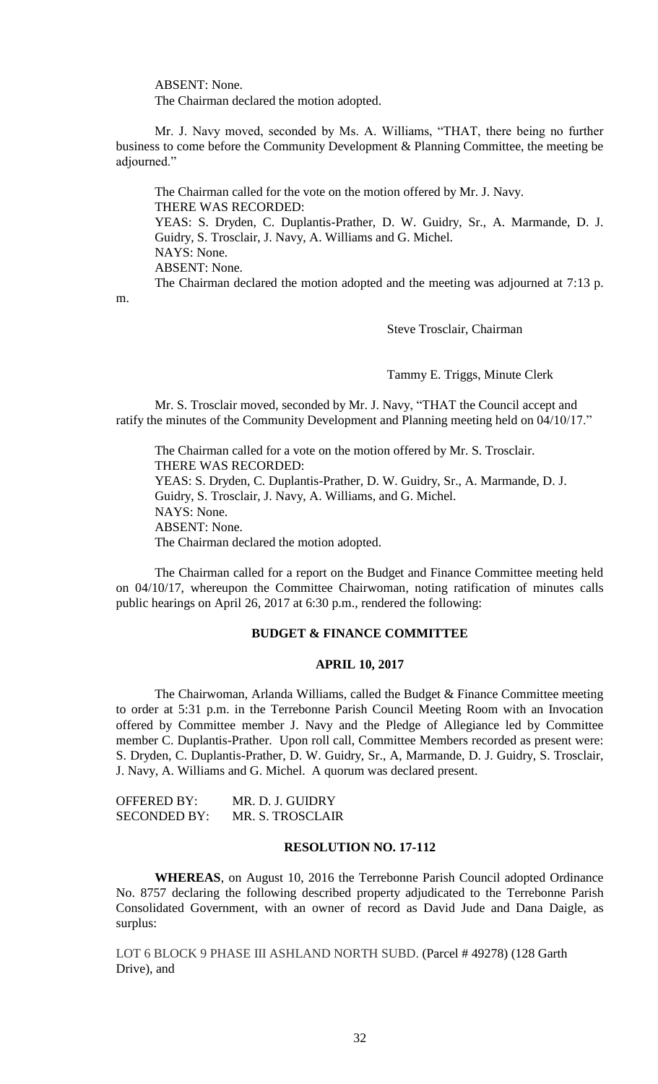ABSENT: None.

The Chairman declared the motion adopted.

Mr. J. Navy moved, seconded by Ms. A. Williams, "THAT, there being no further business to come before the Community Development & Planning Committee, the meeting be adjourned."

The Chairman called for the vote on the motion offered by Mr. J. Navy. THERE WAS RECORDED: YEAS: S. Dryden, C. Duplantis-Prather, D. W. Guidry, Sr., A. Marmande, D. J. Guidry, S. Trosclair, J. Navy, A. Williams and G. Michel. NAYS: None. ABSENT: None. The Chairman declared the motion adopted and the meeting was adjourned at 7:13 p.

m.

Steve Trosclair, Chairman

Tammy E. Triggs, Minute Clerk

Mr. S. Trosclair moved, seconded by Mr. J. Navy, "THAT the Council accept and ratify the minutes of the Community Development and Planning meeting held on 04/10/17."

The Chairman called for a vote on the motion offered by Mr. S. Trosclair. THERE WAS RECORDED: YEAS: S. Dryden, C. Duplantis-Prather, D. W. Guidry, Sr., A. Marmande, D. J. Guidry, S. Trosclair, J. Navy, A. Williams, and G. Michel. NAYS: None. ABSENT: None. The Chairman declared the motion adopted.

The Chairman called for a report on the Budget and Finance Committee meeting held on 04/10/17, whereupon the Committee Chairwoman, noting ratification of minutes calls public hearings on April 26, 2017 at 6:30 p.m., rendered the following:

# **BUDGET & FINANCE COMMITTEE**

# **APRIL 10, 2017**

The Chairwoman, Arlanda Williams, called the Budget & Finance Committee meeting to order at 5:31 p.m. in the Terrebonne Parish Council Meeting Room with an Invocation offered by Committee member J. Navy and the Pledge of Allegiance led by Committee member C. Duplantis-Prather. Upon roll call, Committee Members recorded as present were: S. Dryden, C. Duplantis-Prather, D. W. Guidry, Sr., A, Marmande, D. J. Guidry, S. Trosclair, J. Navy, A. Williams and G. Michel. A quorum was declared present.

| OFFERED BY:         | MR. D. J. GUIDRY |
|---------------------|------------------|
| <b>SECONDED BY:</b> | MR. S. TROSCLAIR |

# **RESOLUTION NO. 17-112**

**WHEREAS**, on August 10, 2016 the Terrebonne Parish Council adopted Ordinance No. 8757 declaring the following described property adjudicated to the Terrebonne Parish Consolidated Government, with an owner of record as David Jude and Dana Daigle, as surplus:

LOT 6 BLOCK 9 PHASE III ASHLAND NORTH SUBD. (Parcel # 49278) (128 Garth Drive), and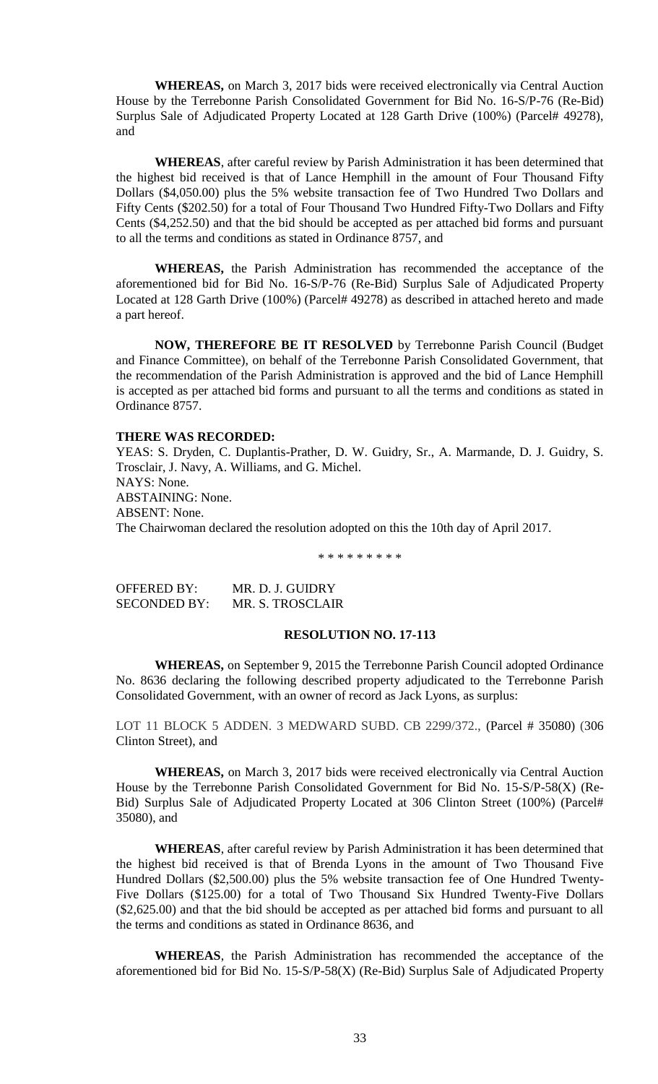**WHEREAS,** on March 3, 2017 bids were received electronically via Central Auction House by the Terrebonne Parish Consolidated Government for Bid No. 16-S/P-76 (Re-Bid) Surplus Sale of Adjudicated Property Located at 128 Garth Drive (100%) (Parcel# 49278), and

**WHEREAS**, after careful review by Parish Administration it has been determined that the highest bid received is that of Lance Hemphill in the amount of Four Thousand Fifty Dollars (\$4,050.00) plus the 5% website transaction fee of Two Hundred Two Dollars and Fifty Cents (\$202.50) for a total of Four Thousand Two Hundred Fifty-Two Dollars and Fifty Cents (\$4,252.50) and that the bid should be accepted as per attached bid forms and pursuant to all the terms and conditions as stated in Ordinance 8757, and

**WHEREAS,** the Parish Administration has recommended the acceptance of the aforementioned bid for Bid No. 16-S/P-76 (Re-Bid) Surplus Sale of Adjudicated Property Located at 128 Garth Drive (100%) (Parcel# 49278) as described in attached hereto and made a part hereof.

**NOW, THEREFORE BE IT RESOLVED** by Terrebonne Parish Council (Budget and Finance Committee), on behalf of the Terrebonne Parish Consolidated Government, that the recommendation of the Parish Administration is approved and the bid of Lance Hemphill is accepted as per attached bid forms and pursuant to all the terms and conditions as stated in Ordinance 8757.

### **THERE WAS RECORDED:**

YEAS: S. Dryden, C. Duplantis-Prather, D. W. Guidry, Sr., A. Marmande, D. J. Guidry, S. Trosclair, J. Navy, A. Williams, and G. Michel. NAYS: None. ABSTAINING: None. ABSENT: None. The Chairwoman declared the resolution adopted on this the 10th day of April 2017.

\* \* \* \* \* \* \* \* \*

| <b>OFFERED BY:</b>  | MR. D. J. GUIDRY |
|---------------------|------------------|
| <b>SECONDED BY:</b> | MR. S. TROSCLAIR |

# **RESOLUTION NO. 17-113**

**WHEREAS,** on September 9, 2015 the Terrebonne Parish Council adopted Ordinance No. 8636 declaring the following described property adjudicated to the Terrebonne Parish Consolidated Government, with an owner of record as Jack Lyons, as surplus:

LOT 11 BLOCK 5 ADDEN. 3 MEDWARD SUBD. CB 2299/372., (Parcel # 35080) (306 Clinton Street), and

**WHEREAS,** on March 3, 2017 bids were received electronically via Central Auction House by the Terrebonne Parish Consolidated Government for Bid No. 15-S/P-58(X) (Re-Bid) Surplus Sale of Adjudicated Property Located at 306 Clinton Street (100%) (Parcel# 35080), and

**WHEREAS**, after careful review by Parish Administration it has been determined that the highest bid received is that of Brenda Lyons in the amount of Two Thousand Five Hundred Dollars (\$2,500.00) plus the 5% website transaction fee of One Hundred Twenty-Five Dollars (\$125.00) for a total of Two Thousand Six Hundred Twenty-Five Dollars (\$2,625.00) and that the bid should be accepted as per attached bid forms and pursuant to all the terms and conditions as stated in Ordinance 8636, and

**WHEREAS**, the Parish Administration has recommended the acceptance of the aforementioned bid for Bid No. 15-S/P-58(X) (Re-Bid) Surplus Sale of Adjudicated Property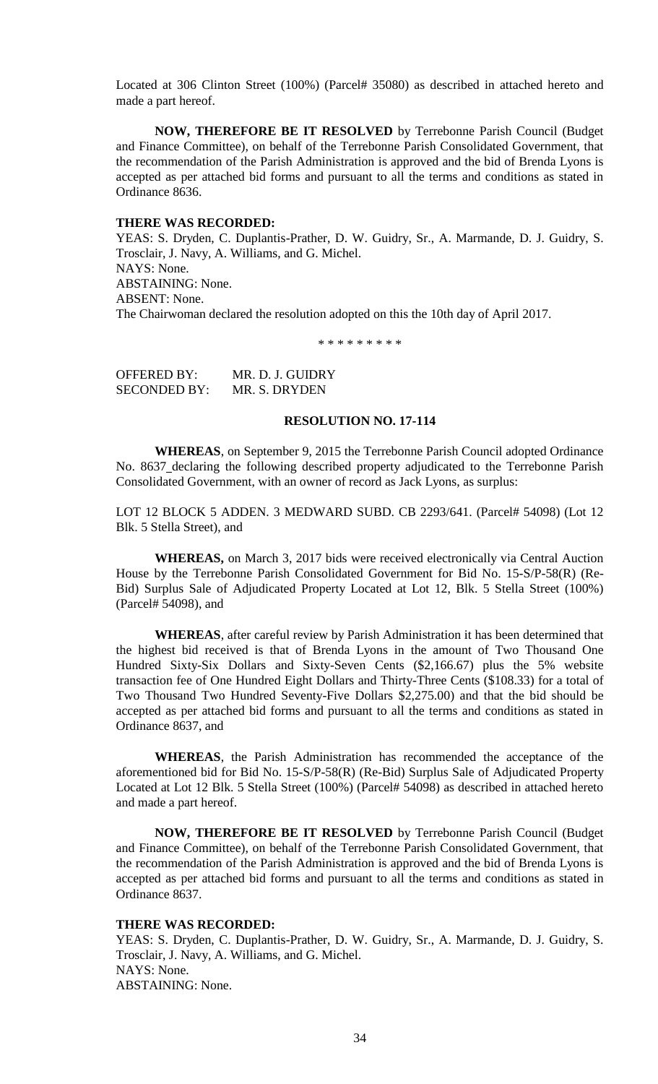Located at 306 Clinton Street (100%) (Parcel# 35080) as described in attached hereto and made a part hereof.

**NOW, THEREFORE BE IT RESOLVED** by Terrebonne Parish Council (Budget and Finance Committee), on behalf of the Terrebonne Parish Consolidated Government, that the recommendation of the Parish Administration is approved and the bid of Brenda Lyons is accepted as per attached bid forms and pursuant to all the terms and conditions as stated in Ordinance 8636.

## **THERE WAS RECORDED:**

YEAS: S. Dryden, C. Duplantis-Prather, D. W. Guidry, Sr., A. Marmande, D. J. Guidry, S. Trosclair, J. Navy, A. Williams, and G. Michel. NAYS: None. ABSTAINING: None. ABSENT: None. The Chairwoman declared the resolution adopted on this the 10th day of April 2017.

\* \* \* \* \* \* \* \* \*

OFFERED BY: MR. D. J. GUIDRY SECONDED BY: MR. S. DRYDEN

## **RESOLUTION NO. 17-114**

**WHEREAS**, on September 9, 2015 the Terrebonne Parish Council adopted Ordinance No. 8637 declaring the following described property adjudicated to the Terrebonne Parish Consolidated Government, with an owner of record as Jack Lyons, as surplus:

LOT 12 BLOCK 5 ADDEN. 3 MEDWARD SUBD. CB 2293/641. (Parcel# 54098) (Lot 12 Blk. 5 Stella Street), and

**WHEREAS,** on March 3, 2017 bids were received electronically via Central Auction House by the Terrebonne Parish Consolidated Government for Bid No. 15-S/P-58(R) (Re-Bid) Surplus Sale of Adjudicated Property Located at Lot 12, Blk. 5 Stella Street (100%) (Parcel# 54098), and

**WHEREAS**, after careful review by Parish Administration it has been determined that the highest bid received is that of Brenda Lyons in the amount of Two Thousand One Hundred Sixty-Six Dollars and Sixty-Seven Cents (\$2,166.67) plus the 5% website transaction fee of One Hundred Eight Dollars and Thirty-Three Cents (\$108.33) for a total of Two Thousand Two Hundred Seventy-Five Dollars \$2,275.00) and that the bid should be accepted as per attached bid forms and pursuant to all the terms and conditions as stated in Ordinance 8637, and

**WHEREAS**, the Parish Administration has recommended the acceptance of the aforementioned bid for Bid No. 15-S/P-58(R) (Re-Bid) Surplus Sale of Adjudicated Property Located at Lot 12 Blk. 5 Stella Street (100%) (Parcel# 54098) as described in attached hereto and made a part hereof.

**NOW, THEREFORE BE IT RESOLVED** by Terrebonne Parish Council (Budget and Finance Committee), on behalf of the Terrebonne Parish Consolidated Government, that the recommendation of the Parish Administration is approved and the bid of Brenda Lyons is accepted as per attached bid forms and pursuant to all the terms and conditions as stated in Ordinance 8637.

#### **THERE WAS RECORDED:**

YEAS: S. Dryden, C. Duplantis-Prather, D. W. Guidry, Sr., A. Marmande, D. J. Guidry, S. Trosclair, J. Navy, A. Williams, and G. Michel. NAYS: None. ABSTAINING: None.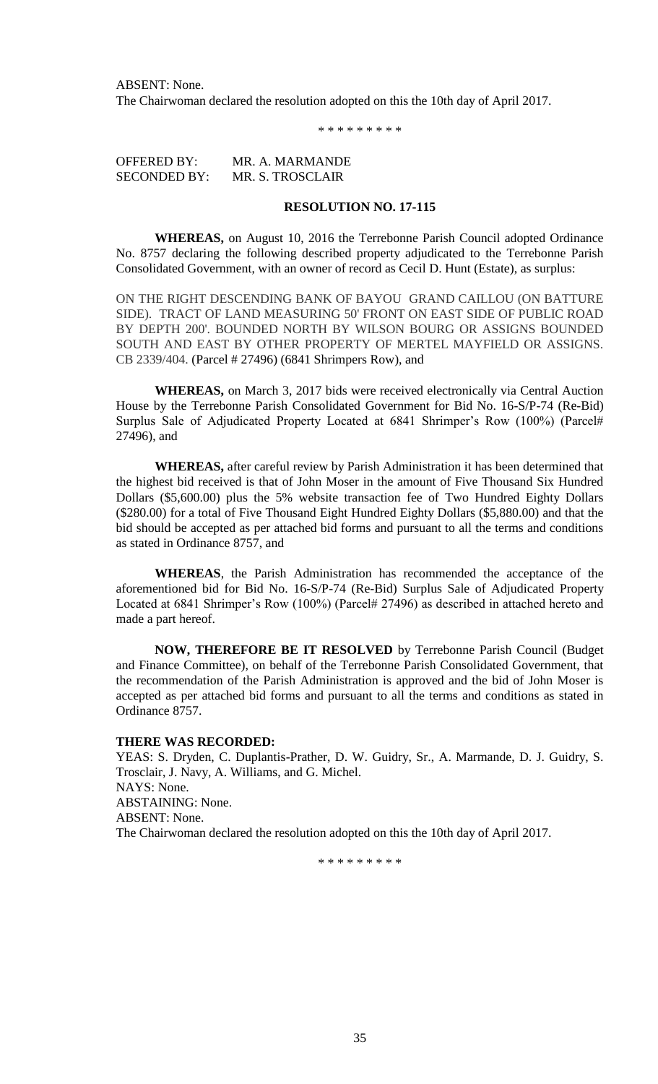ABSENT: None. The Chairwoman declared the resolution adopted on this the 10th day of April 2017.

\* \* \* \* \* \* \* \* \*

OFFERED BY: MR. A. MARMANDE SECONDED BY: MR. S. TROSCLAIR

# **RESOLUTION NO. 17-115**

**WHEREAS,** on August 10, 2016 the Terrebonne Parish Council adopted Ordinance No. 8757 declaring the following described property adjudicated to the Terrebonne Parish Consolidated Government, with an owner of record as Cecil D. Hunt (Estate), as surplus:

ON THE RIGHT DESCENDING BANK OF BAYOU GRAND CAILLOU (ON BATTURE SIDE). TRACT OF LAND MEASURING 50' FRONT ON EAST SIDE OF PUBLIC ROAD BY DEPTH 200'. BOUNDED NORTH BY WILSON BOURG OR ASSIGNS BOUNDED SOUTH AND EAST BY OTHER PROPERTY OF MERTEL MAYFIELD OR ASSIGNS. CB 2339/404. (Parcel # 27496) (6841 Shrimpers Row), and

**WHEREAS,** on March 3, 2017 bids were received electronically via Central Auction House by the Terrebonne Parish Consolidated Government for Bid No. 16-S/P-74 (Re-Bid) Surplus Sale of Adjudicated Property Located at 6841 Shrimper's Row (100%) (Parcel# 27496), and

**WHEREAS,** after careful review by Parish Administration it has been determined that the highest bid received is that of John Moser in the amount of Five Thousand Six Hundred Dollars (\$5,600.00) plus the 5% website transaction fee of Two Hundred Eighty Dollars (\$280.00) for a total of Five Thousand Eight Hundred Eighty Dollars (\$5,880.00) and that the bid should be accepted as per attached bid forms and pursuant to all the terms and conditions as stated in Ordinance 8757, and

**WHEREAS**, the Parish Administration has recommended the acceptance of the aforementioned bid for Bid No. 16-S/P-74 (Re-Bid) Surplus Sale of Adjudicated Property Located at 6841 Shrimper's Row (100%) (Parcel# 27496) as described in attached hereto and made a part hereof.

**NOW, THEREFORE BE IT RESOLVED** by Terrebonne Parish Council (Budget and Finance Committee), on behalf of the Terrebonne Parish Consolidated Government, that the recommendation of the Parish Administration is approved and the bid of John Moser is accepted as per attached bid forms and pursuant to all the terms and conditions as stated in Ordinance 8757.

## **THERE WAS RECORDED:**

YEAS: S. Dryden, C. Duplantis-Prather, D. W. Guidry, Sr., A. Marmande, D. J. Guidry, S. Trosclair, J. Navy, A. Williams, and G. Michel. NAYS: None. ABSTAINING: None. ABSENT: None. The Chairwoman declared the resolution adopted on this the 10th day of April 2017.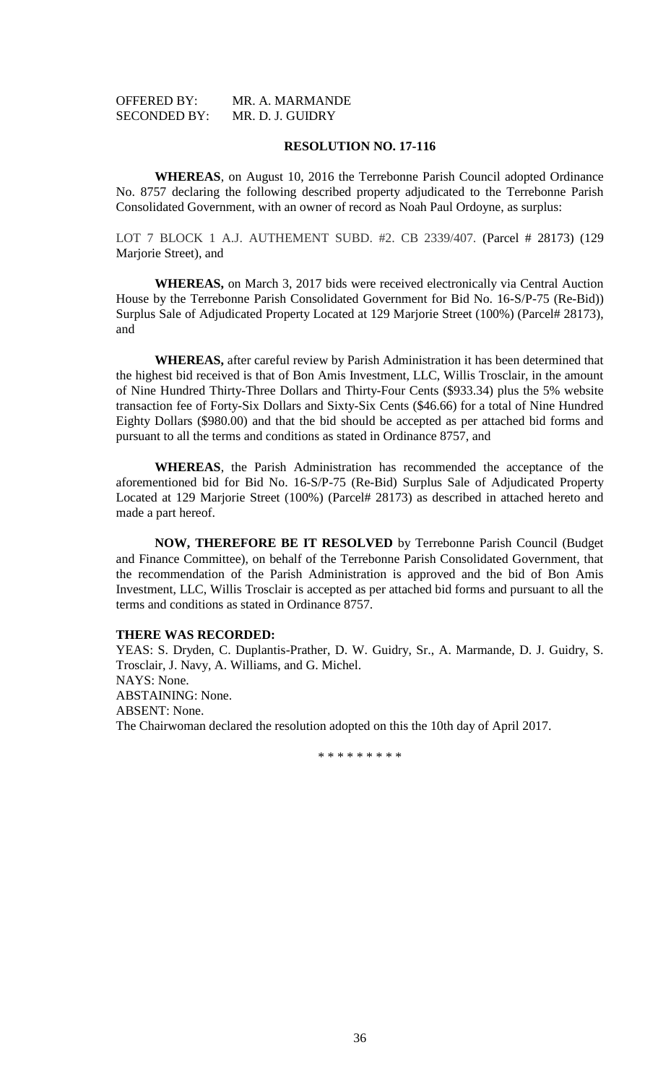| <b>OFFERED BY:</b>  | MR. A. MARMANDE  |
|---------------------|------------------|
| <b>SECONDED BY:</b> | MR. D. J. GUIDRY |

**WHEREAS**, on August 10, 2016 the Terrebonne Parish Council adopted Ordinance No. 8757 declaring the following described property adjudicated to the Terrebonne Parish Consolidated Government, with an owner of record as Noah Paul Ordoyne, as surplus:

LOT 7 BLOCK 1 A.J. AUTHEMENT SUBD. #2. CB 2339/407. (Parcel # 28173) (129 Marjorie Street), and

**WHEREAS,** on March 3, 2017 bids were received electronically via Central Auction House by the Terrebonne Parish Consolidated Government for Bid No. 16-S/P-75 (Re-Bid)) Surplus Sale of Adjudicated Property Located at 129 Marjorie Street (100%) (Parcel# 28173), and

**WHEREAS,** after careful review by Parish Administration it has been determined that the highest bid received is that of Bon Amis Investment, LLC, Willis Trosclair, in the amount of Nine Hundred Thirty-Three Dollars and Thirty-Four Cents (\$933.34) plus the 5% website transaction fee of Forty-Six Dollars and Sixty-Six Cents (\$46.66) for a total of Nine Hundred Eighty Dollars (\$980.00) and that the bid should be accepted as per attached bid forms and pursuant to all the terms and conditions as stated in Ordinance 8757, and

**WHEREAS**, the Parish Administration has recommended the acceptance of the aforementioned bid for Bid No. 16-S/P-75 (Re-Bid) Surplus Sale of Adjudicated Property Located at 129 Marjorie Street (100%) (Parcel# 28173) as described in attached hereto and made a part hereof.

**NOW, THEREFORE BE IT RESOLVED** by Terrebonne Parish Council (Budget and Finance Committee), on behalf of the Terrebonne Parish Consolidated Government, that the recommendation of the Parish Administration is approved and the bid of Bon Amis Investment, LLC, Willis Trosclair is accepted as per attached bid forms and pursuant to all the terms and conditions as stated in Ordinance 8757.

#### **THERE WAS RECORDED:**

YEAS: S. Dryden, C. Duplantis-Prather, D. W. Guidry, Sr., A. Marmande, D. J. Guidry, S. Trosclair, J. Navy, A. Williams, and G. Michel. NAYS: None. ABSTAINING: None. ABSENT: None. The Chairwoman declared the resolution adopted on this the 10th day of April 2017.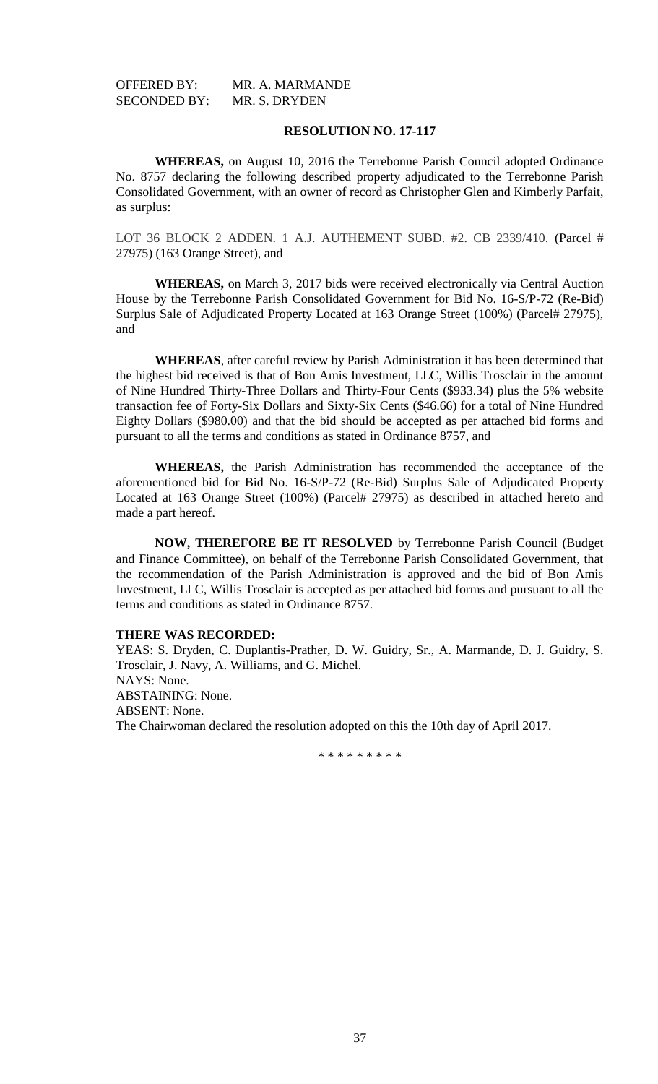OFFERED BY: MR. A. MARMANDE SECONDED BY: MR. S. DRYDEN

# **RESOLUTION NO. 17-117**

**WHEREAS,** on August 10, 2016 the Terrebonne Parish Council adopted Ordinance No. 8757 declaring the following described property adjudicated to the Terrebonne Parish Consolidated Government, with an owner of record as Christopher Glen and Kimberly Parfait, as surplus:

LOT 36 BLOCK 2 ADDEN. 1 A.J. AUTHEMENT SUBD. #2. CB 2339/410. (Parcel # 27975) (163 Orange Street), and

**WHEREAS,** on March 3, 2017 bids were received electronically via Central Auction House by the Terrebonne Parish Consolidated Government for Bid No. 16-S/P-72 (Re-Bid) Surplus Sale of Adjudicated Property Located at 163 Orange Street (100%) (Parcel# 27975), and

**WHEREAS**, after careful review by Parish Administration it has been determined that the highest bid received is that of Bon Amis Investment, LLC, Willis Trosclair in the amount of Nine Hundred Thirty-Three Dollars and Thirty-Four Cents (\$933.34) plus the 5% website transaction fee of Forty-Six Dollars and Sixty-Six Cents (\$46.66) for a total of Nine Hundred Eighty Dollars (\$980.00) and that the bid should be accepted as per attached bid forms and pursuant to all the terms and conditions as stated in Ordinance 8757, and

**WHEREAS,** the Parish Administration has recommended the acceptance of the aforementioned bid for Bid No. 16-S/P-72 (Re-Bid) Surplus Sale of Adjudicated Property Located at 163 Orange Street (100%) (Parcel# 27975) as described in attached hereto and made a part hereof.

**NOW, THEREFORE BE IT RESOLVED** by Terrebonne Parish Council (Budget and Finance Committee), on behalf of the Terrebonne Parish Consolidated Government, that the recommendation of the Parish Administration is approved and the bid of Bon Amis Investment, LLC, Willis Trosclair is accepted as per attached bid forms and pursuant to all the terms and conditions as stated in Ordinance 8757.

## **THERE WAS RECORDED:**

YEAS: S. Dryden, C. Duplantis-Prather, D. W. Guidry, Sr., A. Marmande, D. J. Guidry, S. Trosclair, J. Navy, A. Williams, and G. Michel. NAYS: None. ABSTAINING: None. ABSENT: None. The Chairwoman declared the resolution adopted on this the 10th day of April 2017.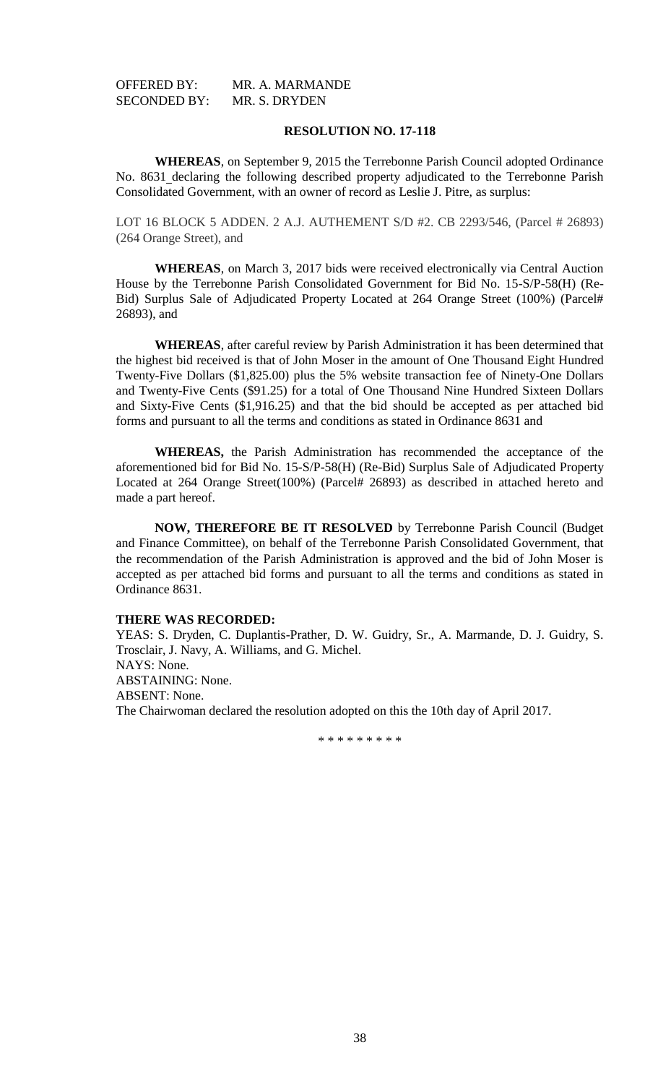| <b>OFFERED BY:</b>  | MR. A. MARMANDE |
|---------------------|-----------------|
| <b>SECONDED BY:</b> | MR. S. DRYDEN   |

**WHEREAS**, on September 9, 2015 the Terrebonne Parish Council adopted Ordinance No. 8631 declaring the following described property adjudicated to the Terrebonne Parish Consolidated Government, with an owner of record as Leslie J. Pitre, as surplus:

LOT 16 BLOCK 5 ADDEN. 2 A.J. AUTHEMENT S/D #2. CB 2293/546, (Parcel # 26893) (264 Orange Street), and

**WHEREAS**, on March 3, 2017 bids were received electronically via Central Auction House by the Terrebonne Parish Consolidated Government for Bid No. 15-S/P-58(H) (Re-Bid) Surplus Sale of Adjudicated Property Located at 264 Orange Street (100%) (Parcel# 26893), and

**WHEREAS**, after careful review by Parish Administration it has been determined that the highest bid received is that of John Moser in the amount of One Thousand Eight Hundred Twenty-Five Dollars (\$1,825.00) plus the 5% website transaction fee of Ninety-One Dollars and Twenty-Five Cents (\$91.25) for a total of One Thousand Nine Hundred Sixteen Dollars and Sixty-Five Cents (\$1,916.25) and that the bid should be accepted as per attached bid forms and pursuant to all the terms and conditions as stated in Ordinance 8631 and

**WHEREAS,** the Parish Administration has recommended the acceptance of the aforementioned bid for Bid No. 15-S/P-58(H) (Re-Bid) Surplus Sale of Adjudicated Property Located at 264 Orange Street(100%) (Parcel# 26893) as described in attached hereto and made a part hereof.

**NOW, THEREFORE BE IT RESOLVED** by Terrebonne Parish Council (Budget and Finance Committee), on behalf of the Terrebonne Parish Consolidated Government, that the recommendation of the Parish Administration is approved and the bid of John Moser is accepted as per attached bid forms and pursuant to all the terms and conditions as stated in Ordinance 8631.

# **THERE WAS RECORDED:**

YEAS: S. Dryden, C. Duplantis-Prather, D. W. Guidry, Sr., A. Marmande, D. J. Guidry, S. Trosclair, J. Navy, A. Williams, and G. Michel. NAYS: None. ABSTAINING: None. ABSENT: None. The Chairwoman declared the resolution adopted on this the 10th day of April 2017.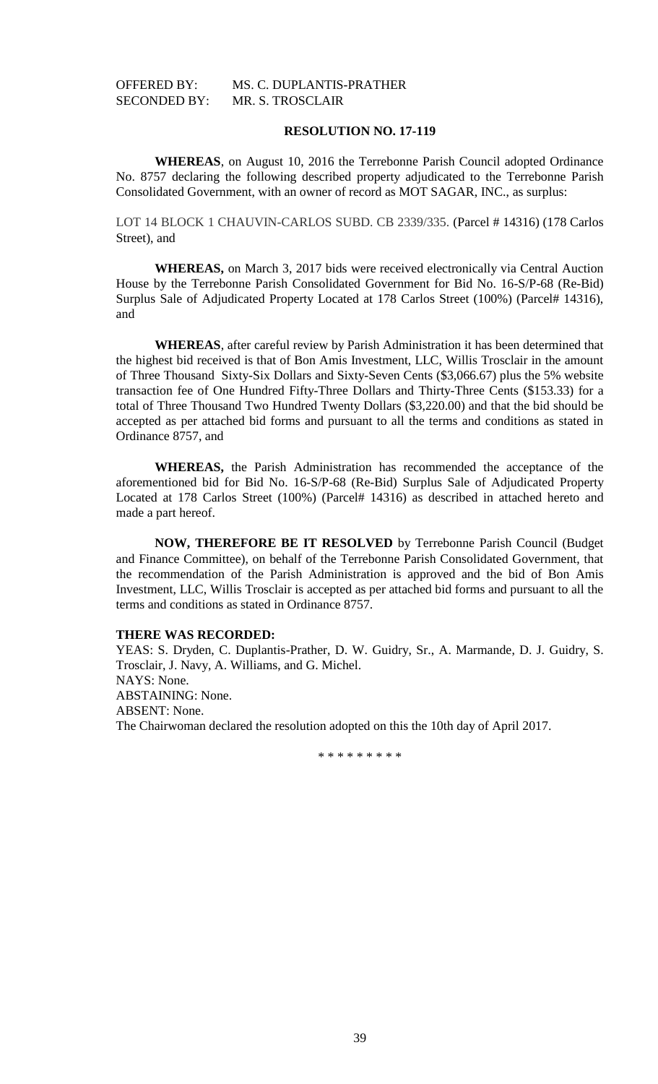# OFFERED BY: MS. C. DUPLANTIS-PRATHER SECONDED BY: MR. S. TROSCLAIR

# **RESOLUTION NO. 17-119**

**WHEREAS**, on August 10, 2016 the Terrebonne Parish Council adopted Ordinance No. 8757 declaring the following described property adjudicated to the Terrebonne Parish Consolidated Government, with an owner of record as MOT SAGAR, INC., as surplus:

LOT 14 BLOCK 1 CHAUVIN-CARLOS SUBD. CB 2339/335. (Parcel # 14316) (178 Carlos Street), and

**WHEREAS,** on March 3, 2017 bids were received electronically via Central Auction House by the Terrebonne Parish Consolidated Government for Bid No. 16-S/P-68 (Re-Bid) Surplus Sale of Adjudicated Property Located at 178 Carlos Street (100%) (Parcel# 14316), and

**WHEREAS**, after careful review by Parish Administration it has been determined that the highest bid received is that of Bon Amis Investment, LLC, Willis Trosclair in the amount of Three Thousand Sixty-Six Dollars and Sixty-Seven Cents (\$3,066.67) plus the 5% website transaction fee of One Hundred Fifty-Three Dollars and Thirty-Three Cents (\$153.33) for a total of Three Thousand Two Hundred Twenty Dollars (\$3,220.00) and that the bid should be accepted as per attached bid forms and pursuant to all the terms and conditions as stated in Ordinance 8757, and

**WHEREAS,** the Parish Administration has recommended the acceptance of the aforementioned bid for Bid No. 16-S/P-68 (Re-Bid) Surplus Sale of Adjudicated Property Located at 178 Carlos Street (100%) (Parcel# 14316) as described in attached hereto and made a part hereof.

**NOW, THEREFORE BE IT RESOLVED** by Terrebonne Parish Council (Budget and Finance Committee), on behalf of the Terrebonne Parish Consolidated Government, that the recommendation of the Parish Administration is approved and the bid of Bon Amis Investment, LLC, Willis Trosclair is accepted as per attached bid forms and pursuant to all the terms and conditions as stated in Ordinance 8757.

#### **THERE WAS RECORDED:**

YEAS: S. Dryden, C. Duplantis-Prather, D. W. Guidry, Sr., A. Marmande, D. J. Guidry, S. Trosclair, J. Navy, A. Williams, and G. Michel. NAYS: None. ABSTAINING: None. ABSENT: None. The Chairwoman declared the resolution adopted on this the 10th day of April 2017.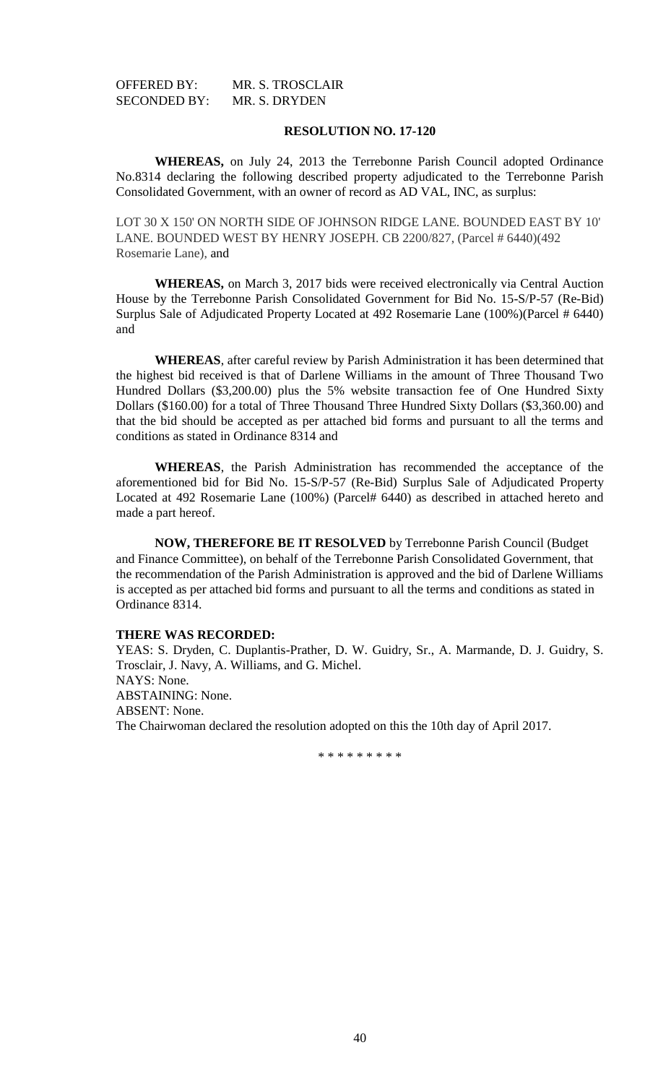| OFFERED BY:         | MR. S. TROSCLAIR |
|---------------------|------------------|
| <b>SECONDED BY:</b> | MR. S. DRYDEN    |

**WHEREAS,** on July 24, 2013 the Terrebonne Parish Council adopted Ordinance No.8314 declaring the following described property adjudicated to the Terrebonne Parish Consolidated Government, with an owner of record as AD VAL, INC, as surplus:

LOT 30 X 150' ON NORTH SIDE OF JOHNSON RIDGE LANE. BOUNDED EAST BY 10' LANE. BOUNDED WEST BY HENRY JOSEPH. CB 2200/827, (Parcel # 6440)(492 Rosemarie Lane), and

**WHEREAS,** on March 3, 2017 bids were received electronically via Central Auction House by the Terrebonne Parish Consolidated Government for Bid No. 15-S/P-57 (Re-Bid) Surplus Sale of Adjudicated Property Located at 492 Rosemarie Lane (100%)(Parcel # 6440) and

**WHEREAS**, after careful review by Parish Administration it has been determined that the highest bid received is that of Darlene Williams in the amount of Three Thousand Two Hundred Dollars (\$3,200.00) plus the 5% website transaction fee of One Hundred Sixty Dollars (\$160.00) for a total of Three Thousand Three Hundred Sixty Dollars (\$3,360.00) and that the bid should be accepted as per attached bid forms and pursuant to all the terms and conditions as stated in Ordinance 8314 and

**WHEREAS**, the Parish Administration has recommended the acceptance of the aforementioned bid for Bid No. 15-S/P-57 (Re-Bid) Surplus Sale of Adjudicated Property Located at 492 Rosemarie Lane (100%) (Parcel# 6440) as described in attached hereto and made a part hereof.

**NOW, THEREFORE BE IT RESOLVED** by Terrebonne Parish Council (Budget and Finance Committee), on behalf of the Terrebonne Parish Consolidated Government, that the recommendation of the Parish Administration is approved and the bid of Darlene Williams is accepted as per attached bid forms and pursuant to all the terms and conditions as stated in Ordinance 8314.

## **THERE WAS RECORDED:**

YEAS: S. Dryden, C. Duplantis-Prather, D. W. Guidry, Sr., A. Marmande, D. J. Guidry, S. Trosclair, J. Navy, A. Williams, and G. Michel. NAYS: None. ABSTAINING: None. ABSENT: None. The Chairwoman declared the resolution adopted on this the 10th day of April 2017.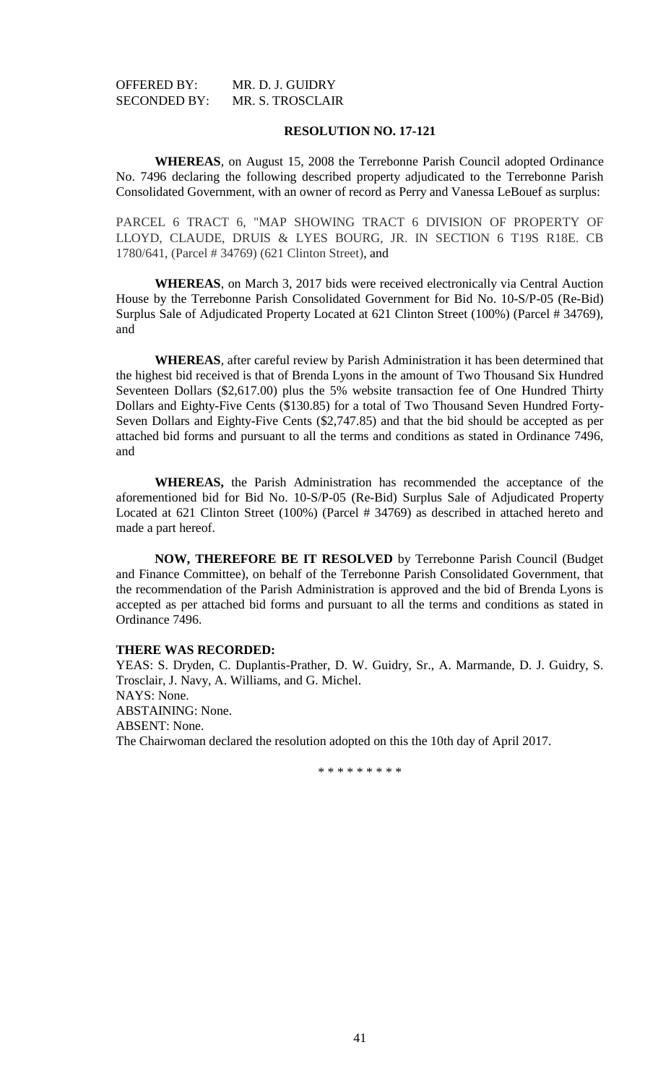| OFFERED BY:         | MR. D. J. GUIDRY        |
|---------------------|-------------------------|
| <b>SECONDED BY:</b> | <b>MR. S. TROSCLAIR</b> |

**WHEREAS**, on August 15, 2008 the Terrebonne Parish Council adopted Ordinance No. 7496 declaring the following described property adjudicated to the Terrebonne Parish Consolidated Government, with an owner of record as Perry and Vanessa LeBouef as surplus:

PARCEL 6 TRACT 6, "MAP SHOWING TRACT 6 DIVISION OF PROPERTY OF LLOYD, CLAUDE, DRUIS & LYES BOURG, JR. IN SECTION 6 T19S R18E. CB 1780/641, (Parcel # 34769) (621 Clinton Street), and

**WHEREAS**, on March 3, 2017 bids were received electronically via Central Auction House by the Terrebonne Parish Consolidated Government for Bid No. 10-S/P-05 (Re-Bid) Surplus Sale of Adjudicated Property Located at 621 Clinton Street (100%) (Parcel # 34769), and

**WHEREAS**, after careful review by Parish Administration it has been determined that the highest bid received is that of Brenda Lyons in the amount of Two Thousand Six Hundred Seventeen Dollars (\$2,617.00) plus the 5% website transaction fee of One Hundred Thirty Dollars and Eighty-Five Cents (\$130.85) for a total of Two Thousand Seven Hundred Forty-Seven Dollars and Eighty-Five Cents (\$2,747.85) and that the bid should be accepted as per attached bid forms and pursuant to all the terms and conditions as stated in Ordinance 7496, and

**WHEREAS,** the Parish Administration has recommended the acceptance of the aforementioned bid for Bid No. 10-S/P-05 (Re-Bid) Surplus Sale of Adjudicated Property Located at 621 Clinton Street (100%) (Parcel # 34769) as described in attached hereto and made a part hereof.

**NOW, THEREFORE BE IT RESOLVED** by Terrebonne Parish Council (Budget and Finance Committee), on behalf of the Terrebonne Parish Consolidated Government, that the recommendation of the Parish Administration is approved and the bid of Brenda Lyons is accepted as per attached bid forms and pursuant to all the terms and conditions as stated in Ordinance 7496.

## **THERE WAS RECORDED:**

YEAS: S. Dryden, C. Duplantis-Prather, D. W. Guidry, Sr., A. Marmande, D. J. Guidry, S. Trosclair, J. Navy, A. Williams, and G. Michel. NAYS: None. ABSTAINING: None. ABSENT: None. The Chairwoman declared the resolution adopted on this the 10th day of April 2017.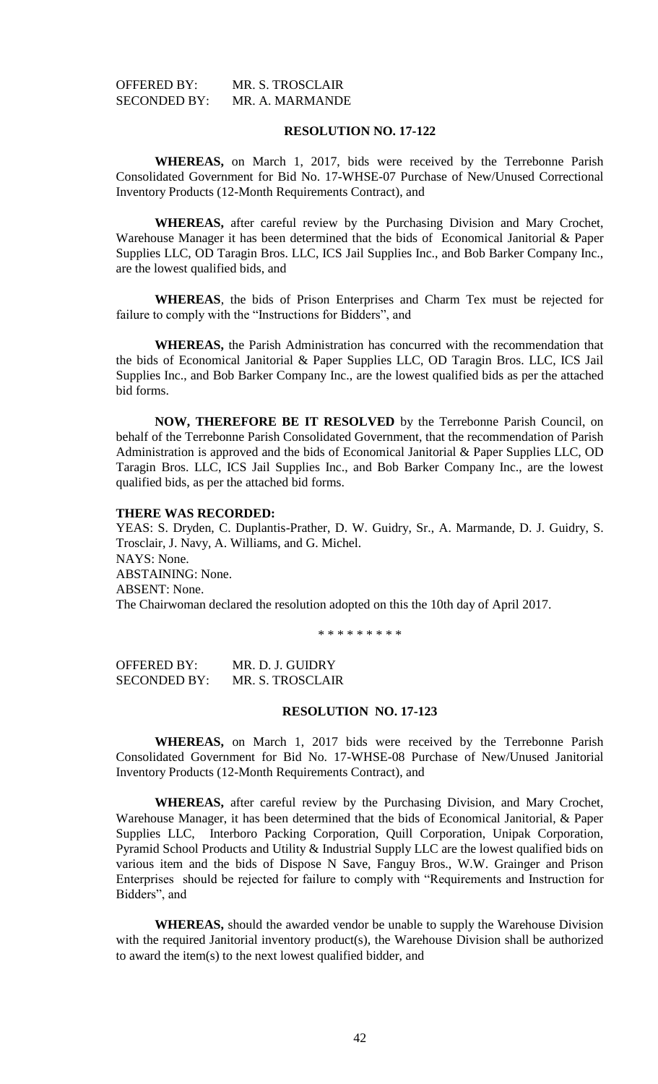| <b>OFFERED BY:</b>  | MR. S. TROSCLAIR |
|---------------------|------------------|
| <b>SECONDED BY:</b> | MR. A. MARMANDE  |

**WHEREAS,** on March 1, 2017, bids were received by the Terrebonne Parish Consolidated Government for Bid No. 17-WHSE-07 Purchase of New/Unused Correctional Inventory Products (12-Month Requirements Contract), and

**WHEREAS,** after careful review by the Purchasing Division and Mary Crochet, Warehouse Manager it has been determined that the bids of Economical Janitorial & Paper Supplies LLC, OD Taragin Bros. LLC, ICS Jail Supplies Inc., and Bob Barker Company Inc., are the lowest qualified bids, and

**WHEREAS**, the bids of Prison Enterprises and Charm Tex must be rejected for failure to comply with the "Instructions for Bidders", and

**WHEREAS,** the Parish Administration has concurred with the recommendation that the bids of Economical Janitorial & Paper Supplies LLC, OD Taragin Bros. LLC, ICS Jail Supplies Inc., and Bob Barker Company Inc., are the lowest qualified bids as per the attached bid forms.

**NOW, THEREFORE BE IT RESOLVED** by the Terrebonne Parish Council, on behalf of the Terrebonne Parish Consolidated Government, that the recommendation of Parish Administration is approved and the bids of Economical Janitorial & Paper Supplies LLC, OD Taragin Bros. LLC, ICS Jail Supplies Inc., and Bob Barker Company Inc., are the lowest qualified bids, as per the attached bid forms.

### **THERE WAS RECORDED:**

YEAS: S. Dryden, C. Duplantis-Prather, D. W. Guidry, Sr., A. Marmande, D. J. Guidry, S. Trosclair, J. Navy, A. Williams, and G. Michel. NAYS: None. ABSTAINING: None. ABSENT: None. The Chairwoman declared the resolution adopted on this the 10th day of April 2017.

\* \* \* \* \* \* \* \* \*

OFFERED BY: MR. D. J. GUIDRY SECONDED BY: MR. S. TROSCLAIR

## **RESOLUTION NO. 17-123**

**WHEREAS,** on March 1, 2017 bids were received by the Terrebonne Parish Consolidated Government for Bid No. 17-WHSE-08 Purchase of New/Unused Janitorial Inventory Products (12-Month Requirements Contract), and

**WHEREAS,** after careful review by the Purchasing Division, and Mary Crochet, Warehouse Manager, it has been determined that the bids of Economical Janitorial, & Paper Supplies LLC, Interboro Packing Corporation, Quill Corporation, Unipak Corporation, Pyramid School Products and Utility & Industrial Supply LLC are the lowest qualified bids on various item and the bids of Dispose N Save, Fanguy Bros., W.W. Grainger and Prison Enterprises should be rejected for failure to comply with "Requirements and Instruction for Bidders", and

**WHEREAS,** should the awarded vendor be unable to supply the Warehouse Division with the required Janitorial inventory product(s), the Warehouse Division shall be authorized to award the item(s) to the next lowest qualified bidder, and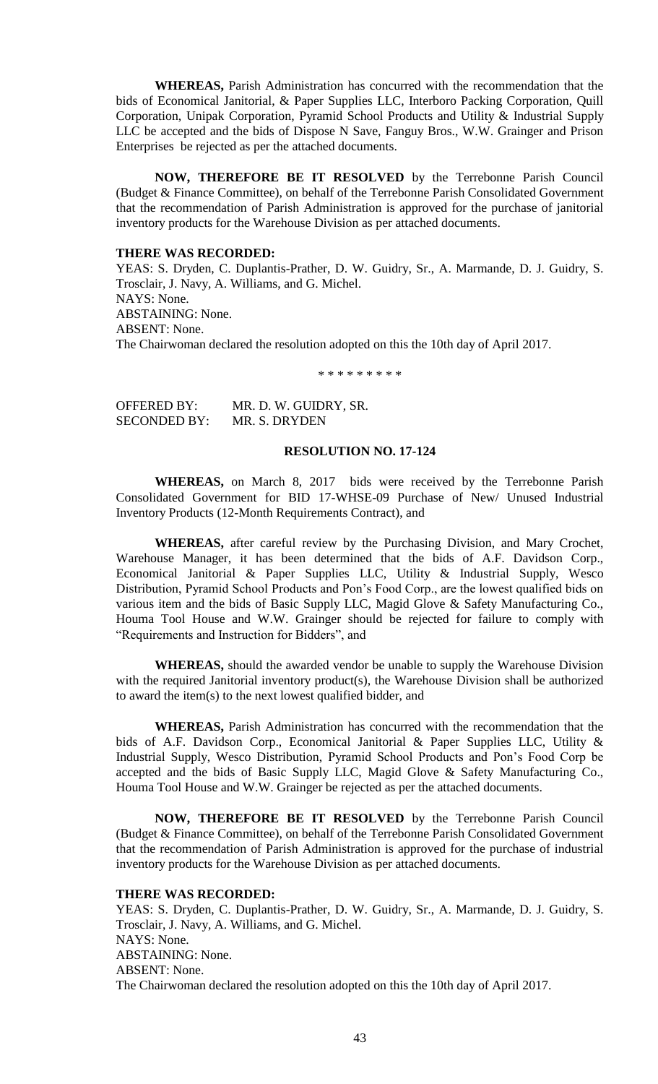**WHEREAS,** Parish Administration has concurred with the recommendation that the bids of Economical Janitorial, & Paper Supplies LLC, Interboro Packing Corporation, Quill Corporation, Unipak Corporation, Pyramid School Products and Utility & Industrial Supply LLC be accepted and the bids of Dispose N Save, Fanguy Bros., W.W. Grainger and Prison Enterprises be rejected as per the attached documents.

**NOW, THEREFORE BE IT RESOLVED** by the Terrebonne Parish Council (Budget & Finance Committee), on behalf of the Terrebonne Parish Consolidated Government that the recommendation of Parish Administration is approved for the purchase of janitorial inventory products for the Warehouse Division as per attached documents.

## **THERE WAS RECORDED:**

YEAS: S. Dryden, C. Duplantis-Prather, D. W. Guidry, Sr., A. Marmande, D. J. Guidry, S. Trosclair, J. Navy, A. Williams, and G. Michel. NAYS: None. ABSTAINING: None. ABSENT: None. The Chairwoman declared the resolution adopted on this the 10th day of April 2017.

\* \* \* \* \* \* \* \* \*

| <b>OFFERED BY:</b>  | MR. D. W. GUIDRY, SR. |
|---------------------|-----------------------|
| <b>SECONDED BY:</b> | MR. S. DRYDEN         |

### **RESOLUTION NO. 17-124**

**WHEREAS,** on March 8, 2017 bids were received by the Terrebonne Parish Consolidated Government for BID 17-WHSE-09 Purchase of New/ Unused Industrial Inventory Products (12-Month Requirements Contract), and

**WHEREAS,** after careful review by the Purchasing Division, and Mary Crochet, Warehouse Manager, it has been determined that the bids of A.F. Davidson Corp., Economical Janitorial & Paper Supplies LLC, Utility & Industrial Supply, Wesco Distribution, Pyramid School Products and Pon's Food Corp., are the lowest qualified bids on various item and the bids of Basic Supply LLC, Magid Glove & Safety Manufacturing Co., Houma Tool House and W.W. Grainger should be rejected for failure to comply with "Requirements and Instruction for Bidders", and

**WHEREAS,** should the awarded vendor be unable to supply the Warehouse Division with the required Janitorial inventory product(s), the Warehouse Division shall be authorized to award the item(s) to the next lowest qualified bidder, and

**WHEREAS,** Parish Administration has concurred with the recommendation that the bids of A.F. Davidson Corp., Economical Janitorial & Paper Supplies LLC, Utility & Industrial Supply, Wesco Distribution, Pyramid School Products and Pon's Food Corp be accepted and the bids of Basic Supply LLC, Magid Glove & Safety Manufacturing Co., Houma Tool House and W.W. Grainger be rejected as per the attached documents.

**NOW, THEREFORE BE IT RESOLVED** by the Terrebonne Parish Council (Budget & Finance Committee), on behalf of the Terrebonne Parish Consolidated Government that the recommendation of Parish Administration is approved for the purchase of industrial inventory products for the Warehouse Division as per attached documents.

#### **THERE WAS RECORDED:**

YEAS: S. Dryden, C. Duplantis-Prather, D. W. Guidry, Sr., A. Marmande, D. J. Guidry, S. Trosclair, J. Navy, A. Williams, and G. Michel. NAYS: None. ABSTAINING: None. ABSENT: None. The Chairwoman declared the resolution adopted on this the 10th day of April 2017.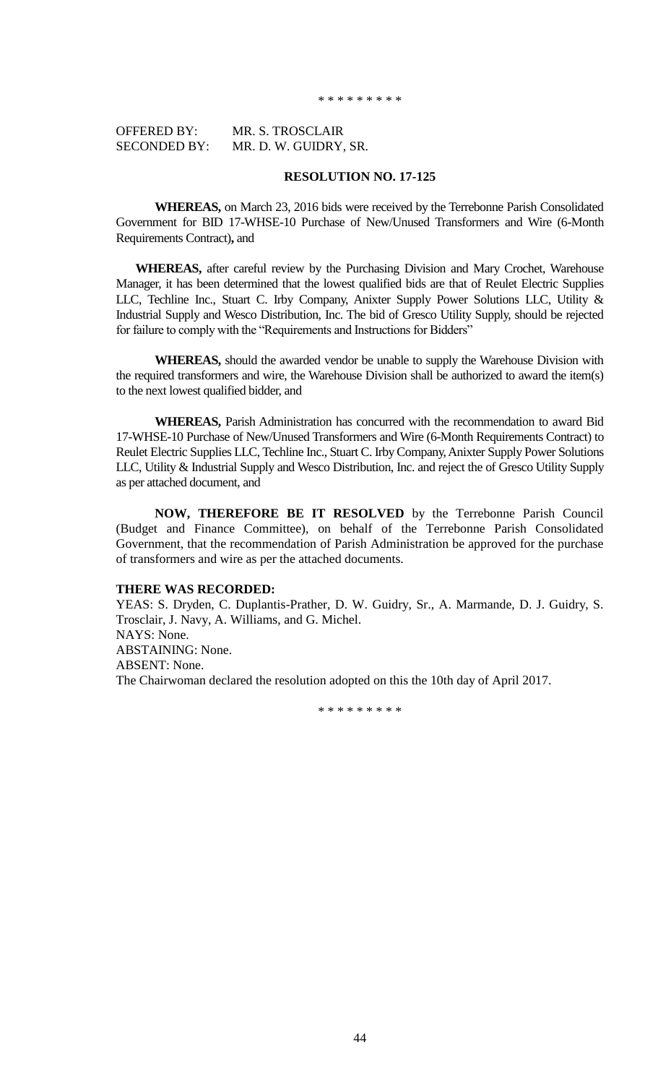#### \* \* \* \* \* \* \* \* \*

| <b>OFFERED BY:</b>  | MR. S. TROSCLAIR      |
|---------------------|-----------------------|
| <b>SECONDED BY:</b> | MR. D. W. GUIDRY, SR. |

# **RESOLUTION NO. 17-125**

**WHEREAS,** on March 23, 2016 bids were received by the Terrebonne Parish Consolidated Government for BID 17-WHSE-10 Purchase of New/Unused Transformers and Wire (6-Month Requirements Contract)**,** and

**WHEREAS,** after careful review by the Purchasing Division and Mary Crochet, Warehouse Manager, it has been determined that the lowest qualified bids are that of Reulet Electric Supplies LLC, Techline Inc., Stuart C. Irby Company, Anixter Supply Power Solutions LLC, Utility & Industrial Supply and Wesco Distribution, Inc. The bid of Gresco Utility Supply, should be rejected for failure to comply with the "Requirements and Instructions for Bidders"

**WHEREAS,** should the awarded vendor be unable to supply the Warehouse Division with the required transformers and wire, the Warehouse Division shall be authorized to award the item(s) to the next lowest qualified bidder, and

**WHEREAS,** Parish Administration has concurred with the recommendation to award Bid 17-WHSE-10 Purchase of New/Unused Transformers and Wire (6-Month Requirements Contract) to Reulet Electric Supplies LLC, Techline Inc., Stuart C. Irby Company, Anixter Supply Power Solutions LLC, Utility & Industrial Supply and Wesco Distribution, Inc. and reject the of Gresco Utility Supply as per attached document, and

**NOW, THEREFORE BE IT RESOLVED** by the Terrebonne Parish Council (Budget and Finance Committee), on behalf of the Terrebonne Parish Consolidated Government, that the recommendation of Parish Administration be approved for the purchase of transformers and wire as per the attached documents.

#### **THERE WAS RECORDED:**

YEAS: S. Dryden, C. Duplantis-Prather, D. W. Guidry, Sr., A. Marmande, D. J. Guidry, S. Trosclair, J. Navy, A. Williams, and G. Michel. NAYS: None. ABSTAINING: None. ABSENT: None. The Chairwoman declared the resolution adopted on this the 10th day of April 2017.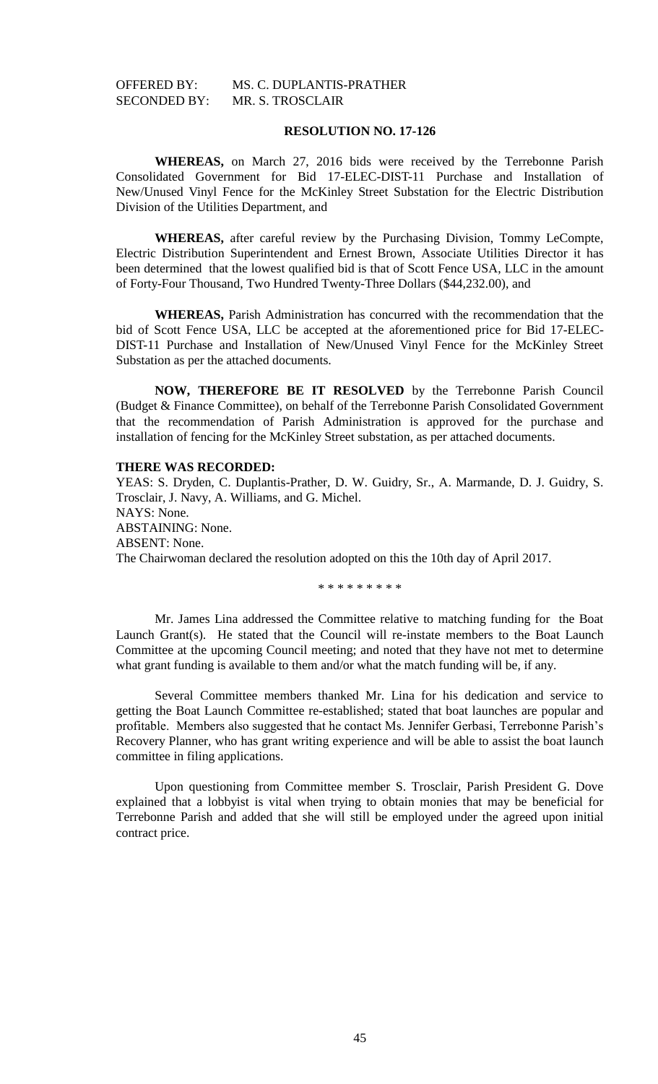# OFFERED BY: MS. C. DUPLANTIS-PRATHER SECONDED BY: MR. S. TROSCLAIR

# **RESOLUTION NO. 17-126**

**WHEREAS,** on March 27, 2016 bids were received by the Terrebonne Parish Consolidated Government for Bid 17-ELEC-DIST-11 Purchase and Installation of New/Unused Vinyl Fence for the McKinley Street Substation for the Electric Distribution Division of the Utilities Department, and

**WHEREAS,** after careful review by the Purchasing Division, Tommy LeCompte, Electric Distribution Superintendent and Ernest Brown, Associate Utilities Director it has been determined that the lowest qualified bid is that of Scott Fence USA, LLC in the amount of Forty-Four Thousand, Two Hundred Twenty-Three Dollars (\$44,232.00), and

**WHEREAS,** Parish Administration has concurred with the recommendation that the bid of Scott Fence USA, LLC be accepted at the aforementioned price for Bid 17-ELEC-DIST-11 Purchase and Installation of New/Unused Vinyl Fence for the McKinley Street Substation as per the attached documents.

**NOW, THEREFORE BE IT RESOLVED** by the Terrebonne Parish Council (Budget & Finance Committee), on behalf of the Terrebonne Parish Consolidated Government that the recommendation of Parish Administration is approved for the purchase and installation of fencing for the McKinley Street substation, as per attached documents.

### **THERE WAS RECORDED:**

YEAS: S. Dryden, C. Duplantis-Prather, D. W. Guidry, Sr., A. Marmande, D. J. Guidry, S. Trosclair, J. Navy, A. Williams, and G. Michel. NAYS: None. ABSTAINING: None. ABSENT: None. The Chairwoman declared the resolution adopted on this the 10th day of April 2017.

\* \* \* \* \* \* \* \* \*

Mr. James Lina addressed the Committee relative to matching funding for the Boat Launch Grant(s). He stated that the Council will re-instate members to the Boat Launch Committee at the upcoming Council meeting; and noted that they have not met to determine what grant funding is available to them and/or what the match funding will be, if any.

Several Committee members thanked Mr. Lina for his dedication and service to getting the Boat Launch Committee re-established; stated that boat launches are popular and profitable. Members also suggested that he contact Ms. Jennifer Gerbasi, Terrebonne Parish's Recovery Planner, who has grant writing experience and will be able to assist the boat launch committee in filing applications.

Upon questioning from Committee member S. Trosclair, Parish President G. Dove explained that a lobbyist is vital when trying to obtain monies that may be beneficial for Terrebonne Parish and added that she will still be employed under the agreed upon initial contract price.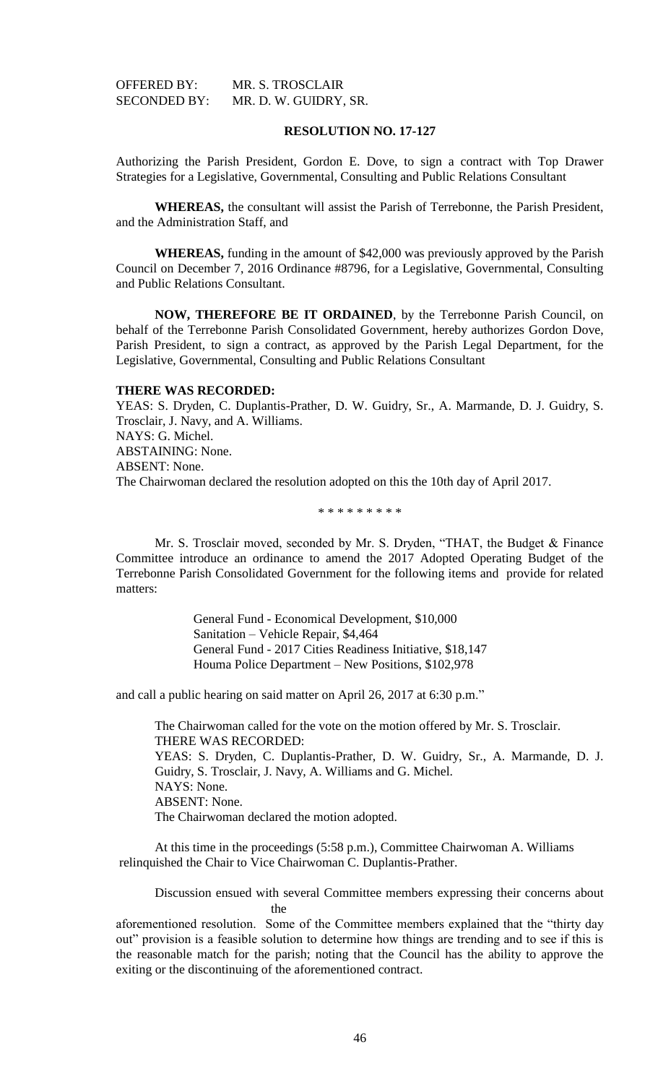| <b>OFFERED BY:</b>  | MR. S. TROSCLAIR      |
|---------------------|-----------------------|
| <b>SECONDED BY:</b> | MR. D. W. GUIDRY, SR. |

Authorizing the Parish President, Gordon E. Dove, to sign a contract with Top Drawer Strategies for a Legislative, Governmental, Consulting and Public Relations Consultant

**WHEREAS,** the consultant will assist the Parish of Terrebonne, the Parish President, and the Administration Staff, and

**WHEREAS,** funding in the amount of \$42,000 was previously approved by the Parish Council on December 7, 2016 Ordinance #8796, for a Legislative, Governmental, Consulting and Public Relations Consultant.

**NOW, THEREFORE BE IT ORDAINED**, by the Terrebonne Parish Council, on behalf of the Terrebonne Parish Consolidated Government, hereby authorizes Gordon Dove, Parish President, to sign a contract, as approved by the Parish Legal Department, for the Legislative, Governmental, Consulting and Public Relations Consultant

#### **THERE WAS RECORDED:**

YEAS: S. Dryden, C. Duplantis-Prather, D. W. Guidry, Sr., A. Marmande, D. J. Guidry, S. Trosclair, J. Navy, and A. Williams. NAYS: G. Michel. ABSTAINING: None. ABSENT: None. The Chairwoman declared the resolution adopted on this the 10th day of April 2017.

\* \* \* \* \* \* \* \* \*

Mr. S. Trosclair moved, seconded by Mr. S. Dryden, "THAT, the Budget & Finance Committee introduce an ordinance to amend the 2017 Adopted Operating Budget of the Terrebonne Parish Consolidated Government for the following items and provide for related matters:

> General Fund - Economical Development, \$10,000 Sanitation – Vehicle Repair, \$4,464 General Fund - 2017 Cities Readiness Initiative, \$18,147 Houma Police Department – New Positions, \$102,978

and call a public hearing on said matter on April 26, 2017 at 6:30 p.m."

The Chairwoman called for the vote on the motion offered by Mr. S. Trosclair. THERE WAS RECORDED: YEAS: S. Dryden, C. Duplantis-Prather, D. W. Guidry, Sr., A. Marmande, D. J. Guidry, S. Trosclair, J. Navy, A. Williams and G. Michel. NAYS: None. ABSENT: None. The Chairwoman declared the motion adopted.

At this time in the proceedings (5:58 p.m.), Committee Chairwoman A. Williams relinquished the Chair to Vice Chairwoman C. Duplantis-Prather.

Discussion ensued with several Committee members expressing their concerns about the

aforementioned resolution. Some of the Committee members explained that the "thirty day out" provision is a feasible solution to determine how things are trending and to see if this is the reasonable match for the parish; noting that the Council has the ability to approve the exiting or the discontinuing of the aforementioned contract.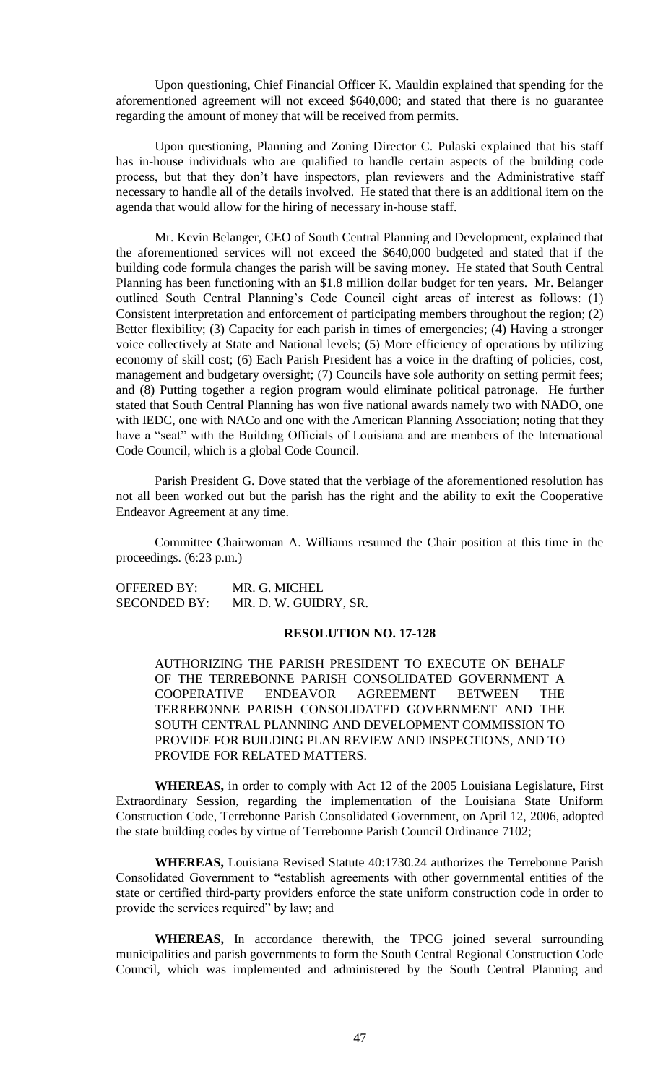Upon questioning, Chief Financial Officer K. Mauldin explained that spending for the aforementioned agreement will not exceed \$640,000; and stated that there is no guarantee regarding the amount of money that will be received from permits.

Upon questioning, Planning and Zoning Director C. Pulaski explained that his staff has in-house individuals who are qualified to handle certain aspects of the building code process, but that they don't have inspectors, plan reviewers and the Administrative staff necessary to handle all of the details involved. He stated that there is an additional item on the agenda that would allow for the hiring of necessary in-house staff.

Mr. Kevin Belanger, CEO of South Central Planning and Development, explained that the aforementioned services will not exceed the \$640,000 budgeted and stated that if the building code formula changes the parish will be saving money. He stated that South Central Planning has been functioning with an \$1.8 million dollar budget for ten years. Mr. Belanger outlined South Central Planning's Code Council eight areas of interest as follows: (1) Consistent interpretation and enforcement of participating members throughout the region; (2) Better flexibility; (3) Capacity for each parish in times of emergencies; (4) Having a stronger voice collectively at State and National levels; (5) More efficiency of operations by utilizing economy of skill cost; (6) Each Parish President has a voice in the drafting of policies, cost, management and budgetary oversight; (7) Councils have sole authority on setting permit fees; and (8) Putting together a region program would eliminate political patronage. He further stated that South Central Planning has won five national awards namely two with NADO, one with IEDC, one with NACo and one with the American Planning Association; noting that they have a "seat" with the Building Officials of Louisiana and are members of the International Code Council, which is a global Code Council.

Parish President G. Dove stated that the verbiage of the aforementioned resolution has not all been worked out but the parish has the right and the ability to exit the Cooperative Endeavor Agreement at any time.

Committee Chairwoman A. Williams resumed the Chair position at this time in the proceedings. (6:23 p.m.)

OFFERED BY: MR. G. MICHEL SECONDED BY: MR. D. W. GUIDRY, SR.

# **RESOLUTION NO. 17-128**

AUTHORIZING THE PARISH PRESIDENT TO EXECUTE ON BEHALF OF THE TERREBONNE PARISH CONSOLIDATED GOVERNMENT A COOPERATIVE ENDEAVOR AGREEMENT BETWEEN THE TERREBONNE PARISH CONSOLIDATED GOVERNMENT AND THE SOUTH CENTRAL PLANNING AND DEVELOPMENT COMMISSION TO PROVIDE FOR BUILDING PLAN REVIEW AND INSPECTIONS, AND TO PROVIDE FOR RELATED MATTERS.

**WHEREAS,** in order to comply with Act 12 of the 2005 Louisiana Legislature, First Extraordinary Session, regarding the implementation of the Louisiana State Uniform Construction Code, Terrebonne Parish Consolidated Government, on April 12, 2006, adopted the state building codes by virtue of Terrebonne Parish Council Ordinance 7102;

**WHEREAS,** Louisiana Revised Statute 40:1730.24 authorizes the Terrebonne Parish Consolidated Government to "establish agreements with other governmental entities of the state or certified third-party providers enforce the state uniform construction code in order to provide the services required" by law; and

**WHEREAS,** In accordance therewith, the TPCG joined several surrounding municipalities and parish governments to form the South Central Regional Construction Code Council, which was implemented and administered by the South Central Planning and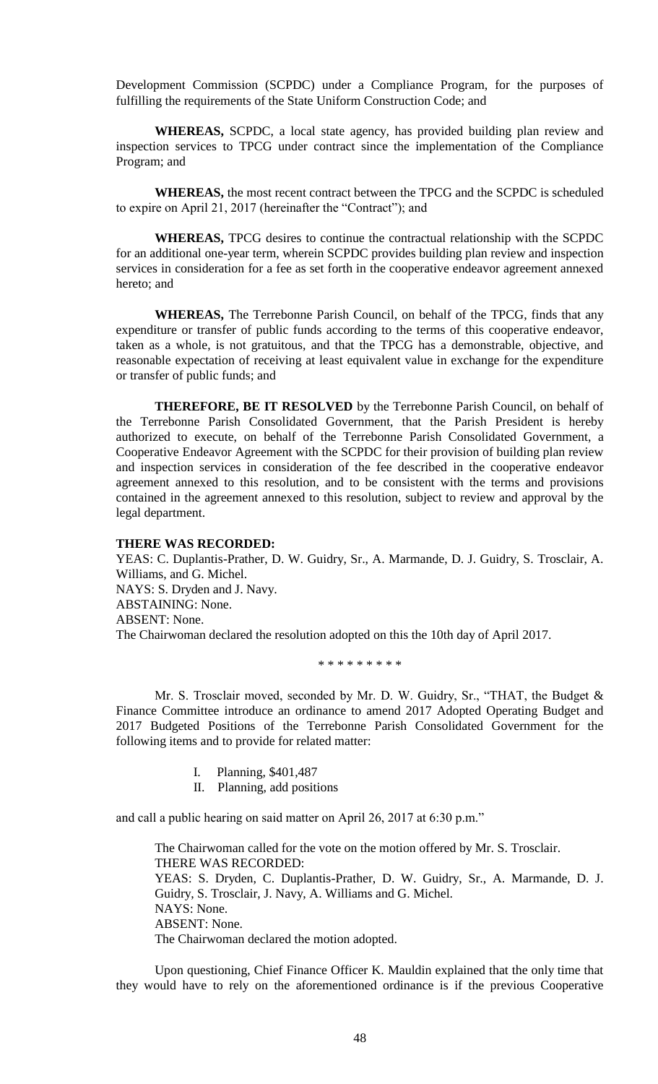Development Commission (SCPDC) under a Compliance Program, for the purposes of fulfilling the requirements of the State Uniform Construction Code; and

**WHEREAS,** SCPDC, a local state agency, has provided building plan review and inspection services to TPCG under contract since the implementation of the Compliance Program; and

**WHEREAS,** the most recent contract between the TPCG and the SCPDC is scheduled to expire on April 21, 2017 (hereinafter the "Contract"); and

**WHEREAS,** TPCG desires to continue the contractual relationship with the SCPDC for an additional one-year term, wherein SCPDC provides building plan review and inspection services in consideration for a fee as set forth in the cooperative endeavor agreement annexed hereto; and

**WHEREAS,** The Terrebonne Parish Council, on behalf of the TPCG, finds that any expenditure or transfer of public funds according to the terms of this cooperative endeavor, taken as a whole, is not gratuitous, and that the TPCG has a demonstrable, objective, and reasonable expectation of receiving at least equivalent value in exchange for the expenditure or transfer of public funds; and

**THEREFORE, BE IT RESOLVED** by the Terrebonne Parish Council, on behalf of the Terrebonne Parish Consolidated Government, that the Parish President is hereby authorized to execute, on behalf of the Terrebonne Parish Consolidated Government, a Cooperative Endeavor Agreement with the SCPDC for their provision of building plan review and inspection services in consideration of the fee described in the cooperative endeavor agreement annexed to this resolution, and to be consistent with the terms and provisions contained in the agreement annexed to this resolution, subject to review and approval by the legal department.

## **THERE WAS RECORDED:**

YEAS: C. Duplantis-Prather, D. W. Guidry, Sr., A. Marmande, D. J. Guidry, S. Trosclair, A. Williams, and G. Michel. NAYS: S. Dryden and J. Navy. ABSTAINING: None. ABSENT: None. The Chairwoman declared the resolution adopted on this the 10th day of April 2017.

\* \* \* \* \* \* \* \* \*

Mr. S. Trosclair moved, seconded by Mr. D. W. Guidry, Sr., "THAT, the Budget & Finance Committee introduce an ordinance to amend 2017 Adopted Operating Budget and 2017 Budgeted Positions of the Terrebonne Parish Consolidated Government for the following items and to provide for related matter:

- I. Planning, \$401,487
- II. Planning, add positions

and call a public hearing on said matter on April 26, 2017 at 6:30 p.m."

The Chairwoman called for the vote on the motion offered by Mr. S. Trosclair. THERE WAS RECORDED: YEAS: S. Dryden, C. Duplantis-Prather, D. W. Guidry, Sr., A. Marmande, D. J. Guidry, S. Trosclair, J. Navy, A. Williams and G. Michel. NAYS: None. ABSENT: None. The Chairwoman declared the motion adopted.

Upon questioning, Chief Finance Officer K. Mauldin explained that the only time that they would have to rely on the aforementioned ordinance is if the previous Cooperative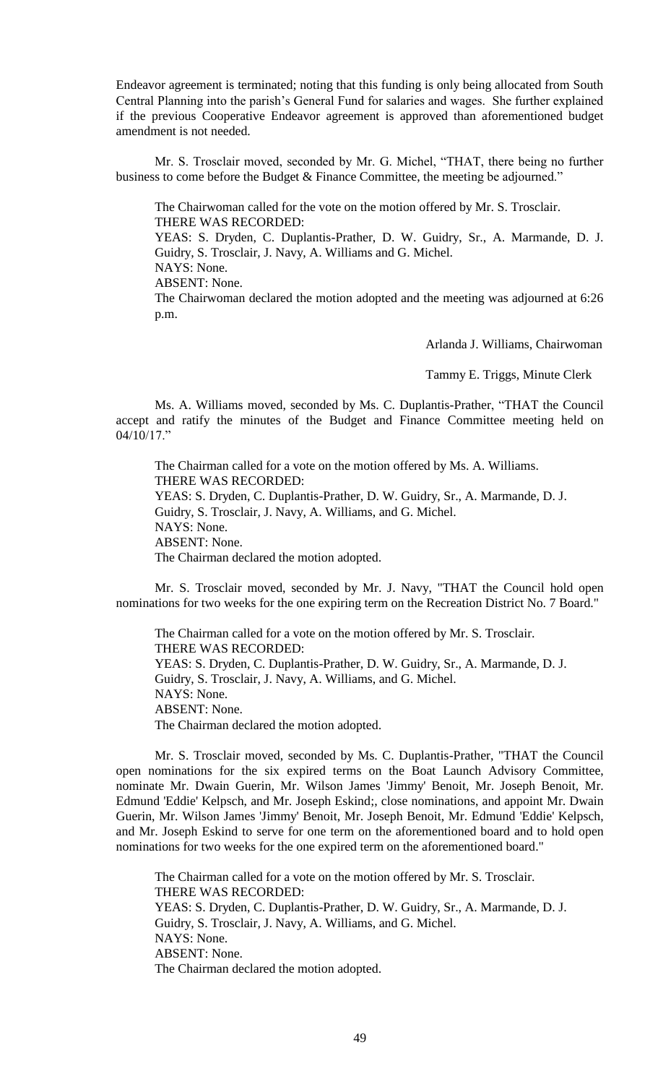Endeavor agreement is terminated; noting that this funding is only being allocated from South Central Planning into the parish's General Fund for salaries and wages. She further explained if the previous Cooperative Endeavor agreement is approved than aforementioned budget amendment is not needed.

Mr. S. Trosclair moved, seconded by Mr. G. Michel, "THAT, there being no further business to come before the Budget & Finance Committee, the meeting be adjourned."

The Chairwoman called for the vote on the motion offered by Mr. S. Trosclair. THERE WAS RECORDED:

YEAS: S. Dryden, C. Duplantis-Prather, D. W. Guidry, Sr., A. Marmande, D. J. Guidry, S. Trosclair, J. Navy, A. Williams and G. Michel. NAYS: None.

ABSENT: None.

The Chairwoman declared the motion adopted and the meeting was adjourned at 6:26 p.m.

Arlanda J. Williams, Chairwoman

Tammy E. Triggs, Minute Clerk

Ms. A. Williams moved, seconded by Ms. C. Duplantis-Prather, "THAT the Council accept and ratify the minutes of the Budget and Finance Committee meeting held on 04/10/17."

The Chairman called for a vote on the motion offered by Ms. A. Williams. THERE WAS RECORDED: YEAS: S. Dryden, C. Duplantis-Prather, D. W. Guidry, Sr., A. Marmande, D. J. Guidry, S. Trosclair, J. Navy, A. Williams, and G. Michel. NAYS: None. ABSENT: None. The Chairman declared the motion adopted.

Mr. S. Trosclair moved, seconded by Mr. J. Navy, "THAT the Council hold open nominations for two weeks for the one expiring term on the Recreation District No. 7 Board."

The Chairman called for a vote on the motion offered by Mr. S. Trosclair. THERE WAS RECORDED: YEAS: S. Dryden, C. Duplantis-Prather, D. W. Guidry, Sr., A. Marmande, D. J. Guidry, S. Trosclair, J. Navy, A. Williams, and G. Michel. NAYS: None. ABSENT: None. The Chairman declared the motion adopted.

Mr. S. Trosclair moved, seconded by Ms. C. Duplantis-Prather, "THAT the Council open nominations for the six expired terms on the Boat Launch Advisory Committee, nominate Mr. Dwain Guerin, Mr. Wilson James 'Jimmy' Benoit, Mr. Joseph Benoit, Mr. Edmund 'Eddie' Kelpsch, and Mr. Joseph Eskind;, close nominations, and appoint Mr. Dwain Guerin, Mr. Wilson James 'Jimmy' Benoit, Mr. Joseph Benoit, Mr. Edmund 'Eddie' Kelpsch, and Mr. Joseph Eskind to serve for one term on the aforementioned board and to hold open nominations for two weeks for the one expired term on the aforementioned board."

The Chairman called for a vote on the motion offered by Mr. S. Trosclair. THERE WAS RECORDED: YEAS: S. Dryden, C. Duplantis-Prather, D. W. Guidry, Sr., A. Marmande, D. J. Guidry, S. Trosclair, J. Navy, A. Williams, and G. Michel. NAYS: None. ABSENT: None. The Chairman declared the motion adopted.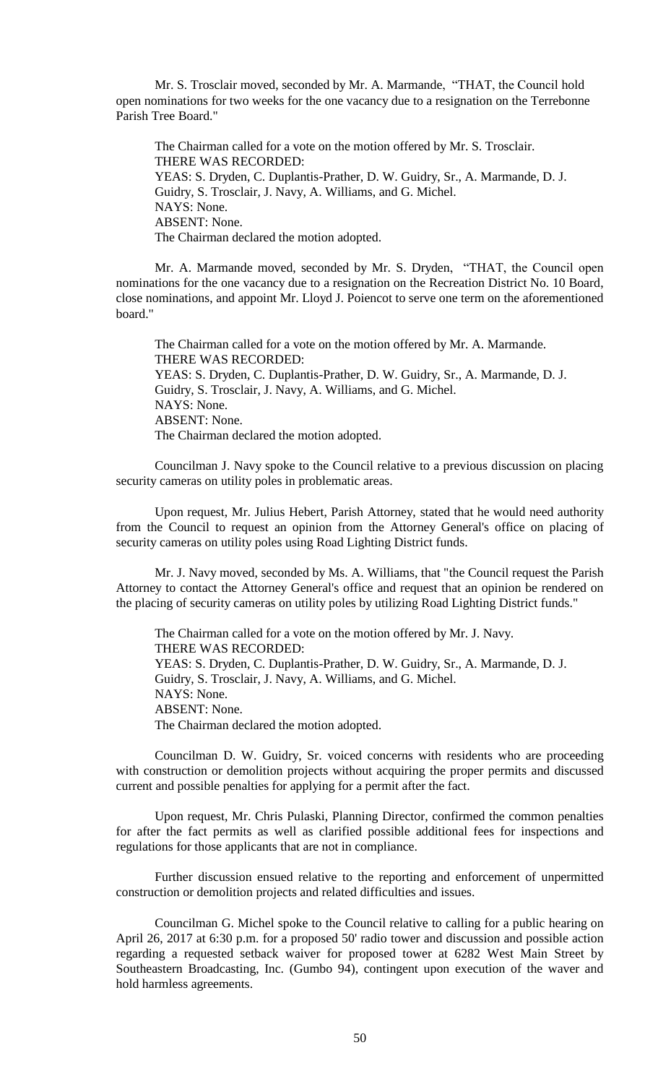Mr. S. Trosclair moved, seconded by Mr. A. Marmande, "THAT, the Council hold open nominations for two weeks for the one vacancy due to a resignation on the Terrebonne Parish Tree Board."

The Chairman called for a vote on the motion offered by Mr. S. Trosclair. THERE WAS RECORDED: YEAS: S. Dryden, C. Duplantis-Prather, D. W. Guidry, Sr., A. Marmande, D. J. Guidry, S. Trosclair, J. Navy, A. Williams, and G. Michel. NAYS: None. ABSENT: None. The Chairman declared the motion adopted.

Mr. A. Marmande moved, seconded by Mr. S. Dryden, "THAT, the Council open nominations for the one vacancy due to a resignation on the Recreation District No. 10 Board, close nominations, and appoint Mr. Lloyd J. Poiencot to serve one term on the aforementioned board."

The Chairman called for a vote on the motion offered by Mr. A. Marmande. THERE WAS RECORDED: YEAS: S. Dryden, C. Duplantis-Prather, D. W. Guidry, Sr., A. Marmande, D. J. Guidry, S. Trosclair, J. Navy, A. Williams, and G. Michel. NAYS: None. ABSENT: None. The Chairman declared the motion adopted.

Councilman J. Navy spoke to the Council relative to a previous discussion on placing security cameras on utility poles in problematic areas.

Upon request, Mr. Julius Hebert, Parish Attorney, stated that he would need authority from the Council to request an opinion from the Attorney General's office on placing of security cameras on utility poles using Road Lighting District funds.

Mr. J. Navy moved, seconded by Ms. A. Williams, that "the Council request the Parish Attorney to contact the Attorney General's office and request that an opinion be rendered on the placing of security cameras on utility poles by utilizing Road Lighting District funds."

The Chairman called for a vote on the motion offered by Mr. J. Navy. THERE WAS RECORDED: YEAS: S. Dryden, C. Duplantis-Prather, D. W. Guidry, Sr., A. Marmande, D. J. Guidry, S. Trosclair, J. Navy, A. Williams, and G. Michel. NAYS: None. ABSENT: None. The Chairman declared the motion adopted.

Councilman D. W. Guidry, Sr. voiced concerns with residents who are proceeding with construction or demolition projects without acquiring the proper permits and discussed current and possible penalties for applying for a permit after the fact.

Upon request, Mr. Chris Pulaski, Planning Director, confirmed the common penalties for after the fact permits as well as clarified possible additional fees for inspections and regulations for those applicants that are not in compliance.

Further discussion ensued relative to the reporting and enforcement of unpermitted construction or demolition projects and related difficulties and issues.

Councilman G. Michel spoke to the Council relative to calling for a public hearing on April 26, 2017 at 6:30 p.m. for a proposed 50' radio tower and discussion and possible action regarding a requested setback waiver for proposed tower at 6282 West Main Street by Southeastern Broadcasting, Inc. (Gumbo 94), contingent upon execution of the waver and hold harmless agreements.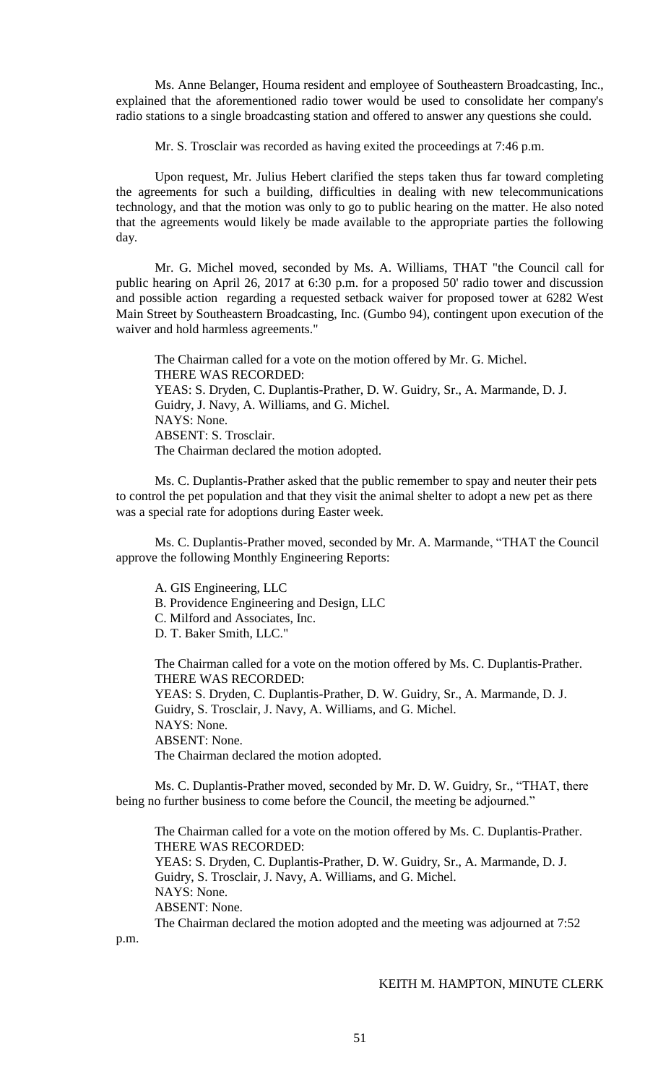Ms. Anne Belanger, Houma resident and employee of Southeastern Broadcasting, Inc., explained that the aforementioned radio tower would be used to consolidate her company's radio stations to a single broadcasting station and offered to answer any questions she could.

Mr. S. Trosclair was recorded as having exited the proceedings at 7:46 p.m.

Upon request, Mr. Julius Hebert clarified the steps taken thus far toward completing the agreements for such a building, difficulties in dealing with new telecommunications technology, and that the motion was only to go to public hearing on the matter. He also noted that the agreements would likely be made available to the appropriate parties the following day.

Mr. G. Michel moved, seconded by Ms. A. Williams, THAT "the Council call for public hearing on April 26, 2017 at 6:30 p.m. for a proposed 50' radio tower and discussion and possible action regarding a requested setback waiver for proposed tower at 6282 West Main Street by Southeastern Broadcasting, Inc. (Gumbo 94), contingent upon execution of the waiver and hold harmless agreements."

The Chairman called for a vote on the motion offered by Mr. G. Michel. THERE WAS RECORDED: YEAS: S. Dryden, C. Duplantis-Prather, D. W. Guidry, Sr., A. Marmande, D. J. Guidry, J. Navy, A. Williams, and G. Michel. NAYS: None. ABSENT: S. Trosclair. The Chairman declared the motion adopted.

Ms. C. Duplantis-Prather asked that the public remember to spay and neuter their pets to control the pet population and that they visit the animal shelter to adopt a new pet as there was a special rate for adoptions during Easter week.

Ms. C. Duplantis-Prather moved, seconded by Mr. A. Marmande, "THAT the Council approve the following Monthly Engineering Reports:

A. GIS Engineering, LLC B. Providence Engineering and Design, LLC C. Milford and Associates, Inc. D. T. Baker Smith, LLC."

The Chairman called for a vote on the motion offered by Ms. C. Duplantis-Prather. THERE WAS RECORDED: YEAS: S. Dryden, C. Duplantis-Prather, D. W. Guidry, Sr., A. Marmande, D. J. Guidry, S. Trosclair, J. Navy, A. Williams, and G. Michel. NAYS: None. ABSENT: None. The Chairman declared the motion adopted.

Ms. C. Duplantis-Prather moved, seconded by Mr. D. W. Guidry, Sr., "THAT, there being no further business to come before the Council, the meeting be adjourned."

The Chairman called for a vote on the motion offered by Ms. C. Duplantis-Prather. THERE WAS RECORDED: YEAS: S. Dryden, C. Duplantis-Prather, D. W. Guidry, Sr., A. Marmande, D. J. Guidry, S. Trosclair, J. Navy, A. Williams, and G. Michel. NAYS: None. ABSENT: None. The Chairman declared the motion adopted and the meeting was adjourned at 7:52

p.m.

## KEITH M. HAMPTON, MINUTE CLERK